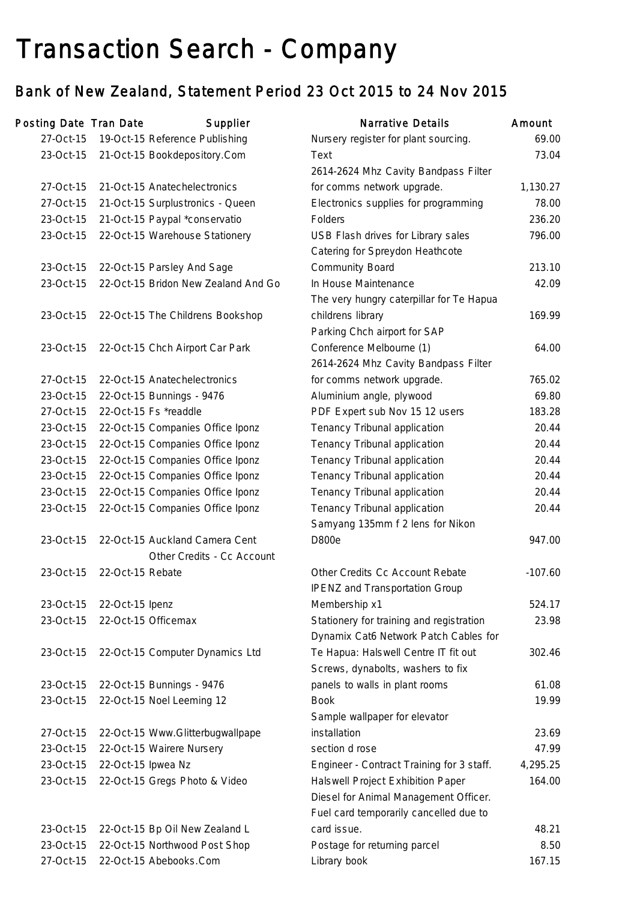# Transaction Search - Company

## Bank of New Zealand, Statement Period 23 Oct 2015 to 24 Nov 2015

| Posting Date Tran Date |                    | Supplier                            | <b>Narrative Details</b>                  | Amount    |
|------------------------|--------------------|-------------------------------------|-------------------------------------------|-----------|
| 27-Oct-15              |                    | 19-Oct-15 Reference Publishing      | Nursery register for plant sourcing.      | 69.00     |
| 23-Oct-15              |                    | 21-Oct-15 Bookdepository.Com        | Text                                      | 73.04     |
|                        |                    |                                     | 2614-2624 Mhz Cavity Bandpass Filter      |           |
| 27-Oct-15              |                    | 21-Oct-15 Anatechelectronics        | for comms network upgrade.                | 1,130.27  |
| 27-Oct-15              |                    | 21-Oct-15 Surplustronics - Queen    | Electronics supplies for programming      | 78.00     |
| 23-Oct-15              |                    | 21-Oct-15 Paypal *conservatio       | Folders                                   | 236.20    |
| 23-Oct-15              |                    | 22-Oct-15 Warehouse Stationery      | USB Flash drives for Library sales        | 796.00    |
|                        |                    |                                     | Catering for Spreydon Heathcote           |           |
| 23-Oct-15              |                    | 22-Oct-15 Parsley And Sage          | <b>Community Board</b>                    | 213.10    |
| 23-Oct-15              |                    | 22-Oct-15 Bridon New Zealand And Go | In House Maintenance                      | 42.09     |
|                        |                    |                                     | The very hungry caterpillar for Te Hapua  |           |
| 23-Oct-15              |                    | 22-Oct-15 The Childrens Bookshop    | childrens library                         | 169.99    |
|                        |                    |                                     | Parking Chch airport for SAP              |           |
| 23-Oct-15              |                    | 22-Oct-15 Chch Airport Car Park     | Conference Melbourne (1)                  | 64.00     |
|                        |                    |                                     | 2614-2624 Mhz Cavity Bandpass Filter      |           |
| 27-Oct-15              |                    | 22-Oct-15 Anatechelectronics        | for comms network upgrade.                | 765.02    |
| 23-Oct-15              |                    | 22-Oct-15 Bunnings - 9476           | Aluminium angle, plywood                  | 69.80     |
| 27-Oct-15              |                    | 22-Oct-15 Fs *readdle               | PDF Expert sub Nov 15 12 users            | 183.28    |
| 23-Oct-15              |                    | 22-Oct-15 Companies Office Iponz    | Tenancy Tribunal application              | 20.44     |
| 23-Oct-15              |                    | 22-Oct-15 Companies Office Iponz    | Tenancy Tribunal application              | 20.44     |
| 23-Oct-15              |                    | 22-Oct-15 Companies Office Iponz    | Tenancy Tribunal application              | 20.44     |
| 23-Oct-15              |                    | 22-Oct-15 Companies Office Iponz    | Tenancy Tribunal application              | 20.44     |
| 23-Oct-15              |                    | 22-Oct-15 Companies Office Iponz    | Tenancy Tribunal application              | 20.44     |
| 23-Oct-15              |                    | 22-Oct-15 Companies Office Iponz    | Tenancy Tribunal application              | 20.44     |
|                        |                    |                                     | Samyang 135mm f 2 lens for Nikon          |           |
| 23-Oct-15              |                    | 22-Oct-15 Auckland Camera Cent      | <b>D800e</b>                              | 947.00    |
|                        |                    | Other Credits - Cc Account          |                                           |           |
| 23-Oct-15              | 22-Oct-15 Rebate   |                                     | Other Credits Cc Account Rebate           | $-107.60$ |
|                        |                    |                                     | <b>IPENZ and Transportation Group</b>     |           |
| 23-Oct-15              | 22-Oct-15 Ipenz    |                                     | Membership x1                             | 524.17    |
| 23-Oct-15              |                    | 22-Oct-15 Officemax                 | Stationery for training and registration  | 23.98     |
|                        |                    |                                     | Dynamix Cat6 Network Patch Cables for     |           |
| 23-Oct-15              |                    | 22-Oct-15 Computer Dynamics Ltd     | Te Hapua: Halswell Centre IT fit out      | 302.46    |
|                        |                    |                                     | Screws, dynabolts, washers to fix         |           |
| 23-Oct-15              |                    | 22-Oct-15 Bunnings - 9476           | panels to walls in plant rooms            | 61.08     |
| 23-Oct-15              |                    | 22-Oct-15 Noel Leeming 12           | <b>Book</b>                               | 19.99     |
|                        |                    |                                     | Sample wallpaper for elevator             |           |
| 27-Oct-15              |                    | 22-Oct-15 Www.Glitterbugwallpape    | installation                              | 23.69     |
| 23-Oct-15              |                    | 22-Oct-15 Wairere Nursery           | section d rose                            | 47.99     |
| 23-Oct-15              | 22-Oct-15 Ipwea Nz |                                     | Engineer - Contract Training for 3 staff. | 4,295.25  |
| 23-Oct-15              |                    | 22-Oct-15 Gregs Photo & Video       | Halswell Project Exhibition Paper         | 164.00    |
|                        |                    |                                     | Diesel for Animal Management Officer.     |           |
|                        |                    |                                     | Fuel card temporarily cancelled due to    |           |
| 23-Oct-15              |                    | 22-Oct-15 Bp Oil New Zealand L      | card issue.                               | 48.21     |
| 23-Oct-15              |                    | 22-Oct-15 Northwood Post Shop       | Postage for returning parcel              | 8.50      |
| 27-Oct-15              |                    | 22-Oct-15 Abebooks.Com              | Library book                              | 167.15    |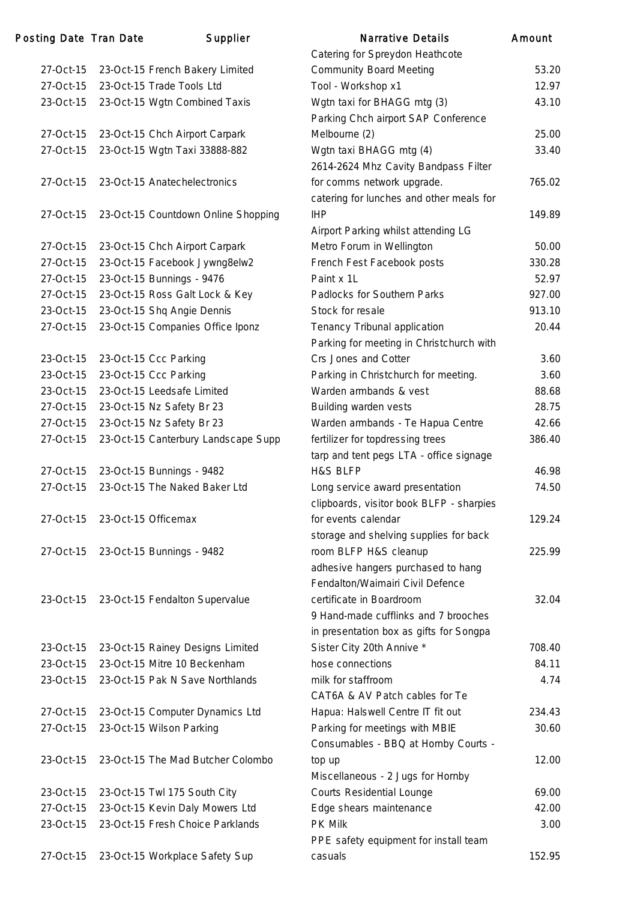| Posting Date Tran Date | Supplier                                                        | <b>Narrative Details</b>                 | Amount         |
|------------------------|-----------------------------------------------------------------|------------------------------------------|----------------|
|                        |                                                                 | Catering for Spreydon Heathcote          |                |
| 27-Oct-15              | 23-Oct-15 French Bakery Limited                                 | <b>Community Board Meeting</b>           | 53.20          |
| 27-Oct-15              | 23-Oct-15 Trade Tools Ltd                                       | Tool - Workshop x1                       | 12.97          |
| 23-Oct-15              | 23-Oct-15 Wgtn Combined Taxis                                   | Wgtn taxi for BHAGG mtg (3)              | 43.10          |
|                        |                                                                 | Parking Chch airport SAP Conference      |                |
| 27-Oct-15              | 23-Oct-15 Chch Airport Carpark                                  | Melbourne (2)                            | 25.00          |
| 27-Oct-15              | 23-Oct-15 Wgtn Taxi 33888-882                                   | Wgtn taxi BHAGG mtg (4)                  | 33.40          |
|                        |                                                                 | 2614-2624 Mhz Cavity Bandpass Filter     |                |
| 27-Oct-15              | 23-Oct-15 Anatechelectronics                                    | for comms network upgrade.               | 765.02         |
|                        |                                                                 | catering for lunches and other meals for |                |
| 27-Oct-15              | 23-Oct-15 Countdown Online Shopping                             | <b>IHP</b>                               | 149.89         |
|                        |                                                                 | Airport Parking whilst attending LG      |                |
| 27-Oct-15              | 23-Oct-15 Chch Airport Carpark                                  | Metro Forum in Wellington                | 50.00          |
| 27-Oct-15              | 23-Oct-15 Facebook Jywng8elw2                                   | French Fest Facebook posts               | 330.28         |
| 27-Oct-15              | 23-Oct-15 Bunnings - 9476                                       | Paint x 1L                               | 52.97          |
| 27-Oct-15              | 23-Oct-15 Ross Galt Lock & Key                                  | Padlocks for Southern Parks              | 927.00         |
| 23-Oct-15              | 23-Oct-15 Shq Angie Dennis                                      | Stock for resale                         | 913.10         |
| 27-Oct-15              | 23-Oct-15 Companies Office Iponz                                | Tenancy Tribunal application             | 20.44          |
|                        |                                                                 | Parking for meeting in Christchurch with |                |
| 23-Oct-15              | 23-Oct-15 Ccc Parking                                           | Crs Jones and Cotter                     | 3.60           |
| 23-Oct-15              | 23-Oct-15 Ccc Parking                                           | Parking in Christchurch for meeting.     | 3.60           |
| 23-Oct-15              | 23-Oct-15 Leedsafe Limited                                      | Warden armbands & vest                   | 88.68          |
| 27-Oct-15              | 23-Oct-15 Nz Safety Br 23                                       | Building warden vests                    | 28.75          |
| 27-Oct-15              | 23-Oct-15 Nz Safety Br 23                                       | Warden armbands - Te Hapua Centre        | 42.66          |
| 27-Oct-15              | 23-Oct-15 Canterbury Landscape Supp                             | fertilizer for topdressing trees         | 386.40         |
|                        |                                                                 | tarp and tent pegs LTA - office signage  |                |
| 27-Oct-15              | 23-Oct-15 Bunnings - 9482                                       | H&S BLFP                                 | 46.98          |
| 27-Oct-15              | 23-Oct-15 The Naked Baker Ltd                                   | Long service award presentation          | 74.50          |
|                        |                                                                 | clipboards, visitor book BLFP - sharpies |                |
| 27-Oct-15              | 23-Oct-15 Officemax                                             | for events calendar                      | 129.24         |
|                        |                                                                 | storage and shelving supplies for back   |                |
| 27-Oct-15              | 23-Oct-15 Bunnings - 9482                                       | room BLFP H&S cleanup                    | 225.99         |
|                        |                                                                 | adhesive hangers purchased to hang       |                |
|                        |                                                                 | Fendalton/Waimairi Civil Defence         |                |
| 23-Oct-15              | 23-Oct-15 Fendalton Supervalue                                  | certificate in Boardroom                 | 32.04          |
|                        |                                                                 | 9 Hand-made cufflinks and 7 brooches     |                |
|                        |                                                                 | in presentation box as gifts for Songpa  |                |
| 23-Oct-15              | 23-Oct-15 Rainey Designs Limited                                | Sister City 20th Annive *                | 708.40         |
| 23-Oct-15              | 23-Oct-15 Mitre 10 Beckenham                                    | hose connections                         | 84.11          |
| 23-Oct-15              | 23-Oct-15 Pak N Save Northlands                                 | milk for staffroom                       | 4.74           |
|                        |                                                                 | CAT6A & AV Patch cables for Te           |                |
| 27-Oct-15              | 23-Oct-15 Computer Dynamics Ltd                                 | Hapua: Halswell Centre IT fit out        | 234.43         |
| 27-Oct-15              | 23-Oct-15 Wilson Parking                                        | Parking for meetings with MBIE           | 30.60          |
|                        |                                                                 | Consumables - BBQ at Hornby Courts -     |                |
| 23-Oct-15              | 23-Oct-15 The Mad Butcher Colombo                               | top up                                   | 12.00          |
|                        |                                                                 | Miscellaneous - 2 Jugs for Hornby        |                |
| 23-Oct-15<br>27-Oct-15 | 23-Oct-15 Twl 175 South City<br>23-Oct-15 Kevin Daly Mowers Ltd | <b>Courts Residential Lounge</b>         | 69.00<br>42.00 |
| 23-Oct-15              | 23-Oct-15 Fresh Choice Parklands                                | Edge shears maintenance<br>PK Milk       | 3.00           |
|                        |                                                                 | PPE safety equipment for install team    |                |
| 27-Oct-15              | 23-Oct-15 Workplace Safety Sup                                  | casuals                                  | 152.95         |
|                        |                                                                 |                                          |                |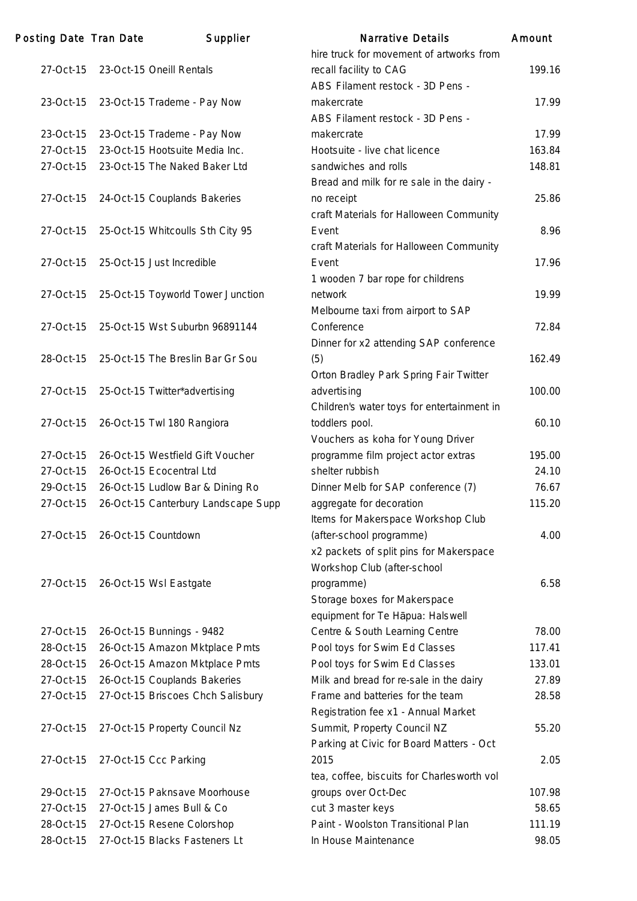| Posting Date Tran Date | Supplier                            | <b>Narrative Details</b>                   | Amount |
|------------------------|-------------------------------------|--------------------------------------------|--------|
|                        |                                     | hire truck for movement of artworks from   |        |
| 27-Oct-15              | 23-Oct-15 Oneill Rentals            | recall facility to CAG                     | 199.16 |
|                        |                                     | ABS Filament restock - 3D Pens -           |        |
| 23-Oct-15              | 23-Oct-15 Trademe - Pay Now         | makercrate                                 | 17.99  |
|                        |                                     | ABS Filament restock - 3D Pens -           |        |
| 23-Oct-15              | 23-Oct-15 Trademe - Pay Now         | makercrate                                 | 17.99  |
| 27-Oct-15              | 23-Oct-15 Hootsuite Media Inc.      | Hootsuite - live chat licence              | 163.84 |
| 27-Oct-15              | 23-Oct-15 The Naked Baker Ltd       | sandwiches and rolls                       | 148.81 |
|                        |                                     | Bread and milk for re sale in the dairy -  |        |
| 27-Oct-15              | 24-Oct-15 Couplands Bakeries        | no receipt                                 | 25.86  |
|                        |                                     | craft Materials for Halloween Community    |        |
| 27-Oct-15              | 25-Oct-15 Whitcoulls Sth City 95    | Event                                      | 8.96   |
|                        |                                     |                                            |        |
| 27-Oct-15              |                                     | craft Materials for Halloween Community    | 17.96  |
|                        | 25-Oct-15 Just Incredible           | Event                                      |        |
|                        |                                     | 1 wooden 7 bar rope for childrens          |        |
| 27-Oct-15              | 25-Oct-15 Toyworld Tower Junction   | network                                    | 19.99  |
|                        |                                     | Melbourne taxi from airport to SAP         |        |
| 27-Oct-15              | 25-Oct-15 Wst Suburbn 96891144      | Conference                                 | 72.84  |
|                        |                                     | Dinner for x2 attending SAP conference     |        |
| 28-Oct-15              | 25-Oct-15 The Breslin Bar Gr Sou    | (5)                                        | 162.49 |
|                        |                                     | Orton Bradley Park Spring Fair Twitter     |        |
| 27-Oct-15              | 25-Oct-15 Twitter*advertising       | advertising                                | 100.00 |
|                        |                                     | Children's water toys for entertainment in |        |
| 27-Oct-15              | 26-Oct-15 Twl 180 Rangiora          | toddlers pool.                             | 60.10  |
|                        |                                     | Vouchers as koha for Young Driver          |        |
| 27-Oct-15              | 26-Oct-15 Westfield Gift Voucher    | programme film project actor extras        | 195.00 |
| 27-Oct-15              | 26-Oct-15 Ecocentral Ltd            | shelter rubbish                            | 24.10  |
| 29-Oct-15              | 26-Oct-15 Ludlow Bar & Dining Ro    | Dinner Melb for SAP conference (7)         | 76.67  |
| 27-Oct-15              | 26-Oct-15 Canterbury Landscape Supp | aggregate for decoration                   | 115.20 |
|                        |                                     | Items for Makerspace Workshop Club         |        |
| 27-Oct-15              | 26-Oct-15 Countdown                 | (after-school programme)                   | 4.00   |
|                        |                                     | x2 packets of split pins for Makerspace    |        |
|                        |                                     | Workshop Club (after-school                |        |
| 27-Oct-15              | 26-Oct-15 Wsl Eastgate              | programme)                                 | 6.58   |
|                        |                                     | Storage boxes for Makerspace               |        |
|                        |                                     | equipment for Te Hapua: Halswell           |        |
| 27-Oct-15              | 26-Oct-15 Bunnings - 9482           | Centre & South Learning Centre             | 78.00  |
| 28-Oct-15              | 26-Oct-15 Amazon Mktplace Pmts      | Pool toys for Swim Ed Classes              | 117.41 |
|                        |                                     |                                            |        |
| 28-Oct-15              | 26-Oct-15 Amazon Mktplace Pmts      | Pool toys for Swim Ed Classes              | 133.01 |
| 27-Oct-15              | 26-Oct-15 Couplands Bakeries        | Milk and bread for re-sale in the dairy    | 27.89  |
| 27-Oct-15              | 27-Oct-15 Briscoes Chch Salisbury   | Frame and batteries for the team           | 28.58  |
|                        |                                     | Registration fee x1 - Annual Market        |        |
| 27-Oct-15              | 27-Oct-15 Property Council Nz       | Summit, Property Council NZ                | 55.20  |
|                        |                                     | Parking at Civic for Board Matters - Oct   |        |
| 27-Oct-15              | 27-Oct-15 Ccc Parking               | 2015                                       | 2.05   |
|                        |                                     | tea, coffee, biscuits for Charlesworth vol |        |
| 29-Oct-15              | 27-Oct-15 Paknsave Moorhouse        | groups over Oct-Dec                        | 107.98 |
| 27-Oct-15              | 27-Oct-15 James Bull & Co           | cut 3 master keys                          | 58.65  |
| 28-Oct-15              | 27-Oct-15 Resene Colorshop          | Paint - Woolston Transitional Plan         | 111.19 |
| 28-Oct-15              | 27-Oct-15 Blacks Fasteners Lt       | In House Maintenance                       | 98.05  |
|                        |                                     |                                            |        |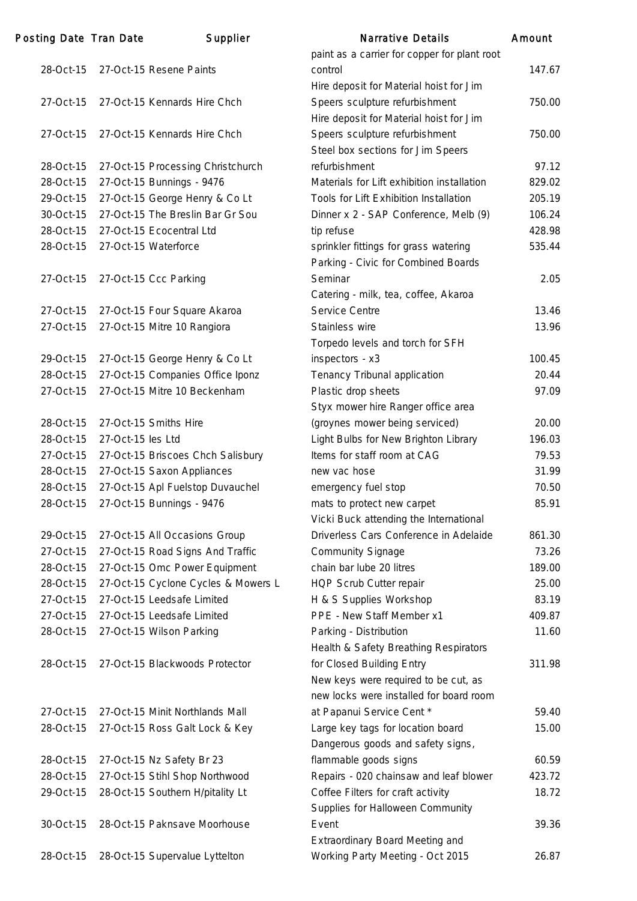| Posting Date Tran Date |                   | Supplier                            | Narrative Details                                                                | Amount |
|------------------------|-------------------|-------------------------------------|----------------------------------------------------------------------------------|--------|
|                        |                   |                                     | paint as a carrier for copper for plant root                                     |        |
| 28-Oct-15              |                   | 27-Oct-15 Resene Paints             | control                                                                          | 147.67 |
|                        |                   |                                     | Hire deposit for Material hoist for Jim                                          |        |
| 27-Oct-15              |                   | 27-Oct-15 Kennards Hire Chch        | Speers sculpture refurbishment                                                   | 750.00 |
|                        |                   |                                     | Hire deposit for Material hoist for Jim                                          |        |
| 27-Oct-15              |                   | 27-Oct-15 Kennards Hire Chch        | Speers sculpture refurbishment                                                   | 750.00 |
|                        |                   |                                     | Steel box sections for Jim Speers                                                |        |
| 28-Oct-15              |                   | 27-Oct-15 Processing Christchurch   | refurbishment                                                                    | 97.12  |
| 28-Oct-15              |                   | 27-Oct-15 Bunnings - 9476           | Materials for Lift exhibition installation                                       | 829.02 |
| 29-Oct-15              |                   | 27-Oct-15 George Henry & Co Lt      | Tools for Lift Exhibition Installation                                           | 205.19 |
| 30-Oct-15              |                   | 27-Oct-15 The Breslin Bar Gr Sou    | Dinner x 2 - SAP Conference, Melb (9)                                            | 106.24 |
| 28-Oct-15              |                   | 27-Oct-15 Ecocentral Ltd            | tip refuse                                                                       | 428.98 |
| 28-Oct-15              |                   | 27-Oct-15 Waterforce                | sprinkler fittings for grass watering                                            | 535.44 |
|                        |                   |                                     | Parking - Civic for Combined Boards                                              |        |
| 27-Oct-15              |                   | 27-Oct-15 Ccc Parking               | Seminar                                                                          | 2.05   |
|                        |                   |                                     | Catering - milk, tea, coffee, Akaroa                                             |        |
| 27-Oct-15              |                   | 27-Oct-15 Four Square Akaroa        | Service Centre                                                                   | 13.46  |
| 27-Oct-15              |                   | 27-Oct-15 Mitre 10 Rangiora         | Stainless wire                                                                   | 13.96  |
|                        |                   |                                     | Torpedo levels and torch for SFH                                                 |        |
| 29-Oct-15              |                   | 27-Oct-15 George Henry & Co Lt      | inspectors - x3                                                                  | 100.45 |
| 28-Oct-15              |                   | 27-Oct-15 Companies Office Iponz    | Tenancy Tribunal application                                                     | 20.44  |
| 27-Oct-15              |                   | 27-Oct-15 Mitre 10 Beckenham        | Plastic drop sheets                                                              | 97.09  |
|                        |                   |                                     | Styx mower hire Ranger office area                                               |        |
| 28-Oct-15              |                   | 27-Oct-15 Smiths Hire               | (groynes mower being serviced)                                                   | 20.00  |
| 28-Oct-15              | 27-Oct-15 les Ltd |                                     | Light Bulbs for New Brighton Library                                             | 196.03 |
| 27-Oct-15              |                   | 27-Oct-15 Briscoes Chch Salisbury   | Items for staff room at CAG                                                      | 79.53  |
| 28-Oct-15              |                   | 27-Oct-15 Saxon Appliances          | new vac hose                                                                     | 31.99  |
| 28-Oct-15              |                   |                                     |                                                                                  | 70.50  |
| 28-Oct-15              |                   | 27-Oct-15 Apl Fuelstop Duvauchel    | emergency fuel stop                                                              |        |
|                        |                   | 27-Oct-15 Bunnings - 9476           | mats to protect new carpet                                                       | 85.91  |
|                        |                   |                                     | Vicki Buck attending the International<br>Driverless Cars Conference in Adelaide |        |
| 29-Oct-15              |                   | 27-Oct-15 All Occasions Group       |                                                                                  | 861.30 |
| 27-Oct-15              |                   | 27-Oct-15 Road Signs And Traffic    | <b>Community Signage</b>                                                         | 73.26  |
| 28-Oct-15              |                   | 27-Oct-15 Omc Power Equipment       | chain bar lube 20 litres                                                         | 189.00 |
| 28-Oct-15              |                   | 27-Oct-15 Cyclone Cycles & Mowers L | HQP Scrub Cutter repair                                                          | 25.00  |
| 27-Oct-15              |                   | 27-Oct-15 Leedsafe Limited          | H & S Supplies Workshop                                                          | 83.19  |
| 27-Oct-15              |                   | 27-Oct-15 Leedsafe Limited          | PPE - New Staff Member x1                                                        | 409.87 |
| 28-Oct-15              |                   | 27-Oct-15 Wilson Parking            | Parking - Distribution                                                           | 11.60  |
|                        |                   |                                     | Health & Safety Breathing Respirators                                            |        |
| 28-Oct-15              |                   | 27-Oct-15 Blackwoods Protector      | for Closed Building Entry                                                        | 311.98 |
|                        |                   |                                     | New keys were required to be cut, as                                             |        |
|                        |                   |                                     | new locks were installed for board room                                          |        |
| 27-Oct-15              |                   | 27-Oct-15 Minit Northlands Mall     | at Papanui Service Cent *                                                        | 59.40  |
| 28-Oct-15              |                   | 27-Oct-15 Ross Galt Lock & Key      | Large key tags for location board                                                | 15.00  |
|                        |                   |                                     | Dangerous goods and safety signs,                                                |        |
| 28-Oct-15              |                   | 27-Oct-15 Nz Safety Br 23           | flammable goods signs                                                            | 60.59  |
| 28-Oct-15              |                   | 27-Oct-15 Stihl Shop Northwood      | Repairs - 020 chainsaw and leaf blower                                           | 423.72 |
| 29-Oct-15              |                   | 28-Oct-15 Southern H/pitality Lt    | Coffee Filters for craft activity                                                | 18.72  |
|                        |                   |                                     | Supplies for Halloween Community                                                 |        |
| 30-Oct-15              |                   | 28-Oct-15 Paknsave Moorhouse        | Event                                                                            | 39.36  |
|                        |                   |                                     | <b>Extraordinary Board Meeting and</b>                                           |        |
| 28-Oct-15              |                   | 28-Oct-15 Supervalue Lyttelton      | Working Party Meeting - Oct 2015                                                 | 26.87  |
|                        |                   |                                     |                                                                                  |        |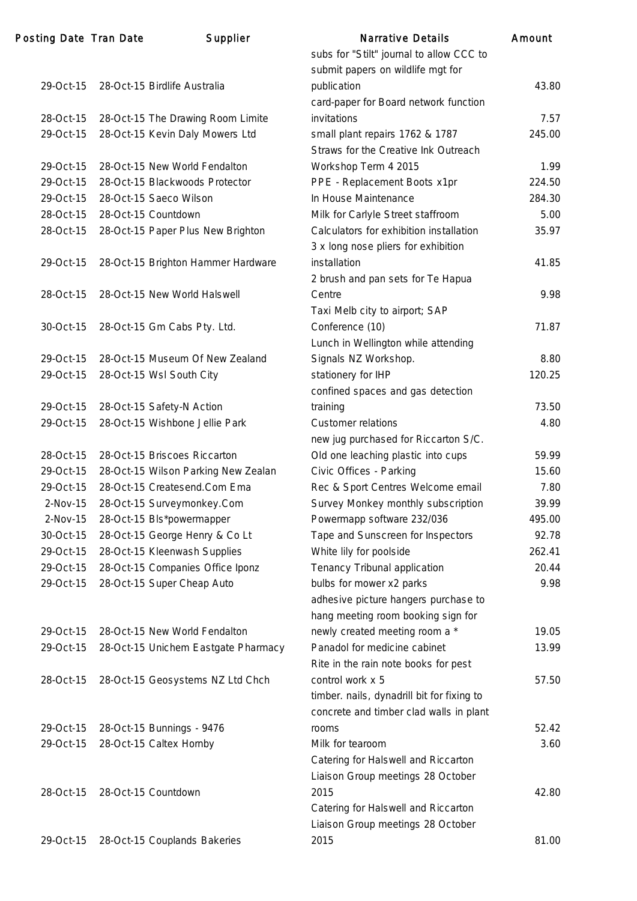### Posting Date Tran Date Supplier

|            |                                                                      | submit papers on wildlife mgt for                    |        |
|------------|----------------------------------------------------------------------|------------------------------------------------------|--------|
| 29-Oct-15  | 28-Oct-15 Birdlife Australia                                         | publication                                          | 43.80  |
| 28-Oct-15  |                                                                      | card-paper for Board network function<br>invitations | 7.57   |
| 29-Oct-15  | 28-Oct-15 The Drawing Room Limite<br>28-Oct-15 Kevin Daly Mowers Ltd | small plant repairs 1762 & 1787                      | 245.00 |
|            |                                                                      | Straws for the Creative Ink Outreach                 |        |
| 29-Oct-15  | 28-Oct-15 New World Fendalton                                        | Workshop Term 4 2015                                 | 1.99   |
| 29-Oct-15  | 28-Oct-15 Blackwoods Protector                                       | PPE - Replacement Boots x1pr                         | 224.50 |
| 29-Oct-15  | 28-Oct-15 Saeco Wilson                                               | In House Maintenance                                 | 284.30 |
| 28-Oct-15  | 28-Oct-15 Countdown                                                  | Milk for Carlyle Street staffroom                    | 5.00   |
| 28-Oct-15  | 28-Oct-15 Paper Plus New Brighton                                    | Calculators for exhibition installation              | 35.97  |
|            |                                                                      | 3 x long nose pliers for exhibition                  |        |
| 29-Oct-15  | 28-Oct-15 Brighton Hammer Hardware                                   | installation                                         | 41.85  |
|            |                                                                      | 2 brush and pan sets for Te Hapua                    |        |
| 28-Oct-15  | 28-Oct-15 New World Halswell                                         | Centre                                               | 9.98   |
|            |                                                                      | Taxi Melb city to airport; SAP                       |        |
| 30-Oct-15  | 28-Oct-15 Gm Cabs Pty. Ltd.                                          | Conference (10)                                      | 71.87  |
|            |                                                                      | Lunch in Wellington while attending                  |        |
| 29-Oct-15  | 28-Oct-15 Museum Of New Zealand                                      | Signals NZ Workshop.                                 | 8.80   |
| 29-Oct-15  | 28-Oct-15 Wsl South City                                             | stationery for IHP                                   | 120.25 |
|            |                                                                      | confined spaces and gas detection                    |        |
| 29-Oct-15  | 28-Oct-15 Safety-N Action                                            | training                                             | 73.50  |
| 29-Oct-15  | 28-Oct-15 Wishbone Jellie Park                                       | <b>Customer relations</b>                            | 4.80   |
|            |                                                                      | new jug purchased for Riccarton S/C.                 |        |
| 28-Oct-15  | 28-Oct-15 Briscoes Riccarton                                         | Old one leaching plastic into cups                   | 59.99  |
| 29-Oct-15  | 28-Oct-15 Wilson Parking New Zealan                                  | Civic Offices - Parking                              | 15.60  |
| 29-Oct-15  | 28-Oct-15 Createsend.Com Ema                                         | Rec & Sport Centres Welcome email                    | 7.80   |
| $2-Nov-15$ | 28-Oct-15 Surveymonkey.Com                                           | Survey Monkey monthly subscription                   | 39.99  |
| $2-Nov-15$ | 28-Oct-15 Bls*powermapper                                            | Powermapp software 232/036                           | 495.00 |
| 30-Oct-15  | 28-Oct-15 George Henry & Co Lt                                       | Tape and Sunscreen for Inspectors                    | 92.78  |
| 29-Oct-15  | 28-Oct-15 Kleenwash Supplies                                         | White lily for poolside                              | 262.41 |
| 29-Oct-15  | 28-Oct-15 Companies Office Iponz                                     | Tenancy Tribunal application                         | 20.44  |
| 29-Oct-15  | 28-Oct-15 Super Cheap Auto                                           | bulbs for mower x2 parks                             | 9.98   |
|            |                                                                      | adhesive picture hangers purchase to                 |        |
|            |                                                                      | hang meeting room booking sign for                   |        |
| 29-Oct-15  | 28-Oct-15 New World Fendalton                                        | newly created meeting room a *                       | 19.05  |
| 29-Oct-15  | 28-Oct-15 Unichem Eastgate Pharmacy                                  | Panadol for medicine cabinet                         | 13.99  |
|            |                                                                      | Rite in the rain note books for pest                 |        |
| 28-Oct-15  | 28-Oct-15 Geosystems NZ Ltd Chch                                     | control work x 5                                     | 57.50  |
|            |                                                                      | timber. nails, dynadrill bit for fixing to           |        |
|            |                                                                      | concrete and timber clad walls in plant              |        |
| 29-Oct-15  | 28-Oct-15 Bunnings - 9476                                            | rooms                                                | 52.42  |
| 29-Oct-15  | 28-Oct-15 Caltex Hornby                                              | Milk for tearoom                                     | 3.60   |
|            |                                                                      | Catering for Halswell and Riccarton                  |        |
|            |                                                                      | Liaison Group meetings 28 October                    |        |
| 28-Oct-15  | 28-Oct-15 Countdown                                                  | 2015                                                 | 42.80  |
|            |                                                                      | Catering for Halswell and Riccarton                  |        |
|            |                                                                      | Liaison Group meetings 28 October                    |        |
| 29-Oct-15  | 28-Oct-15 Couplands Bakeries                                         | 2015                                                 | 81.00  |
|            |                                                                      |                                                      |        |

| <b>Narrative Details</b>                   | Amount |
|--------------------------------------------|--------|
| subs for "Stilt" journal to allow CCC to   |        |
| submit papers on wildlife mgt for          |        |
| publication                                | 43.80  |
| card-paper for Board network function      |        |
| invitations                                | 7.57   |
| small plant repairs 1762 & 1787            | 245.00 |
| Straws for the Creative Ink Outreach       |        |
| Workshop Term 4 2015                       | 1.99   |
| PPE - Replacement Boots x1pr               | 224.50 |
| In House Maintenance                       | 284.30 |
| Milk for Carlyle Street staffroom          | 5.00   |
| Calculators for exhibition installation    | 35.97  |
| 3 x long nose pliers for exhibition        |        |
| installation                               | 41.85  |
| 2 brush and pan sets for Te Hapua          |        |
| Centre                                     | 9.98   |
| Taxi Melb city to airport; SAP             |        |
| Conference (10)                            | 71.87  |
| Lunch in Wellington while attending        |        |
| Signals NZ Workshop.                       | 8.80   |
| stationery for IHP                         | 120.25 |
| confined spaces and gas detection          |        |
| training                                   | 73.50  |
| <b>Customer relations</b>                  | 4.80   |
| new jug purchased for Riccarton S/C.       |        |
| Old one leaching plastic into cups         | 59.99  |
| Civic Offices - Parking                    | 15.60  |
| Rec & Sport Centres Welcome email          | 7.80   |
| Survey Monkey monthly subscription         | 39.99  |
| Powermapp software 232/036                 | 495.00 |
| Tape and Sunscreen for Inspectors          | 92.78  |
| White lily for poolside                    | 262.41 |
| Tenancy Tribunal application               | 20.44  |
| bulbs for mower x2 parks                   | 9.98   |
| adhesive picture hangers purchase to       |        |
| hang meeting room booking sign for         |        |
| newly created meeting room a *             | 19.05  |
| Panadol for medicine cabinet               | 13.99  |
| Rite in the rain note books for pest       |        |
| control work x 5                           | 57.50  |
| timber. nails, dynadrill bit for fixing to |        |
| concrete and timber clad walls in plant    |        |
| rooms                                      | 52.42  |
| Milk for tearoom                           | 3.60   |
| Catering for Halswell and Riccarton        |        |
| Liaison Group meetings 28 October          |        |
| 2015                                       | 42.80  |
| Catering for Halswell and Riccarton        |        |
| Liaison Group meetings 28 October          |        |
| 2015                                       | 81.00  |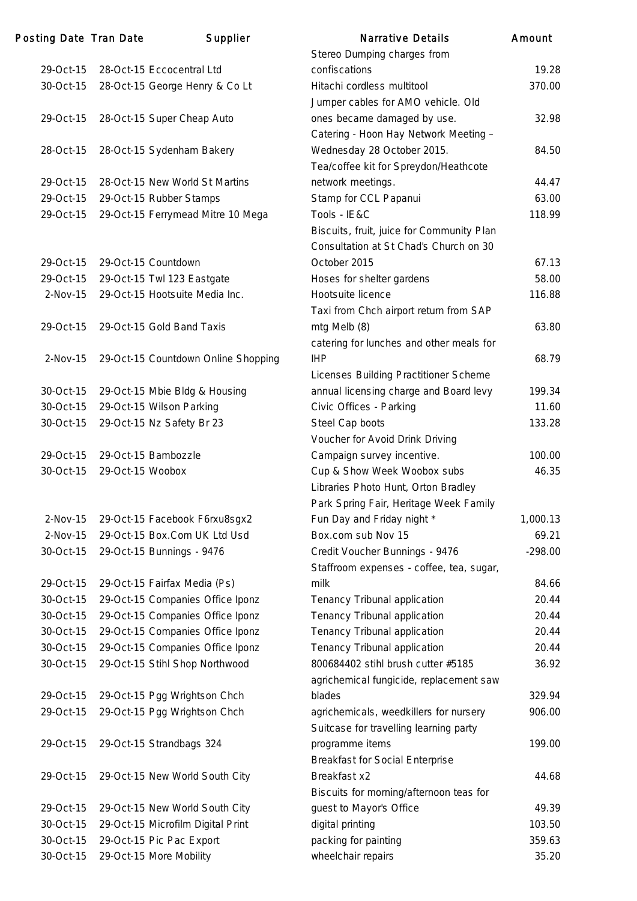| Posting Date Tran Date |                  | Supplier                            | <b>Narrative Details</b>                  | Amount    |
|------------------------|------------------|-------------------------------------|-------------------------------------------|-----------|
|                        |                  |                                     | Stereo Dumping charges from               |           |
| 29-Oct-15              |                  | 28-Oct-15 Eccocentral Ltd           | confiscations                             | 19.28     |
| 30-Oct-15              |                  | 28-Oct-15 George Henry & Co Lt      | Hitachi cordless multitool                | 370.00    |
|                        |                  |                                     | Jumper cables for AMO vehicle. Old        |           |
| 29-Oct-15              |                  | 28-Oct-15 Super Cheap Auto          | ones became damaged by use.               | 32.98     |
|                        |                  |                                     | Catering - Hoon Hay Network Meeting -     |           |
| 28-Oct-15              |                  | 28-Oct-15 Sydenham Bakery           | Wednesday 28 October 2015.                | 84.50     |
|                        |                  |                                     | Tea/coffee kit for Spreydon/Heathcote     |           |
| 29-Oct-15              |                  | 28-Oct-15 New World St Martins      | network meetings.                         | 44.47     |
| 29-Oct-15              |                  | 29-Oct-15 Rubber Stamps             | Stamp for CCL Papanui                     | 63.00     |
| 29-Oct-15              |                  | 29-Oct-15 Ferrymead Mitre 10 Mega   | Tools - IE&C                              | 118.99    |
|                        |                  |                                     | Biscuits, fruit, juice for Community Plan |           |
|                        |                  |                                     | Consultation at St Chad's Church on 30    |           |
| 29-Oct-15              |                  | 29-Oct-15 Countdown                 | October 2015                              | 67.13     |
| 29-Oct-15              |                  | 29-Oct-15 Twl 123 Eastgate          | Hoses for shelter gardens                 | 58.00     |
| $2-Nov-15$             |                  | 29-Oct-15 Hootsuite Media Inc.      | Hootsuite licence                         | 116.88    |
|                        |                  |                                     | Taxi from Chch airport return from SAP    |           |
| 29-Oct-15              |                  | 29-Oct-15 Gold Band Taxis           | mtg Melb (8)                              | 63.80     |
|                        |                  |                                     | catering for lunches and other meals for  |           |
| 2-Nov-15               |                  | 29-Oct-15 Countdown Online Shopping | <b>IHP</b>                                | 68.79     |
|                        |                  |                                     | Licenses Building Practitioner Scheme     |           |
| 30-Oct-15              |                  | 29-Oct-15 Mbie Bldg & Housing       | annual licensing charge and Board levy    | 199.34    |
| 30-Oct-15              |                  | 29-Oct-15 Wilson Parking            | Civic Offices - Parking                   | 11.60     |
| 30-Oct-15              |                  | 29-Oct-15 Nz Safety Br 23           | Steel Cap boots                           | 133.28    |
|                        |                  |                                     | Voucher for Avoid Drink Driving           |           |
| 29-Oct-15              |                  | 29-Oct-15 Bambozzle                 | Campaign survey incentive.                | 100.00    |
| 30-Oct-15              | 29-Oct-15 Woobox |                                     | Cup & Show Week Woobox subs               | 46.35     |
|                        |                  |                                     | Libraries Photo Hunt, Orton Bradley       |           |
|                        |                  |                                     | Park Spring Fair, Heritage Week Family    |           |
| 2-Nov-15               |                  | 29-Oct-15 Facebook F6rxu8sgx2       | Fun Day and Friday night *                | 1,000.13  |
| 2-Nov-15               |                  | 29-Oct-15 Box.Com UK Ltd Usd        | Box.com sub Nov 15                        | 69.21     |
| 30-Oct-15              |                  | 29-Oct-15 Bunnings - 9476           | Credit Voucher Bunnings - 9476            | $-298.00$ |
|                        |                  |                                     | Staffroom expenses - coffee, tea, sugar,  |           |
| 29-Oct-15              |                  | 29-Oct-15 Fairfax Media (Ps)        | milk                                      | 84.66     |
| 30-Oct-15              |                  | 29-Oct-15 Companies Office Iponz    | Tenancy Tribunal application              | 20.44     |
| 30-Oct-15              |                  | 29-Oct-15 Companies Office Iponz    | Tenancy Tribunal application              | 20.44     |
| 30-Oct-15              |                  | 29-Oct-15 Companies Office Iponz    | Tenancy Tribunal application              | 20.44     |
| 30-Oct-15              |                  | 29-Oct-15 Companies Office Iponz    | Tenancy Tribunal application              | 20.44     |
| 30-Oct-15              |                  | 29-Oct-15 Stihl Shop Northwood      | 800684402 stihl brush cutter #5185        | 36.92     |
|                        |                  |                                     | agrichemical fungicide, replacement saw   |           |
| 29-Oct-15              |                  | 29-Oct-15 Pgg Wrightson Chch        | blades                                    | 329.94    |
| 29-Oct-15              |                  | 29-Oct-15 Pgg Wrightson Chch        | agrichemicals, weedkillers for nursery    | 906.00    |
|                        |                  |                                     | Suitcase for travelling learning party    |           |
| 29-Oct-15              |                  | 29-Oct-15 Strandbags 324            | programme items                           | 199.00    |
|                        |                  |                                     | <b>Breakfast for Social Enterprise</b>    |           |
| 29-Oct-15              |                  | 29-Oct-15 New World South City      | Breakfast x2                              | 44.68     |
|                        |                  |                                     | Biscuits for morning/afternoon teas for   |           |
| 29-Oct-15              |                  | 29-Oct-15 New World South City      | guest to Mayor's Office                   | 49.39     |
| 30-Oct-15              |                  | 29-Oct-15 Microfilm Digital Print   | digital printing                          | 103.50    |
| 30-Oct-15              |                  | 29-Oct-15 Pic Pac Export            | packing for painting                      | 359.63    |
| 30-Oct-15              |                  | 29-Oct-15 More Mobility             | wheelchair repairs                        | 35.20     |
|                        |                  |                                     |                                           |           |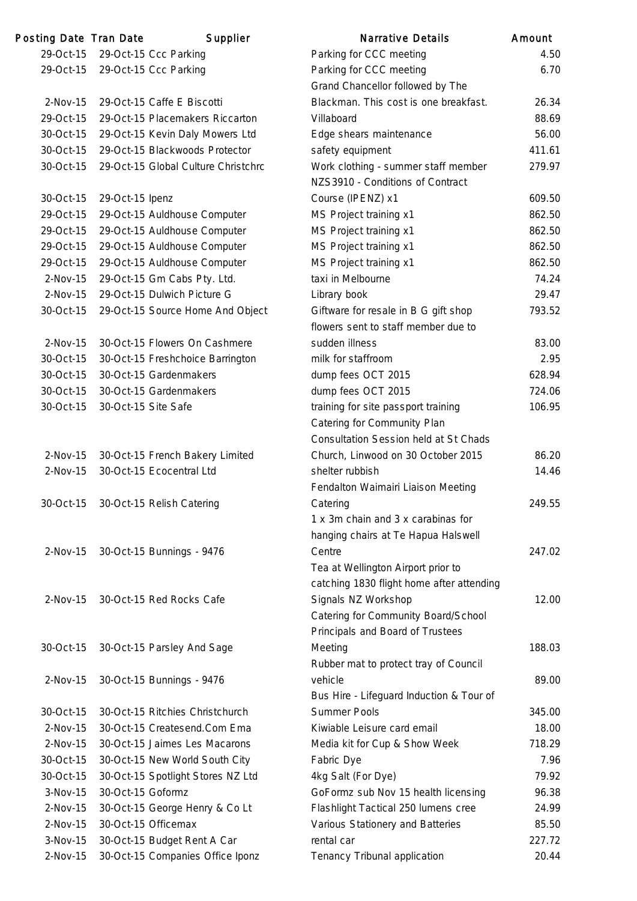| Posting Date Tran Date |                     | Supplier                            | Narrative Details                            | Amount |
|------------------------|---------------------|-------------------------------------|----------------------------------------------|--------|
| 29-Oct-15              |                     | 29-Oct-15 Ccc Parking               | Parking for CCC meeting                      | 4.50   |
| 29-Oct-15              |                     | 29-Oct-15 Ccc Parking               | Parking for CCC meeting                      | 6.70   |
|                        |                     |                                     | Grand Chancellor followed by The             |        |
| $2-Nov-15$             |                     | 29-Oct-15 Caffe E Biscotti          | Blackman. This cost is one breakfast.        | 26.34  |
| 29-Oct-15              |                     | 29-Oct-15 Placemakers Riccarton     | Villaboard                                   | 88.69  |
| 30-Oct-15              |                     | 29-Oct-15 Kevin Daly Mowers Ltd     | Edge shears maintenance                      | 56.00  |
| 30-Oct-15              |                     | 29-Oct-15 Blackwoods Protector      | safety equipment                             | 411.61 |
| 30-Oct-15              |                     | 29-Oct-15 Global Culture Christchrc | Work clothing - summer staff member          | 279.97 |
|                        |                     |                                     | NZS3910 - Conditions of Contract             |        |
| 30-Oct-15              | 29-Oct-15 Ipenz     |                                     | Course (IPENZ) x1                            | 609.50 |
| 29-Oct-15              |                     | 29-Oct-15 Auldhouse Computer        | MS Project training x1                       | 862.50 |
| 29-Oct-15              |                     | 29-Oct-15 Auldhouse Computer        | MS Project training x1                       | 862.50 |
| 29-Oct-15              |                     | 29-Oct-15 Auldhouse Computer        | MS Project training x1                       | 862.50 |
| 29-Oct-15              |                     | 29-Oct-15 Auldhouse Computer        | MS Project training x1                       | 862.50 |
| $2-Nov-15$             |                     | 29-Oct-15 Gm Cabs Pty. Ltd.         | taxi in Melbourne                            | 74.24  |
| $2-Nov-15$             |                     | 29-Oct-15 Dulwich Picture G         | Library book                                 | 29.47  |
| 30-Oct-15              |                     | 29-Oct-15 Source Home And Object    | Giftware for resale in B G gift shop         | 793.52 |
|                        |                     |                                     | flowers sent to staff member due to          |        |
| $2-Nov-15$             |                     | 30-Oct-15 Flowers On Cashmere       | sudden illness                               | 83.00  |
| 30-Oct-15              |                     | 30-Oct-15 Freshchoice Barrington    | milk for staffroom                           | 2.95   |
| 30-Oct-15              |                     | 30-Oct-15 Gardenmakers              | dump fees OCT 2015                           | 628.94 |
| 30-Oct-15              |                     | 30-Oct-15 Gardenmakers              | dump fees OCT 2015                           | 724.06 |
| 30-Oct-15              | 30-Oct-15 Site Safe |                                     | training for site passport training          | 106.95 |
|                        |                     |                                     | Catering for Community Plan                  |        |
|                        |                     |                                     | <b>Consultation Session held at St Chads</b> |        |
| $2-Nov-15$             |                     | 30-Oct-15 French Bakery Limited     | Church, Linwood on 30 October 2015           | 86.20  |
| 2-Nov-15               |                     | 30-Oct-15 Ecocentral Ltd            | shelter rubbish                              | 14.46  |
|                        |                     |                                     | Fendalton Waimairi Liaison Meeting           |        |
| 30-Oct-15              |                     | 30-Oct-15 Relish Catering           | Catering                                     | 249.55 |
|                        |                     |                                     | 1 x 3m chain and 3 x carabinas for           |        |
|                        |                     |                                     | hanging chairs at Te Hapua Halswell          |        |
| $2-Nov-15$             |                     | 30-Oct-15 Bunnings - 9476           | Centre                                       | 247.02 |
|                        |                     |                                     | Tea at Wellington Airport prior to           |        |
|                        |                     |                                     | catching 1830 flight home after attending    |        |
| $2-Nov-15$             |                     | 30-Oct-15 Red Rocks Cafe            | Signals NZ Workshop                          | 12.00  |
|                        |                     |                                     | Catering for Community Board/School          |        |
|                        |                     |                                     | Principals and Board of Trustees             |        |
| 30-Oct-15              |                     | 30-Oct-15 Parsley And Sage          | Meeting                                      | 188.03 |
|                        |                     |                                     | Rubber mat to protect tray of Council        |        |
| $2-Nov-15$             |                     | 30-Oct-15 Bunnings - 9476           | vehicle                                      | 89.00  |
|                        |                     |                                     | Bus Hire - Lifeguard Induction & Tour of     |        |
| 30-Oct-15              |                     | 30-Oct-15 Ritchies Christchurch     | <b>Summer Pools</b>                          | 345.00 |
| 2-Nov-15               |                     | 30-Oct-15 Createsend.Com Ema        | Kiwiable Leisure card email                  | 18.00  |
| $2-Nov-15$             |                     | 30-Oct-15 Jaimes Les Macarons       | Media kit for Cup & Show Week                | 718.29 |
| 30-Oct-15              |                     | 30-Oct-15 New World South City      | Fabric Dye                                   | 7.96   |
| 30-Oct-15              |                     | 30-Oct-15 Spotlight Stores NZ Ltd   | 4kg Salt (For Dye)                           | 79.92  |
| $3-Nov-15$             | 30-Oct-15 Goformz   |                                     | GoFormz sub Nov 15 health licensing          | 96.38  |
| 2-Nov-15               |                     | 30-Oct-15 George Henry & Co Lt      | Flashlight Tactical 250 lumens cree          | 24.99  |
| $2-Nov-15$             |                     | 30-Oct-15 Officemax                 | Various Stationery and Batteries             | 85.50  |
| $3-Nov-15$             |                     | 30-Oct-15 Budget Rent A Car         | rental car                                   | 227.72 |
| 2-Nov-15               |                     | 30-Oct-15 Companies Office Iponz    | Tenancy Tribunal application                 | 20.44  |
|                        |                     |                                     |                                              |        |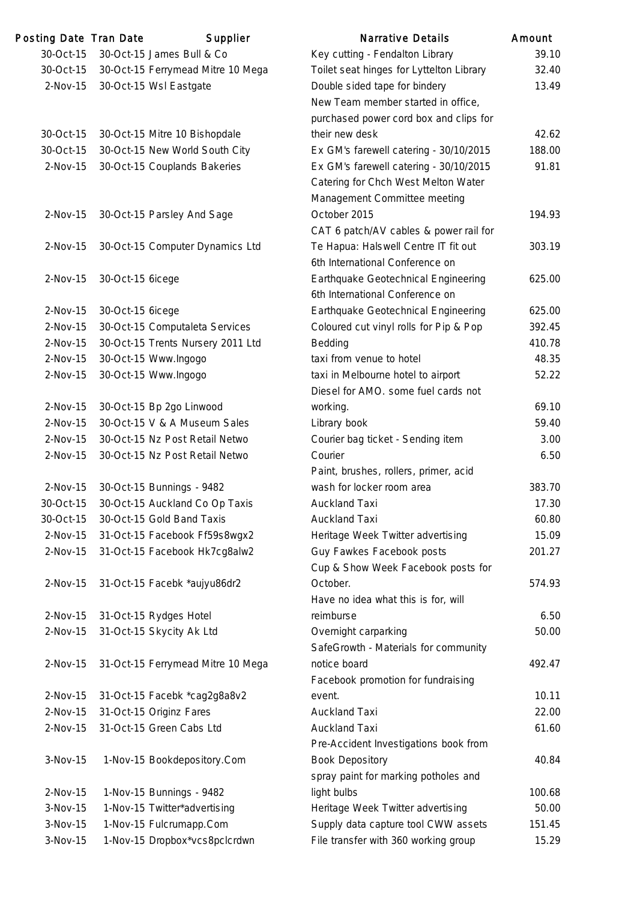| Posting Date Tran Date |                  | Supplier                          | <b>Narrative Details</b>                                                | Amount |
|------------------------|------------------|-----------------------------------|-------------------------------------------------------------------------|--------|
| 30-Oct-15              |                  | 30-Oct-15 James Bull & Co         | Key cutting - Fendalton Library                                         | 39.10  |
| 30-Oct-15              |                  | 30-Oct-15 Ferrymead Mitre 10 Mega | Toilet seat hinges for Lyttelton Library                                | 32.40  |
| $2-Nov-15$             |                  | 30-Oct-15 Wsl Eastgate            | Double sided tape for bindery                                           | 13.49  |
|                        |                  |                                   | New Team member started in office,                                      |        |
|                        |                  |                                   | purchased power cord box and clips for                                  |        |
| 30-Oct-15              |                  | 30-Oct-15 Mitre 10 Bishopdale     | their new desk                                                          | 42.62  |
| 30-Oct-15              |                  | 30-Oct-15 New World South City    | Ex GM's farewell catering - 30/10/2015                                  | 188.00 |
| 2-Nov-15               |                  | 30-Oct-15 Couplands Bakeries      | Ex GM's farewell catering - 30/10/2015                                  | 91.81  |
|                        |                  |                                   | Catering for Chch West Melton Water                                     |        |
|                        |                  |                                   | Management Committee meeting                                            |        |
| $2-Nov-15$             |                  | 30-Oct-15 Parsley And Sage        | October 2015                                                            | 194.93 |
|                        |                  |                                   | CAT 6 patch/AV cables & power rail for                                  |        |
| 2-Nov-15               |                  | 30-Oct-15 Computer Dynamics Ltd   | Te Hapua: Halswell Centre IT fit out<br>6th International Conference on | 303.19 |
| 2-Nov-15               | 30-Oct-15 6icege |                                   | Earthquake Geotechnical Engineering<br>6th International Conference on  | 625.00 |
| $2-Nov-15$             | 30-Oct-15 6icege |                                   | Earthquake Geotechnical Engineering                                     | 625.00 |
| 2-Nov-15               |                  | 30-Oct-15 Computaleta Services    | Coloured cut vinyl rolls for Pip & Pop                                  | 392.45 |
| 2-Nov-15               |                  | 30-Oct-15 Trents Nursery 2011 Ltd | Bedding                                                                 | 410.78 |
| 2-Nov-15               |                  | 30-Oct-15 Www.Ingogo              | taxi from venue to hotel                                                | 48.35  |
| 2-Nov-15               |                  | 30-Oct-15 Www.Ingogo              | taxi in Melbourne hotel to airport                                      | 52.22  |
|                        |                  |                                   | Diesel for AMO. some fuel cards not                                     |        |
| 2-Nov-15               |                  | 30-Oct-15 Bp 2go Linwood          | working.                                                                | 69.10  |
| $2-Nov-15$             |                  | 30-Oct-15 V & A Museum Sales      | Library book                                                            | 59.40  |
| 2-Nov-15               |                  | 30-Oct-15 Nz Post Retail Netwo    | Courier bag ticket - Sending item                                       | 3.00   |
| 2-Nov-15               |                  | 30-Oct-15 Nz Post Retail Netwo    | Courier                                                                 | 6.50   |
|                        |                  |                                   | Paint, brushes, rollers, primer, acid                                   |        |
| 2-Nov-15               |                  | 30-Oct-15 Bunnings - 9482         | wash for locker room area                                               | 383.70 |
| 30-Oct-15              |                  | 30-Oct-15 Auckland Co Op Taxis    | <b>Auckland Taxi</b>                                                    | 17.30  |
| 30-Oct-15              |                  | 30-Oct-15 Gold Band Taxis         | <b>Auckland Taxi</b>                                                    | 60.80  |
| 2-Nov-15               |                  | 31-Oct-15 Facebook Ff59s8wgx2     | Heritage Week Twitter advertising                                       | 15.09  |
| 2-Nov-15               |                  | 31-Oct-15 Facebook Hk7cg8alw2     | Guy Fawkes Facebook posts                                               | 201.27 |
|                        |                  |                                   | Cup & Show Week Facebook posts for                                      |        |
| 2-Nov-15               |                  | 31-Oct-15 Facebk *aujyu86dr2      | October.                                                                | 574.93 |
|                        |                  |                                   | Have no idea what this is for, will                                     |        |
| $2-Nov-15$             |                  | 31-Oct-15 Rydges Hotel            | reimburse                                                               | 6.50   |
| 2-Nov-15               |                  | 31-Oct-15 Skycity Ak Ltd          | Overnight carparking                                                    | 50.00  |
|                        |                  |                                   | SafeGrowth - Materials for community                                    |        |
| 2-Nov-15               |                  | 31-Oct-15 Ferrymead Mitre 10 Mega | notice board                                                            | 492.47 |
|                        |                  |                                   | Facebook promotion for fundraising                                      |        |
| $2-Nov-15$             |                  | 31-Oct-15 Facebk *cag2g8a8v2      | event.                                                                  | 10.11  |
| 2-Nov-15               |                  | 31-Oct-15 Originz Fares           | <b>Auckland Taxi</b>                                                    | 22.00  |
| 2-Nov-15               |                  | 31-Oct-15 Green Cabs Ltd          | <b>Auckland Taxi</b>                                                    | 61.60  |
|                        |                  |                                   | Pre-Accident Investigations book from                                   |        |
| 3-Nov-15               |                  | 1-Nov-15 Bookdepository.Com       | <b>Book Depository</b>                                                  | 40.84  |
|                        |                  |                                   | spray paint for marking potholes and                                    |        |
| 2-Nov-15               |                  | 1-Nov-15 Bunnings - 9482          | light bulbs                                                             | 100.68 |
| 3-Nov-15               |                  | 1-Nov-15 Twitter*advertising      | Heritage Week Twitter advertising                                       | 50.00  |
| 3-Nov-15               |                  | 1-Nov-15 Fulcrumapp.Com           | Supply data capture tool CWW assets                                     | 151.45 |
| 3-Nov-15               |                  | 1-Nov-15 Dropbox*vcs8pclcrdwn     | File transfer with 360 working group                                    | 15.29  |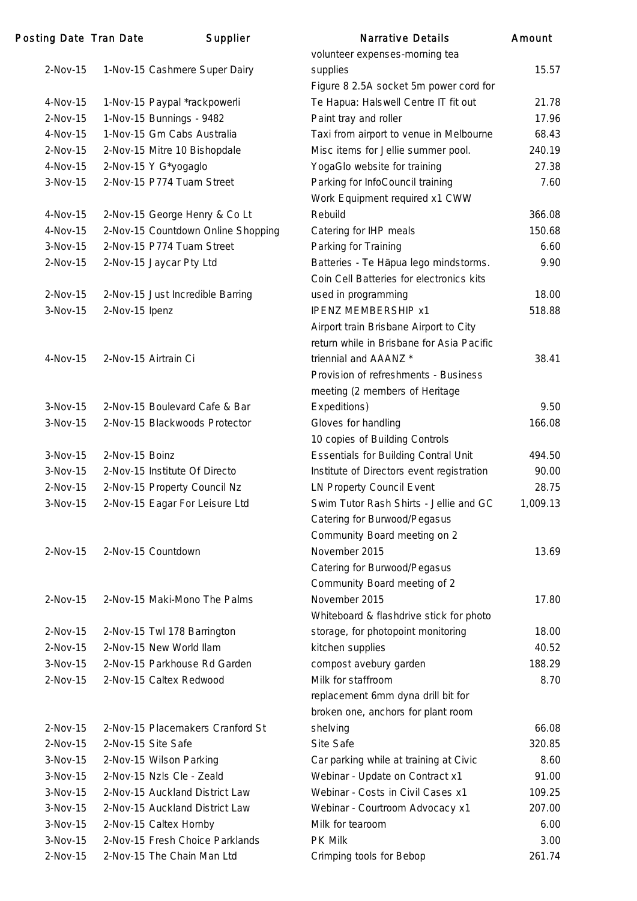| Posting Date Tran Date |                | Supplier                                | <b>Narrative Details</b>                    | Amount   |
|------------------------|----------------|-----------------------------------------|---------------------------------------------|----------|
|                        |                |                                         | volunteer expenses-morning tea              |          |
| $2-Nov-15$             |                | 1-Nov-15 Cashmere Super Dairy           | supplies                                    | 15.57    |
|                        |                |                                         | Figure 8 2.5A socket 5m power cord for      |          |
| 4-Nov-15               |                | 1-Nov-15 Paypal *rackpowerli            | Te Hapua: Halswell Centre IT fit out        | 21.78    |
| $2-Nov-15$             |                | 1-Nov-15 Bunnings - 9482                | Paint tray and roller                       | 17.96    |
| 4-Nov-15               |                | 1-Nov-15 Gm Cabs Australia              | Taxi from airport to venue in Melbourne     | 68.43    |
| 2-Nov-15               |                | 2-Nov-15 Mitre 10 Bishopdale            | Misc items for Jellie summer pool.          | 240.19   |
| 4-Nov-15               |                | 2-Nov-15 Y G*yogaglo                    | YogaGlo website for training                | 27.38    |
| 3-Nov-15               |                | 2-Nov-15 P774 Tuam Street               | Parking for InfoCouncil training            | 7.60     |
|                        |                |                                         | Work Equipment required x1 CWW              |          |
| 4-Nov-15               |                | 2-Nov-15 George Henry & Co Lt           | Rebuild                                     | 366.08   |
| 4-Nov-15               |                | 2-Nov-15 Countdown Online Shopping      | Catering for IHP meals                      | 150.68   |
| 3-Nov-15               |                | 2-Nov-15 P774 Tuam Street               | Parking for Training                        | 6.60     |
| 2-Nov-15               |                | 2-Nov-15 Jaycar Pty Ltd                 | Batteries - Te Hāpua lego mindstorms.       | 9.90     |
|                        |                |                                         | Coin Cell Batteries for electronics kits    |          |
| $2-Nov-15$             |                | 2-Nov-15 Just Incredible Barring        | used in programming                         | 18.00    |
| 3-Nov-15               | 2-Nov-15 Ipenz |                                         | <b>IPENZ MEMBERSHIP x1</b>                  | 518.88   |
|                        |                |                                         | Airport train Brisbane Airport to City      |          |
|                        |                |                                         | return while in Brisbane for Asia Pacific   |          |
| 4-Nov-15               |                | 2-Nov-15 Airtrain Ci                    | triennial and AAANZ *                       | 38.41    |
|                        |                |                                         | Provision of refreshments - Business        |          |
|                        |                |                                         | meeting (2 members of Heritage              |          |
| $3-Nov-15$             |                | 2-Nov-15 Boulevard Cafe & Bar           | Expeditions)                                | 9.50     |
| 3-Nov-15               |                | 2-Nov-15 Blackwoods Protector           | Gloves for handling                         | 166.08   |
|                        |                |                                         | 10 copies of Building Controls              |          |
| 3-Nov-15               | 2-Nov-15 Boinz |                                         | <b>Essentials for Building Contral Unit</b> | 494.50   |
| 3-Nov-15               |                | 2-Nov-15 Institute Of Directo           | Institute of Directors event registration   | 90.00    |
| 2-Nov-15               |                | 2-Nov-15 Property Council Nz            | LN Property Council Event                   | 28.75    |
|                        |                | 3-Nov-15 2-Nov-15 Eagar For Leisure Ltd | Swim Tutor Rash Shirts - Jellie and GC      | 1,009.13 |
|                        |                |                                         | Catering for Burwood/Pegasus                |          |
|                        |                |                                         | Community Board meeting on 2                |          |
| 2-Nov-15               |                | 2-Nov-15 Countdown                      | November 2015                               | 13.69    |
|                        |                |                                         | Catering for Burwood/Pegasus                |          |
|                        |                |                                         | Community Board meeting of 2                |          |
| 2-Nov-15               |                | 2-Nov-15 Maki-Mono The Palms            | November 2015                               | 17.80    |
|                        |                |                                         | Whiteboard & flashdrive stick for photo     |          |
| $2-Nov-15$             |                | 2-Nov-15 Twl 178 Barrington             | storage, for photopoint monitoring          | 18.00    |
| 2-Nov-15               |                | 2-Nov-15 New World Ilam                 | kitchen supplies                            | 40.52    |
| 3-Nov-15               |                | 2-Nov-15 Parkhouse Rd Garden            | compost avebury garden                      | 188.29   |
| $2-Nov-15$             |                | 2-Nov-15 Caltex Redwood                 | Milk for staffroom                          | 8.70     |
|                        |                |                                         | replacement 6mm dyna drill bit for          |          |
|                        |                |                                         | broken one, anchors for plant room          |          |
| 2-Nov-15               |                | 2-Nov-15 Placemakers Cranford St        | shelving                                    | 66.08    |
| $2-Nov-15$             |                | 2-Nov-15 Site Safe                      | Site Safe                                   | 320.85   |
| 3-Nov-15               |                | 2-Nov-15 Wilson Parking                 | Car parking while at training at Civic      | 8.60     |
| 3-Nov-15               |                | 2-Nov-15 Nzls Cle - Zeald               | Webinar - Update on Contract x1             | 91.00    |
| 3-Nov-15               |                | 2-Nov-15 Auckland District Law          | Webinar - Costs in Civil Cases x1           | 109.25   |
| 3-Nov-15               |                | 2-Nov-15 Auckland District Law          | Webinar - Courtroom Advocacy x1             | 207.00   |
| 3-Nov-15               |                | 2-Nov-15 Caltex Hornby                  | Milk for tearoom                            | 6.00     |
| 3-Nov-15               |                | 2-Nov-15 Fresh Choice Parklands         | PK Milk                                     | 3.00     |
| 2-Nov-15               |                | 2-Nov-15 The Chain Man Ltd              | Crimping tools for Bebop                    | 261.74   |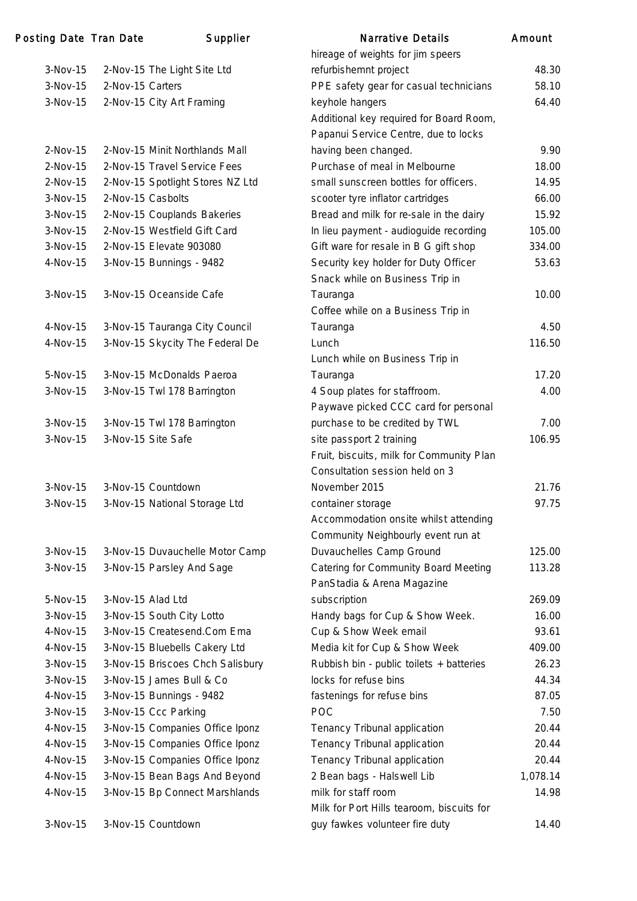| Posting Date Tran Date |                   | Supplier                         | <b>Narrative Details</b>                                   | Amount   |
|------------------------|-------------------|----------------------------------|------------------------------------------------------------|----------|
|                        |                   |                                  | hireage of weights for jim speers                          |          |
| $3-Nov-15$             |                   | 2-Nov-15 The Light Site Ltd      | refurbishemnt project                                      | 48.30    |
| $3-Nov-15$             | 2-Nov-15 Carters  |                                  | PPE safety gear for casual technicians                     | 58.10    |
| $3-Nov-15$             |                   | 2-Nov-15 City Art Framing        | keyhole hangers                                            | 64.40    |
|                        |                   |                                  | Additional key required for Board Room,                    |          |
|                        |                   |                                  | Papanui Service Centre, due to locks                       |          |
| $2-Nov-15$             |                   | 2-Nov-15 Minit Northlands Mall   | having been changed.                                       | 9.90     |
| $2-Nov-15$             |                   | 2-Nov-15 Travel Service Fees     | Purchase of meal in Melbourne                              | 18.00    |
| $2-Nov-15$             |                   | 2-Nov-15 Spotlight Stores NZ Ltd | small sunscreen bottles for officers.                      | 14.95    |
| 3-Nov-15               | 2-Nov-15 Casbolts |                                  | scooter tyre inflator cartridges                           | 66.00    |
| 3-Nov-15               |                   | 2-Nov-15 Couplands Bakeries      | Bread and milk for re-sale in the dairy                    | 15.92    |
| $3-Nov-15$             |                   | 2-Nov-15 Westfield Gift Card     | In lieu payment - audioguide recording                     | 105.00   |
| $3-Nov-15$             |                   | 2-Nov-15 Elevate 903080          | Gift ware for resale in B G gift shop                      | 334.00   |
| 4-Nov-15               |                   | 3-Nov-15 Bunnings - 9482         | Security key holder for Duty Officer                       | 53.63    |
|                        |                   |                                  | Snack while on Business Trip in                            |          |
| $3-Nov-15$             |                   | 3-Nov-15 Oceanside Cafe          | Tauranga                                                   | 10.00    |
|                        |                   |                                  | Coffee while on a Business Trip in                         |          |
| 4-Nov-15               |                   | 3-Nov-15 Tauranga City Council   | Tauranga                                                   | 4.50     |
| 4-Nov-15               |                   | 3-Nov-15 Skycity The Federal De  | Lunch                                                      | 116.50   |
|                        |                   |                                  | Lunch while on Business Trip in                            |          |
| 5-Nov-15               |                   | 3-Nov-15 McDonalds Paeroa        | Tauranga                                                   | 17.20    |
| $3-Nov-15$             |                   | 3-Nov-15 Twl 178 Barrington      | 4 Soup plates for staffroom.                               | 4.00     |
|                        |                   |                                  | Paywave picked CCC card for personal                       |          |
| 3-Nov-15               |                   | 3-Nov-15 Twl 178 Barrington      | purchase to be credited by TWL                             | 7.00     |
| $3-Nov-15$             |                   | 3-Nov-15 Site Safe               | site passport 2 training                                   | 106.95   |
|                        |                   |                                  | Fruit, biscuits, milk for Community Plan                   |          |
|                        |                   |                                  | Consultation session held on 3                             |          |
| $3-Nov-15$             |                   | 3-Nov-15 Countdown               | November 2015                                              | 21.76    |
| $3-Nov-15$             |                   | 3-Nov-15 National Storage Ltd    |                                                            | 97.75    |
|                        |                   |                                  | container storage<br>Accommodation onsite whilst attending |          |
|                        |                   |                                  |                                                            |          |
|                        |                   |                                  | Community Neighbourly event run at                         |          |
| $3-Nov-15$             |                   | 3-Nov-15 Duvauchelle Motor Camp  | Duvauchelles Camp Ground                                   | 125.00   |
| $3-Nov-15$             |                   | 3-Nov-15 Parsley And Sage        | Catering for Community Board Meeting                       | 113.28   |
|                        |                   |                                  | PanStadia & Arena Magazine                                 |          |
| 5-Nov-15               | 3-Nov-15 Alad Ltd |                                  | subscription                                               | 269.09   |
| $3-Nov-15$             |                   | 3-Nov-15 South City Lotto        | Handy bags for Cup & Show Week.                            | 16.00    |
| 4-Nov-15               |                   | 3-Nov-15 Createsend.Com Ema      | Cup & Show Week email                                      | 93.61    |
| 4-Nov-15               |                   | 3-Nov-15 Bluebells Cakery Ltd    | Media kit for Cup & Show Week                              | 409.00   |
| $3-Nov-15$             |                   | 3-Nov-15 Briscoes Chch Salisbury | Rubbish bin - public toilets + batteries                   | 26.23    |
| $3-Nov-15$             |                   | 3-Nov-15 James Bull & Co         | locks for refuse bins                                      | 44.34    |
| 4-Nov-15               |                   | 3-Nov-15 Bunnings - 9482         | fastenings for refuse bins                                 | 87.05    |
| $3-Nov-15$             |                   | 3-Nov-15 Ccc Parking             | POC                                                        | 7.50     |
| 4-Nov-15               |                   | 3-Nov-15 Companies Office Iponz  | Tenancy Tribunal application                               | 20.44    |
| 4-Nov-15               |                   | 3-Nov-15 Companies Office Iponz  | Tenancy Tribunal application                               | 20.44    |
| 4-Nov-15               |                   | 3-Nov-15 Companies Office Iponz  | Tenancy Tribunal application                               | 20.44    |
| 4-Nov-15               |                   | 3-Nov-15 Bean Bags And Beyond    | 2 Bean bags - Halswell Lib                                 | 1,078.14 |
| 4-Nov-15               |                   | 3-Nov-15 Bp Connect Marshlands   | milk for staff room                                        | 14.98    |
|                        |                   |                                  | Milk for Port Hills tearoom, biscuits for                  |          |
| $3-Nov-15$             |                   | 3-Nov-15 Countdown               | guy fawkes volunteer fire duty                             | 14.40    |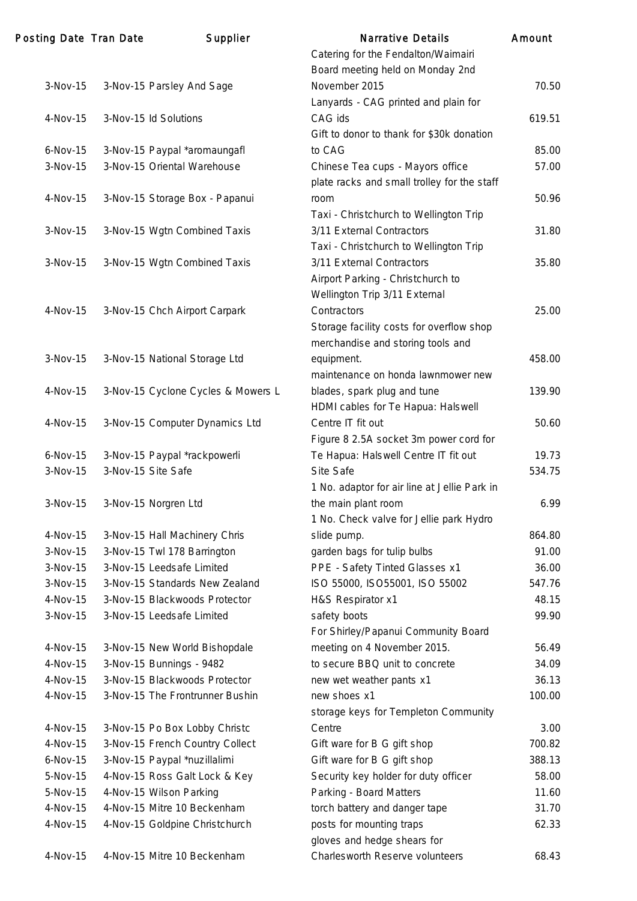| Posting Date Tran Date | Supplier                           | Narrative Details                            | Amount |
|------------------------|------------------------------------|----------------------------------------------|--------|
|                        |                                    | Catering for the Fendalton/Waimairi          |        |
|                        |                                    | Board meeting held on Monday 2nd             |        |
| $3-Nov-15$             | 3-Nov-15 Parsley And Sage          | November 2015                                | 70.50  |
|                        |                                    | Lanyards - CAG printed and plain for         |        |
| 4-Nov-15               | 3-Nov-15 Id Solutions              | CAG ids                                      | 619.51 |
|                        |                                    | Gift to donor to thank for \$30k donation    |        |
| $6-Nov-15$             | 3-Nov-15 Paypal *aromaungafl       | to CAG                                       | 85.00  |
| $3-Nov-15$             | 3-Nov-15 Oriental Warehouse        | Chinese Tea cups - Mayors office             | 57.00  |
|                        |                                    | plate racks and small trolley for the staff  |        |
| 4-Nov-15               | 3-Nov-15 Storage Box - Papanui     | room                                         | 50.96  |
|                        |                                    | Taxi - Christchurch to Wellington Trip       |        |
| 3-Nov-15               | 3-Nov-15 Wgtn Combined Taxis       | 3/11 External Contractors                    | 31.80  |
|                        |                                    | Taxi - Christchurch to Wellington Trip       |        |
| $3-Nov-15$             | 3-Nov-15 Wgtn Combined Taxis       | 3/11 External Contractors                    | 35.80  |
|                        |                                    | Airport Parking - Christchurch to            |        |
|                        |                                    | Wellington Trip 3/11 External                |        |
| 4-Nov-15               | 3-Nov-15 Chch Airport Carpark      | Contractors                                  | 25.00  |
|                        |                                    | Storage facility costs for overflow shop     |        |
|                        |                                    | merchandise and storing tools and            |        |
| 3-Nov-15               | 3-Nov-15 National Storage Ltd      | equipment.                                   | 458.00 |
|                        |                                    | maintenance on honda lawnmower new           |        |
| 4-Nov-15               | 3-Nov-15 Cyclone Cycles & Mowers L | blades, spark plug and tune                  | 139.90 |
|                        |                                    | HDMI cables for Te Hapua: Halswell           |        |
| 4-Nov-15               | 3-Nov-15 Computer Dynamics Ltd     | Centre IT fit out                            | 50.60  |
|                        |                                    | Figure 8 2.5A socket 3m power cord for       |        |
| $6-Nov-15$             | 3-Nov-15 Paypal *rackpowerli       | Te Hapua: Halswell Centre IT fit out         | 19.73  |
| 3-Nov-15               | 3-Nov-15 Site Safe                 | Site Safe                                    | 534.75 |
|                        |                                    | 1 No. adaptor for air line at Jellie Park in |        |
| $3-Nov-15$             | 3-Nov-15 Norgren Ltd               | the main plant room                          | 6.99   |
|                        |                                    | 1 No. Check valve for Jellie park Hydro      |        |
| 4-Nov-15               | 3-Nov-15 Hall Machinery Chris      | slide pump.                                  | 864.80 |
| 3-Nov-15               | 3-Nov-15 Twl 178 Barrington        | garden bags for tulip bulbs                  | 91.00  |
| 3-Nov-15               | 3-Nov-15 Leedsafe Limited          | PPE - Safety Tinted Glasses x1               | 36.00  |
| 3-Nov-15               | 3-Nov-15 Standards New Zealand     | ISO 55000, ISO55001, ISO 55002               | 547.76 |
| 4-Nov-15               | 3-Nov-15 Blackwoods Protector      | H&S Respirator x1                            | 48.15  |
| 3-Nov-15               | 3-Nov-15 Leedsafe Limited          | safety boots                                 | 99.90  |
|                        |                                    | For Shirley/Papanui Community Board          |        |
| 4-Nov-15               | 3-Nov-15 New World Bishopdale      | meeting on 4 November 2015.                  | 56.49  |
| 4-Nov-15               | 3-Nov-15 Bunnings - 9482           | to secure BBQ unit to concrete               | 34.09  |
| 4-Nov-15               | 3-Nov-15 Blackwoods Protector      | new wet weather pants x1                     | 36.13  |
| 4-Nov-15               | 3-Nov-15 The Frontrunner Bushin    | new shoes x1                                 | 100.00 |
|                        |                                    | storage keys for Templeton Community         |        |
| 4-Nov-15               | 3-Nov-15 Po Box Lobby Christc      | Centre                                       | 3.00   |
| 4-Nov-15               | 3-Nov-15 French Country Collect    | Gift ware for B G gift shop                  | 700.82 |
| $6-Nov-15$             | 3-Nov-15 Paypal *nuzillalimi       | Gift ware for B G gift shop                  | 388.13 |
| 5-Nov-15               | 4-Nov-15 Ross Galt Lock & Key      | Security key holder for duty officer         | 58.00  |
| 5-Nov-15               | 4-Nov-15 Wilson Parking            | Parking - Board Matters                      | 11.60  |
| 4-Nov-15               | 4-Nov-15 Mitre 10 Beckenham        | torch battery and danger tape                | 31.70  |
| 4-Nov-15               | 4-Nov-15 Goldpine Christchurch     | posts for mounting traps                     | 62.33  |
|                        |                                    | gloves and hedge shears for                  |        |
| 4-Nov-15               | 4-Nov-15 Mitre 10 Beckenham        | Charlesworth Reserve volunteers              | 68.43  |
|                        |                                    |                                              |        |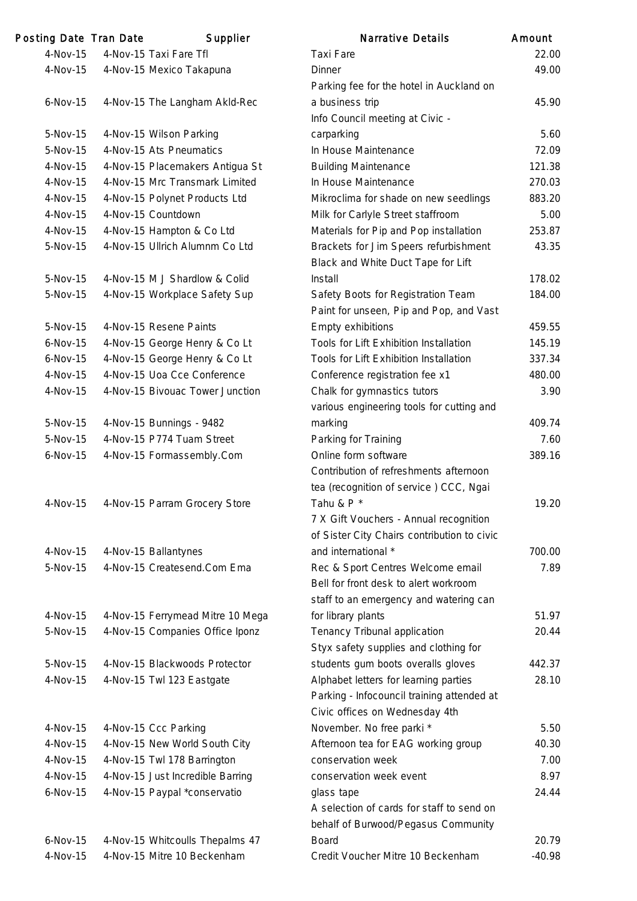| Posting Date Tran Date | Supplier                         | <b>Narrative Details</b>                                                    | Amount   |
|------------------------|----------------------------------|-----------------------------------------------------------------------------|----------|
| 4-Nov-15               | 4-Nov-15 Taxi Fare Tfl           | <b>Taxi Fare</b>                                                            | 22.00    |
| 4-Nov-15               | 4-Nov-15 Mexico Takapuna         | <b>Dinner</b>                                                               | 49.00    |
|                        |                                  | Parking fee for the hotel in Auckland on                                    |          |
| $6-Nov-15$             | 4-Nov-15 The Langham Akld-Rec    | a business trip                                                             | 45.90    |
|                        |                                  | Info Council meeting at Civic -                                             |          |
| 5-Nov-15               | 4-Nov-15 Wilson Parking          | carparking                                                                  | 5.60     |
| 5-Nov-15               | 4-Nov-15 Ats Pneumatics          | In House Maintenance                                                        | 72.09    |
| 4-Nov-15               | 4-Nov-15 Placemakers Antigua St  | <b>Building Maintenance</b>                                                 | 121.38   |
| 4-Nov-15               | 4-Nov-15 Mrc Transmark Limited   | In House Maintenance                                                        | 270.03   |
| 4-Nov-15               | 4-Nov-15 Polynet Products Ltd    | Mikroclima for shade on new seedlings                                       | 883.20   |
| 4-Nov-15               | 4-Nov-15 Countdown               | Milk for Carlyle Street staffroom                                           | 5.00     |
| 4-Nov-15               | 4-Nov-15 Hampton & Co Ltd        | Materials for Pip and Pop installation                                      | 253.87   |
| 5-Nov-15               | 4-Nov-15 Ullrich Alumnm Co Ltd   | Brackets for Jim Speers refurbishment<br>Black and White Duct Tape for Lift | 43.35    |
| 5-Nov-15               | 4-Nov-15 M J Shardlow & Colid    | <b>Install</b>                                                              | 178.02   |
| 5-Nov-15               | 4-Nov-15 Workplace Safety Sup    | Safety Boots for Registration Team                                          | 184.00   |
|                        |                                  | Paint for unseen, Pip and Pop, and Vast                                     |          |
| 5-Nov-15               | 4-Nov-15 Resene Paints           | Empty exhibitions                                                           | 459.55   |
| $6-Nov-15$             | 4-Nov-15 George Henry & Co Lt    | Tools for Lift Exhibition Installation                                      | 145.19   |
| $6-Nov-15$             | 4-Nov-15 George Henry & Co Lt    | Tools for Lift Exhibition Installation                                      | 337.34   |
| 4-Nov-15               | 4-Nov-15 Uoa Cce Conference      | Conference registration fee x1                                              | 480.00   |
| 4-Nov-15               | 4-Nov-15 Bivouac Tower Junction  | Chalk for gymnastics tutors                                                 | 3.90     |
|                        |                                  | various engineering tools for cutting and                                   |          |
| 5-Nov-15               | 4-Nov-15 Bunnings - 9482         | marking                                                                     | 409.74   |
| 5-Nov-15               | 4-Nov-15 P774 Tuam Street        | Parking for Training                                                        | 7.60     |
| $6-Nov-15$             | 4-Nov-15 Formassembly.Com        | Online form software                                                        | 389.16   |
|                        |                                  | Contribution of refreshments afternoon                                      |          |
|                        |                                  | tea (recognition of service) CCC, Ngai                                      |          |
| 4-Nov-15               | 4-Nov-15 Parram Grocery Store    | Tahu & P*                                                                   | 19.20    |
|                        |                                  | 7 X Gift Vouchers - Annual recognition                                      |          |
|                        |                                  | of Sister City Chairs contribution to civic                                 |          |
| 4-Nov-15               | 4-Nov-15 Ballantynes             | and international *                                                         | 700.00   |
| 5-Nov-15               | 4-Nov-15 Createsend.Com Ema      | Rec & Sport Centres Welcome email                                           | 7.89     |
|                        |                                  | Bell for front desk to alert workroom                                       |          |
|                        |                                  | staff to an emergency and watering can                                      |          |
| 4-Nov-15               | 4-Nov-15 Ferrymead Mitre 10 Mega | for library plants                                                          | 51.97    |
| 5-Nov-15               | 4-Nov-15 Companies Office Iponz  | Tenancy Tribunal application                                                | 20.44    |
|                        |                                  | Styx safety supplies and clothing for                                       |          |
| 5-Nov-15               | 4-Nov-15 Blackwoods Protector    | students gum boots overalls gloves                                          | 442.37   |
| 4-Nov-15               | 4-Nov-15 Twl 123 Eastgate        | Alphabet letters for learning parties                                       | 28.10    |
|                        |                                  | Parking - Infocouncil training attended at                                  |          |
|                        |                                  | Civic offices on Wednesday 4th                                              |          |
| $4$ -Nov-15            | 4-Nov-15 Ccc Parking             | November. No free parki *                                                   | 5.50     |
| 4-Nov-15               | 4-Nov-15 New World South City    | Afternoon tea for EAG working group                                         | 40.30    |
| 4-Nov-15               | 4-Nov-15 Twl 178 Barrington      | conservation week                                                           | 7.00     |
| 4-Nov-15               | 4-Nov-15 Just Incredible Barring | conservation week event                                                     | 8.97     |
| $6-Nov-15$             | 4-Nov-15 Paypal *conservatio     | glass tape                                                                  | 24.44    |
|                        |                                  | A selection of cards for staff to send on                                   |          |
|                        |                                  | behalf of Burwood/Pegasus Community                                         |          |
| $6-Nov-15$             | 4-Nov-15 Whitcoulls Thepalms 47  | <b>Board</b>                                                                | 20.79    |
| 4-Nov-15               | 4-Nov-15 Mitre 10 Beckenham      | Credit Voucher Mitre 10 Beckenham                                           | $-40.98$ |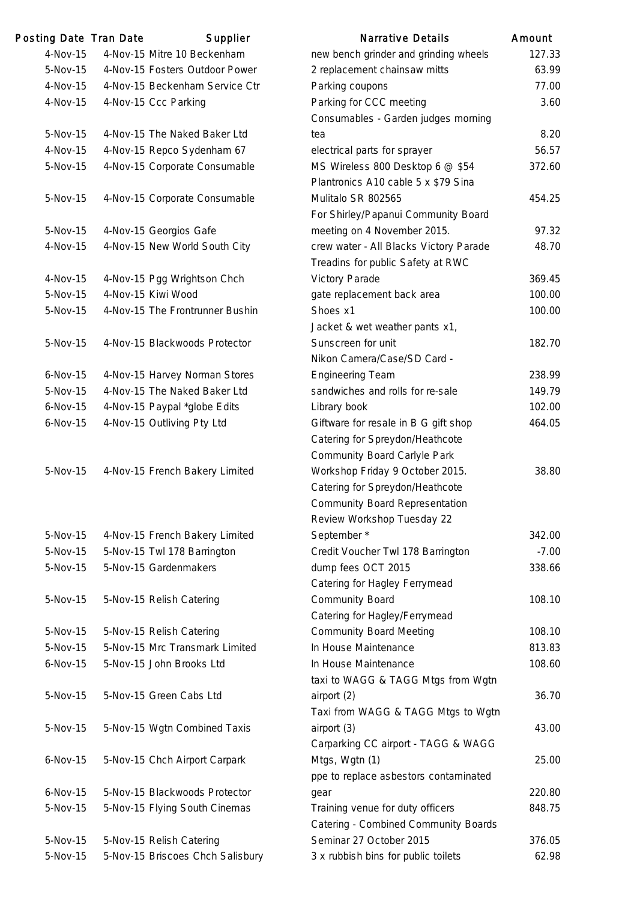| Posting Date Tran Date | Supplier                         | <b>Narrative Details</b>                                        | Amount  |
|------------------------|----------------------------------|-----------------------------------------------------------------|---------|
| 4-Nov-15               | 4-Nov-15 Mitre 10 Beckenham      | new bench grinder and grinding wheels                           | 127.33  |
| 5-Nov-15               | 4-Nov-15 Fosters Outdoor Power   | 2 replacement chainsaw mitts                                    | 63.99   |
| 4-Nov-15               | 4-Nov-15 Beckenham Service Ctr   | Parking coupons                                                 | 77.00   |
| 4-Nov-15               | 4-Nov-15 Ccc Parking             | Parking for CCC meeting                                         | 3.60    |
|                        |                                  | Consumables - Garden judges morning                             |         |
| 5-Nov-15               | 4-Nov-15 The Naked Baker Ltd     | tea                                                             | 8.20    |
| 4-Nov-15               | 4-Nov-15 Repco Sydenham 67       | electrical parts for sprayer                                    | 56.57   |
| 5-Nov-15               | 4-Nov-15 Corporate Consumable    | MS Wireless 800 Desktop 6 @ \$54                                | 372.60  |
|                        |                                  | Plantronics A10 cable 5 x \$79 Sina                             |         |
| 5-Nov-15               | 4-Nov-15 Corporate Consumable    | Mulitalo SR 802565                                              | 454.25  |
|                        |                                  | For Shirley/Papanui Community Board                             |         |
| 5-Nov-15               | 4-Nov-15 Georgios Gafe           | meeting on 4 November 2015.                                     | 97.32   |
| 4-Nov-15               | 4-Nov-15 New World South City    | crew water - All Blacks Victory Parade                          | 48.70   |
|                        |                                  | Treadins for public Safety at RWC                               |         |
| 4-Nov-15               | 4-Nov-15 Pgg Wrightson Chch      | <b>Victory Parade</b>                                           | 369.45  |
| 5-Nov-15               | 4-Nov-15 Kiwi Wood               | gate replacement back area                                      | 100.00  |
| 5-Nov-15               | 4-Nov-15 The Frontrunner Bushin  | Shoes x1                                                        | 100.00  |
|                        |                                  | Jacket & wet weather pants x1,                                  |         |
| 5-Nov-15               | 4-Nov-15 Blackwoods Protector    | Sunscreen for unit                                              | 182.70  |
|                        |                                  | Nikon Camera/Case/SD Card -                                     |         |
| $6-Nov-15$             | 4-Nov-15 Harvey Norman Stores    | <b>Engineering Team</b>                                         | 238.99  |
| 5-Nov-15               | 4-Nov-15 The Naked Baker Ltd     | sandwiches and rolls for re-sale                                | 149.79  |
| $6-Nov-15$             | 4-Nov-15 Paypal *globe Edits     | Library book                                                    | 102.00  |
| $6-Nov-15$             | 4-Nov-15 Outliving Pty Ltd       | Giftware for resale in B G gift shop                            | 464.05  |
|                        |                                  | Catering for Spreydon/Heathcote                                 |         |
|                        |                                  | <b>Community Board Carlyle Park</b>                             |         |
| 5-Nov-15               | 4-Nov-15 French Bakery Limited   | Workshop Friday 9 October 2015.                                 | 38.80   |
|                        |                                  | Catering for Spreydon/Heathcote                                 |         |
|                        |                                  | <b>Community Board Representation</b>                           |         |
|                        |                                  | Review Workshop Tuesday 22                                      |         |
| 5-Nov-15               | 4-Nov-15 French Bakery Limited   | September*                                                      | 342.00  |
| 5-Nov-15               | 5-Nov-15 Twl 178 Barrington      | Credit Voucher Twl 178 Barrington                               | $-7.00$ |
| 5-Nov-15               | 5-Nov-15 Gardenmakers            | dump fees OCT 2015                                              | 338.66  |
|                        |                                  | Catering for Hagley Ferrymead                                   |         |
| 5-Nov-15               | 5-Nov-15 Relish Catering         | <b>Community Board</b>                                          | 108.10  |
|                        |                                  | Catering for Hagley/Ferrymead                                   |         |
| 5-Nov-15               | 5-Nov-15 Relish Catering         | <b>Community Board Meeting</b>                                  | 108.10  |
| 5-Nov-15               | 5-Nov-15 Mrc Transmark Limited   | In House Maintenance                                            | 813.83  |
| $6-Nov-15$             | 5-Nov-15 John Brooks Ltd         | In House Maintenance                                            | 108.60  |
|                        |                                  | taxi to WAGG & TAGG Mtgs from Wgtn                              |         |
| 5-Nov-15               | 5-Nov-15 Green Cabs Ltd          | airport (2)                                                     | 36.70   |
|                        |                                  | Taxi from WAGG & TAGG Mtgs to Wgtn                              |         |
| 5-Nov-15               | 5-Nov-15 Wgtn Combined Taxis     | airport (3)                                                     | 43.00   |
|                        |                                  | Carparking CC airport - TAGG & WAGG                             |         |
| $6-Nov-15$             | 5-Nov-15 Chch Airport Carpark    | Mtgs, Wgtn (1)                                                  | 25.00   |
|                        |                                  | ppe to replace asbestors contaminated                           |         |
| $6-Nov-15$             | 5-Nov-15 Blackwoods Protector    | gear                                                            | 220.80  |
| 5-Nov-15               | 5-Nov-15 Flying South Cinemas    | Training venue for duty officers                                | 848.75  |
|                        |                                  | Catering - Combined Community Boards<br>Seminar 27 October 2015 | 376.05  |
| 5-Nov-15               | 5-Nov-15 Relish Catering         |                                                                 | 62.98   |
| 5-Nov-15               | 5-Nov-15 Briscoes Chch Salisbury | 3 x rubbish bins for public toilets                             |         |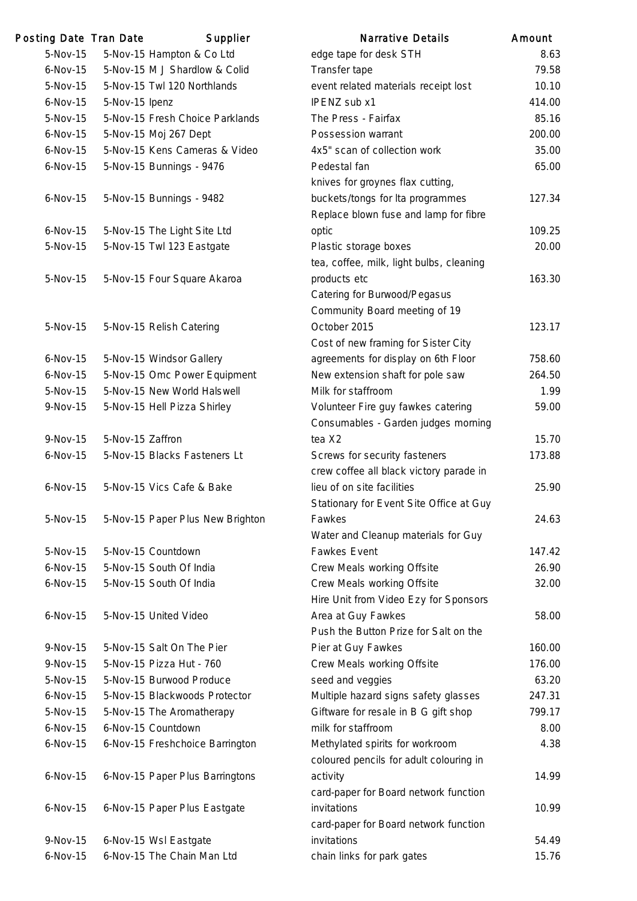| Posting Date Tran Date |                  | Supplier                         | <b>Narrative Details</b>                 | Amount |
|------------------------|------------------|----------------------------------|------------------------------------------|--------|
| 5-Nov-15               |                  | 5-Nov-15 Hampton & Co Ltd        | edge tape for desk STH                   | 8.63   |
| $6-Nov-15$             |                  | 5-Nov-15 M J Shardlow & Colid    | Transfer tape                            | 79.58  |
| 5-Nov-15               |                  | 5-Nov-15 Twl 120 Northlands      | event related materials receipt lost     | 10.10  |
| $6-Nov-15$             | 5-Nov-15 Ipenz   |                                  | IPENZ sub x1                             | 414.00 |
| 5-Nov-15               |                  | 5-Nov-15 Fresh Choice Parklands  | The Press - Fairfax                      | 85.16  |
| $6-Nov-15$             |                  | 5-Nov-15 Moj 267 Dept            | Possession warrant                       | 200.00 |
| $6-Nov-15$             |                  | 5-Nov-15 Kens Cameras & Video    | 4x5" scan of collection work             | 35.00  |
| $6-Nov-15$             |                  | 5-Nov-15 Bunnings - 9476         | Pedestal fan                             | 65.00  |
|                        |                  |                                  | knives for groynes flax cutting,         |        |
| $6-Nov-15$             |                  | 5-Nov-15 Bunnings - 9482         | buckets/tongs for Ita programmes         | 127.34 |
|                        |                  |                                  | Replace blown fuse and lamp for fibre    |        |
| $6-Nov-15$             |                  | 5-Nov-15 The Light Site Ltd      | optic                                    | 109.25 |
| 5-Nov-15               |                  | 5-Nov-15 Twl 123 Eastgate        | Plastic storage boxes                    | 20.00  |
|                        |                  |                                  | tea, coffee, milk, light bulbs, cleaning |        |
| 5-Nov-15               |                  | 5-Nov-15 Four Square Akaroa      | products etc                             | 163.30 |
|                        |                  |                                  | Catering for Burwood/Pegasus             |        |
|                        |                  |                                  | Community Board meeting of 19            |        |
| 5-Nov-15               |                  | 5-Nov-15 Relish Catering         | October 2015                             | 123.17 |
|                        |                  |                                  | Cost of new framing for Sister City      |        |
| $6-Nov-15$             |                  | 5-Nov-15 Windsor Gallery         | agreements for display on 6th Floor      | 758.60 |
| $6-Nov-15$             |                  | 5-Nov-15 Omc Power Equipment     | New extension shaft for pole saw         | 264.50 |
| 5-Nov-15               |                  | 5-Nov-15 New World Halswell      | Milk for staffroom                       | 1.99   |
| 9-Nov-15               |                  | 5-Nov-15 Hell Pizza Shirley      | Volunteer Fire guy fawkes catering       | 59.00  |
|                        |                  |                                  | Consumables - Garden judges morning      |        |
| 9-Nov-15               | 5-Nov-15 Zaffron |                                  | tea X2                                   | 15.70  |
| $6-Nov-15$             |                  | 5-Nov-15 Blacks Fasteners Lt     | Screws for security fasteners            | 173.88 |
|                        |                  |                                  | crew coffee all black victory parade in  |        |
| $6-Nov-15$             |                  | 5-Nov-15 Vics Cafe & Bake        | lieu of on site facilities               | 25.90  |
|                        |                  |                                  | Stationary for Event Site Office at Guy  |        |
| 5-Nov-15               |                  | 5-Nov-15 Paper Plus New Brighton | Fawkes                                   | 24.63  |
|                        |                  |                                  | Water and Cleanup materials for Guy      |        |
| 5-Nov-15               |                  | 5-Nov-15 Countdown               | <b>Fawkes Event</b>                      | 147.42 |
| $6-Nov-15$             |                  | 5-Nov-15 South Of India          | Crew Meals working Offsite               | 26.90  |
| $6-Nov-15$             |                  | 5-Nov-15 South Of India          | Crew Meals working Offsite               | 32.00  |
|                        |                  |                                  | Hire Unit from Video Ezy for Sponsors    |        |
| $6-Nov-15$             |                  | 5-Nov-15 United Video            | Area at Guy Fawkes                       | 58.00  |
|                        |                  |                                  | Push the Button Prize for Salt on the    |        |
| 9-Nov-15               |                  | 5-Nov-15 Salt On The Pier        | Pier at Guy Fawkes                       | 160.00 |
| 9-Nov-15               |                  | 5-Nov-15 Pizza Hut - 760         | Crew Meals working Offsite               | 176.00 |
| 5-Nov-15               |                  | 5-Nov-15 Burwood Produce         | seed and veggies                         | 63.20  |
| $6-Nov-15$             |                  | 5-Nov-15 Blackwoods Protector    | Multiple hazard signs safety glasses     | 247.31 |
| 5-Nov-15               |                  | 5-Nov-15 The Aromatherapy        | Giftware for resale in B G gift shop     | 799.17 |
| $6-Nov-15$             |                  | 6-Nov-15 Countdown               | milk for staffroom                       | 8.00   |
| $6-Nov-15$             |                  | 6-Nov-15 Freshchoice Barrington  | Methylated spirits for workroom          | 4.38   |
|                        |                  |                                  | coloured pencils for adult colouring in  |        |
| $6-Nov-15$             |                  | 6-Nov-15 Paper Plus Barringtons  | activity                                 | 14.99  |
|                        |                  |                                  | card-paper for Board network function    |        |
| $6-Nov-15$             |                  | 6-Nov-15 Paper Plus Eastgate     | invitations                              | 10.99  |
|                        |                  |                                  | card-paper for Board network function    |        |
| 9-Nov-15               |                  | 6-Nov-15 Wsl Eastgate            | invitations                              | 54.49  |
| $6-Nov-15$             |                  | 6-Nov-15 The Chain Man Ltd       | chain links for park gates               | 15.76  |
|                        |                  |                                  |                                          |        |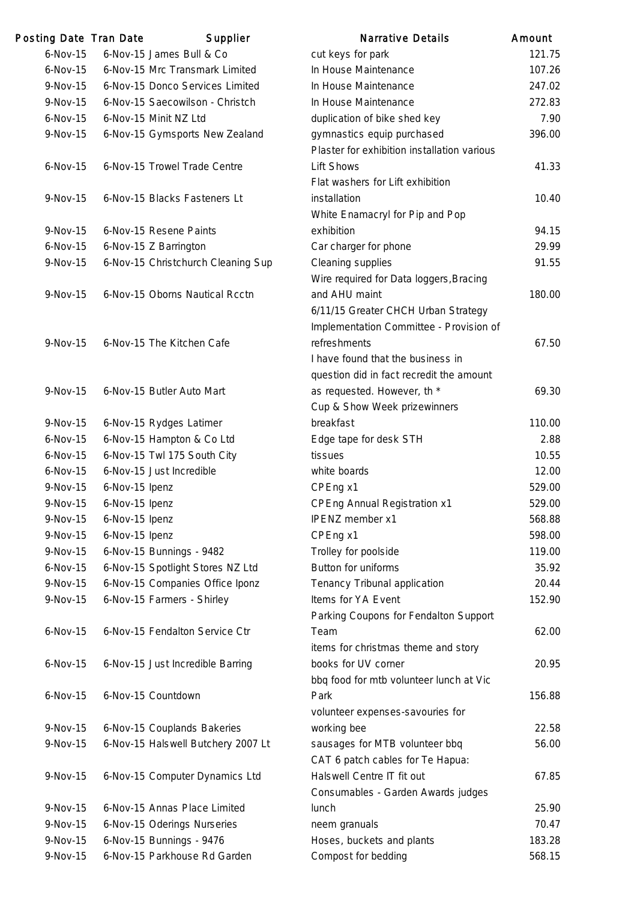| Posting Date Tran Date |                | Supplier                           | <b>Narrative Details</b>                    | Amount |
|------------------------|----------------|------------------------------------|---------------------------------------------|--------|
| $6-Nov-15$             |                | 6-Nov-15 James Bull & Co           | cut keys for park                           | 121.75 |
| $6-Nov-15$             |                | 6-Nov-15 Mrc Transmark Limited     | In House Maintenance                        | 107.26 |
| 9-Nov-15               |                | 6-Nov-15 Donco Services Limited    | In House Maintenance                        | 247.02 |
| 9-Nov-15               |                | 6-Nov-15 Saecowilson - Christch    | In House Maintenance                        | 272.83 |
| $6-Nov-15$             |                | 6-Nov-15 Minit NZ Ltd              | duplication of bike shed key                | 7.90   |
| 9-Nov-15               |                | 6-Nov-15 Gymsports New Zealand     | gymnastics equip purchased                  | 396.00 |
|                        |                |                                    | Plaster for exhibition installation various |        |
| $6-Nov-15$             |                | 6-Nov-15 Trowel Trade Centre       | <b>Lift Shows</b>                           | 41.33  |
|                        |                |                                    | Flat washers for Lift exhibition            |        |
| 9-Nov-15               |                | 6-Nov-15 Blacks Fasteners Lt       | installation                                | 10.40  |
|                        |                |                                    | White Enamacryl for Pip and Pop             |        |
| 9-Nov-15               |                | 6-Nov-15 Resene Paints             | exhibition                                  | 94.15  |
| $6-Nov-15$             |                | 6-Nov-15 Z Barrington              | Car charger for phone                       | 29.99  |
| 9-Nov-15               |                | 6-Nov-15 Christchurch Cleaning Sup | Cleaning supplies                           | 91.55  |
|                        |                |                                    | Wire required for Data loggers, Bracing     |        |
| 9-Nov-15               |                | 6-Nov-15 Oborns Nautical Rcctn     | and AHU maint                               | 180.00 |
|                        |                |                                    | 6/11/15 Greater CHCH Urban Strategy         |        |
|                        |                |                                    | Implementation Committee - Provision of     |        |
| 9-Nov-15               |                | 6-Nov-15 The Kitchen Cafe          | refreshments                                | 67.50  |
|                        |                |                                    | I have found that the business in           |        |
|                        |                |                                    | question did in fact recredit the amount    |        |
| 9-Nov-15               |                | 6-Nov-15 Butler Auto Mart          | as requested. However, th *                 | 69.30  |
|                        |                |                                    | Cup & Show Week prizewinners                |        |
| 9-Nov-15               |                | 6-Nov-15 Rydges Latimer            | breakfast                                   | 110.00 |
| $6-Nov-15$             |                | 6-Nov-15 Hampton & Co Ltd          | Edge tape for desk STH                      | 2.88   |
| $6-Nov-15$             |                | 6-Nov-15 Twl 175 South City        | tissues                                     | 10.55  |
| $6-Nov-15$             |                | 6-Nov-15 Just Incredible           | white boards                                | 12.00  |
| 9-Nov-15               | 6-Nov-15 Ipenz |                                    | CPEng x1                                    | 529.00 |
| 9-Nov-15               | 6-Nov-15 Ipenz |                                    | <b>CPEng Annual Registration x1</b>         | 529.00 |
| 9-Nov-15               | 6-Nov-15 Ipenz |                                    | <b>IPENZ</b> member x1                      | 568.88 |
| 9-Nov-15               | 6-Nov-15 Ipenz |                                    | CPEng x1                                    | 598.00 |
| 9-Nov-15               |                | 6-Nov-15 Bunnings - 9482           | Trolley for poolside                        | 119.00 |
| $6-Nov-15$             |                | 6-Nov-15 Spotlight Stores NZ Ltd   | <b>Button for uniforms</b>                  | 35.92  |
| 9-Nov-15               |                | 6-Nov-15 Companies Office Iponz    | Tenancy Tribunal application                | 20.44  |
| 9-Nov-15               |                | 6-Nov-15 Farmers - Shirley         | Items for YA Event                          | 152.90 |
|                        |                |                                    | Parking Coupons for Fendalton Support       |        |
| $6-Nov-15$             |                | 6-Nov-15 Fendalton Service Ctr     | Team                                        | 62.00  |
|                        |                |                                    | items for christmas theme and story         |        |
| $6-Nov-15$             |                | 6-Nov-15 Just Incredible Barring   | books for UV corner                         | 20.95  |
|                        |                |                                    | bbq food for mtb volunteer lunch at Vic     |        |
| $6-Nov-15$             |                | 6-Nov-15 Countdown                 | Park                                        | 156.88 |
|                        |                |                                    | volunteer expenses-savouries for            |        |
| 9-Nov-15               |                | 6-Nov-15 Couplands Bakeries        | working bee                                 | 22.58  |
| 9-Nov-15               |                | 6-Nov-15 Halswell Butchery 2007 Lt | sausages for MTB volunteer bbq              | 56.00  |
|                        |                |                                    | CAT 6 patch cables for Te Hapua:            |        |
| 9-Nov-15               |                | 6-Nov-15 Computer Dynamics Ltd     | Halswell Centre IT fit out                  | 67.85  |
|                        |                |                                    | Consumables - Garden Awards judges          |        |
| 9-Nov-15               |                | 6-Nov-15 Annas Place Limited       | lunch                                       | 25.90  |
| 9-Nov-15               |                | 6-Nov-15 Oderings Nurseries        | neem granuals                               | 70.47  |
| 9-Nov-15               |                | 6-Nov-15 Bunnings - 9476           | Hoses, buckets and plants                   | 183.28 |
| 9-Nov-15               |                | 6-Nov-15 Parkhouse Rd Garden       | Compost for bedding                         | 568.15 |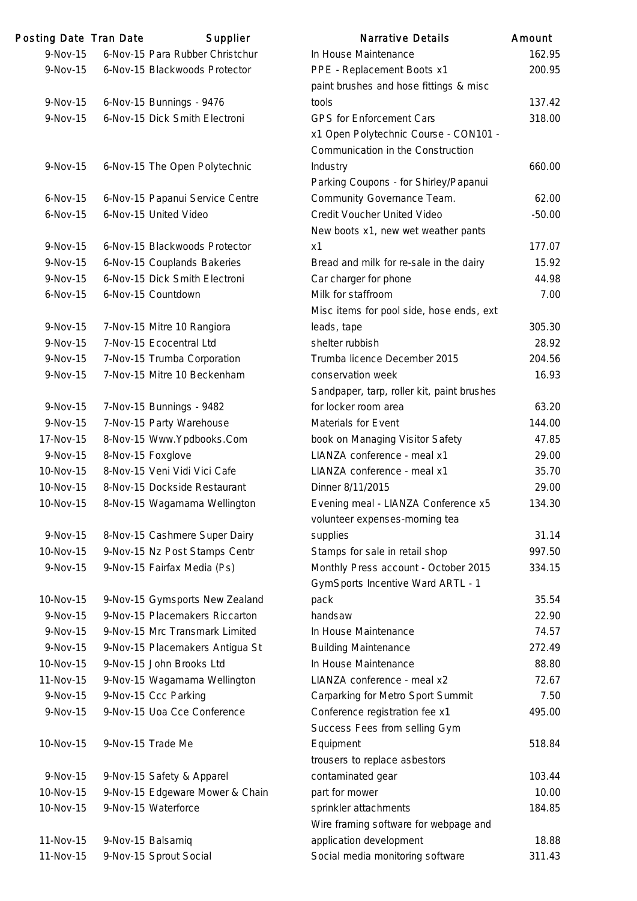| Posting Date Tran Date | Supplier                        | <b>Narrative Details</b>                                                  | Amount         |
|------------------------|---------------------------------|---------------------------------------------------------------------------|----------------|
| 9-Nov-15               | 6-Nov-15 Para Rubber Christchur | In House Maintenance                                                      | 162.9          |
| 9-Nov-15               | 6-Nov-15 Blackwoods Protector   | PPE - Replacement Boots x1                                                | 200.9          |
|                        |                                 | paint brushes and hose fittings & misc                                    |                |
| 9-Nov-15               | 6-Nov-15 Bunnings - 9476        | tools                                                                     | 137.4          |
| 9-Nov-15               | 6-Nov-15 Dick Smith Electroni   | <b>GPS for Enforcement Cars</b>                                           | 318.0          |
|                        |                                 | x1 Open Polytechnic Course - CON101 -                                     |                |
|                        |                                 | Communication in the Construction                                         |                |
| 9-Nov-15               | 6-Nov-15 The Open Polytechnic   | Industry                                                                  | 660.0          |
|                        |                                 | Parking Coupons - for Shirley/Papanui                                     |                |
| $6-Nov-15$             | 6-Nov-15 Papanui Service Centre | Community Governance Team.                                                | 62.0           |
| $6$ -Nov-15            | 6-Nov-15 United Video           | Credit Voucher United Video                                               | $-50.0$        |
|                        |                                 | New boots x1, new wet weather pants                                       |                |
| 9-Nov-15               | 6-Nov-15 Blackwoods Protector   | x1                                                                        | 177.0          |
| 9-Nov-15               | 6-Nov-15 Couplands Bakeries     | Bread and milk for re-sale in the dairy                                   | 15.9           |
| 9-Nov-15               | 6-Nov-15 Dick Smith Electroni   | Car charger for phone                                                     | 44.9           |
| $6$ -Nov-15            | 6-Nov-15 Countdown              | Milk for staffroom                                                        | 7 <sub>0</sub> |
|                        |                                 | Misc items for pool side, hose ends, ext                                  |                |
| 9-Nov-15               | 7-Nov-15 Mitre 10 Rangiora      | leads, tape                                                               | 305.3          |
| 9-Nov-15               | 7-Nov-15 Ecocentral Ltd         | shelter rubbish                                                           | 28.9           |
| 9-Nov-15               | 7-Nov-15 Trumba Corporation     | Trumba licence December 2015                                              | 204.5          |
| 9-Nov-15               | 7-Nov-15 Mitre 10 Beckenham     | conservation week                                                         | 16.9           |
|                        |                                 | Sandpaper, tarp, roller kit, paint brushes                                |                |
| 9-Nov-15               | 7-Nov-15 Bunnings - 9482        | for locker room area                                                      | 63.2           |
| 9-Nov-15               | 7-Nov-15 Party Warehouse        | Materials for Event                                                       | 144.0          |
| 17-Nov-15              | 8-Nov-15 Www.Ypdbooks.Com       | book on Managing Visitor Safety                                           | 47.8           |
| 9-Nov-15               | 8-Nov-15 Foxglove               | LIANZA conference - meal x1                                               | 29.0           |
| 10-Nov-15              | 8-Nov-15 Veni Vidi Vici Cafe    | LIANZA conference - meal x1                                               | 35.7           |
| 10-Nov-15              | 8-Nov-15 Dockside Restaurant    | Dinner 8/11/2015                                                          | 29.0           |
| 10-Nov-15              | 8-Nov-15 Wagamama Wellington    | Evening meal - LIANZA Conference x5                                       | 134.3          |
|                        |                                 | volunteer expenses-morning tea                                            |                |
| 9-Nov-15               | 8-Nov-15 Cashmere Super Dairy   | supplies                                                                  | 31.1           |
| 10-Nov-15              | 9-Nov-15 Nz Post Stamps Centr   | Stamps for sale in retail shop                                            | 997.5          |
| 9-Nov-15               | 9-Nov-15 Fairfax Media (Ps)     | Monthly Press account - October 2015<br>GymSports Incentive Ward ARTL - 1 | 334.1          |
| 10-Nov-15              | 9-Nov-15 Gymsports New Zealand  | pack                                                                      | 35.5           |
| 9-Nov-15               | 9-Nov-15 Placemakers Riccarton  | handsaw                                                                   | 22.9           |
| 9-Nov-15               | 9-Nov-15 Mrc Transmark Limited  | In House Maintenance                                                      | 74.5           |
| 9-Nov-15               | 9-Nov-15 Placemakers Antigua St | <b>Building Maintenance</b>                                               | 272.4          |
| 10-Nov-15              | 9-Nov-15 John Brooks Ltd        | In House Maintenance                                                      | 88.8           |
| 11-Nov-15              | 9-Nov-15 Wagamama Wellington    | LIANZA conference - meal x2                                               | 72.6           |
| 9-Nov-15               | 9-Nov-15 Ccc Parking            | Carparking for Metro Sport Summit                                         | 7.5            |
| 9-Nov-15               | 9-Nov-15 Uoa Cce Conference     | Conference registration fee x1                                            | 495.0          |
|                        |                                 | Success Fees from selling Gym                                             |                |
| 10-Nov-15              | 9-Nov-15 Trade Me               | Equipment                                                                 | 518.8          |
|                        |                                 | trousers to replace asbestors                                             |                |
| 9-Nov-15               | 9-Nov-15 Safety & Apparel       | contaminated gear                                                         | 103.4          |
| 10-Nov-15              | 9-Nov-15 Edgeware Mower & Chain | part for mower                                                            | 10.0           |
| 10-Nov-15              | 9-Nov-15 Waterforce             | sprinkler attachments                                                     | 184.8          |
|                        |                                 | Wire framing software for webpage and                                     |                |
| 11-Nov-15              | 9-Nov-15 Balsamiq               | application development                                                   | 18.8           |
| 11-Nov-15              | 9-Nov-15 Sprout Social          | Social media monitoring software                                          | 311.4          |

| 9-Nov-15   | 6-Nov-15 Para Rubber Christchur | In House Maintenance                       | 162.95   |
|------------|---------------------------------|--------------------------------------------|----------|
| 9-Nov-15   | 6-Nov-15 Blackwoods Protector   | PPE - Replacement Boots x1                 | 200.95   |
|            |                                 | paint brushes and hose fittings & misc     |          |
| 9-Nov-15   | 6-Nov-15 Bunnings - 9476        | tools                                      | 137.42   |
| 9-Nov-15   | 6-Nov-15 Dick Smith Electroni   | GPS for Enforcement Cars                   | 318.00   |
|            |                                 | x1 Open Polytechnic Course - CON101 -      |          |
|            |                                 | Communication in the Construction          |          |
| 9-Nov-15   | 6-Nov-15 The Open Polytechnic   | Industry                                   | 660.00   |
|            |                                 | Parking Coupons - for Shirley/Papanui      |          |
| $6-Nov-15$ | 6-Nov-15 Papanui Service Centre | Community Governance Team.                 | 62.00    |
| $6-Nov-15$ | 6-Nov-15 United Video           | Credit Voucher United Video                | $-50.00$ |
|            |                                 | New boots x1, new wet weather pants        |          |
| 9-Nov-15   | 6-Nov-15 Blackwoods Protector   | x1                                         | 177.07   |
| 9-Nov-15   | 6-Nov-15 Couplands Bakeries     | Bread and milk for re-sale in the dairy    | 15.92    |
| 9-Nov-15   | 6-Nov-15 Dick Smith Electroni   | Car charger for phone                      | 44.98    |
| $6-Nov-15$ | 6-Nov-15 Countdown              | Milk for staffroom                         | 7.00     |
|            |                                 | Misc items for pool side, hose ends, ext   |          |
| 9-Nov-15   | 7-Nov-15 Mitre 10 Rangiora      | leads, tape                                | 305.30   |
| 9-Nov-15   | 7-Nov-15 Ecocentral Ltd         | shelter rubbish                            | 28.92    |
| 9-Nov-15   | 7-Nov-15 Trumba Corporation     | Trumba licence December 2015               | 204.56   |
| 9-Nov-15   | 7-Nov-15 Mitre 10 Beckenham     | conservation week                          | 16.93    |
|            |                                 | Sandpaper, tarp, roller kit, paint brushes |          |
| 9-Nov-15   | 7-Nov-15 Bunnings - 9482        | for locker room area                       | 63.20    |
| 9-Nov-15   | 7-Nov-15 Party Warehouse        | Materials for Event                        | 144.00   |
| 17-Nov-15  | 8-Nov-15 Www.Ypdbooks.Com       | book on Managing Visitor Safety            | 47.85    |
| 9-Nov-15   | 8-Nov-15 Foxglove               | LIANZA conference - meal x1                | 29.00    |
| 10-Nov-15  | 8-Nov-15 Veni Vidi Vici Cafe    | LIANZA conference - meal x1                | 35.70    |
| 10-Nov-15  | 8-Nov-15 Dockside Restaurant    | Dinner 8/11/2015                           | 29.00    |
| 10-Nov-15  | 8-Nov-15 Wagamama Wellington    | Evening meal - LIANZA Conference x5        | 134.30   |
|            |                                 | volunteer expenses-morning tea             |          |
| 9-Nov-15   | 8-Nov-15 Cashmere Super Dairy   | supplies                                   | 31.14    |
| 10-Nov-15  | 9-Nov-15 Nz Post Stamps Centr   | Stamps for sale in retail shop             | 997.50   |
| 9-Nov-15   | 9-Nov-15 Fairfax Media (Ps)     | Monthly Press account - October 2015       | 334.15   |
|            |                                 | GymSports Incentive Ward ARTL - 1          |          |
| 10-Nov-15  | 9-Nov-15 Gymsports New Zealand  | pack                                       | 35.54    |
| 9-Nov-15   | 9-Nov-15 Placemakers Riccarton  | handsaw                                    | 22.90    |
| 9-Nov-15   | 9-Nov-15 Mrc Transmark Limited  | In House Maintenance                       | 74.57    |
| 9-Nov-15   | 9-Nov-15 Placemakers Antigua St | <b>Building Maintenance</b>                | 272.49   |
| 10-Nov-15  | 9-Nov-15 John Brooks Ltd        | In House Maintenance                       | 88.80    |
| 11-Nov-15  | 9-Nov-15 Wagamama Wellington    | LIANZA conference - meal x2                | 72.67    |
| 9-Nov-15   | 9-Nov-15 Ccc Parking            | Carparking for Metro Sport Summit          | 7.50     |
| 9-Nov-15   | 9-Nov-15 Uoa Cce Conference     | Conference registration fee x1             | 495.00   |
|            |                                 | Success Fees from selling Gym              |          |
| 10-Nov-15  | 9-Nov-15 Trade Me               | Equipment                                  | 518.84   |
|            |                                 | trousers to replace asbestors              |          |
| 9-Nov-15   | 9-Nov-15 Safety & Apparel       | contaminated gear                          | 103.44   |
| 10-Nov-15  | 9-Nov-15 Edgeware Mower & Chain | part for mower                             | 10.00    |
| 10-Nov-15  | 9-Nov-15 Waterforce             | sprinkler attachments                      | 184.85   |
|            |                                 | Wire framing software for webpage and      |          |
| 11-Nov-15  | 9-Nov-15 Balsamiq               | application development                    | 18.88    |
| 11-Nov-15  | 9-Nov-15 Sprout Social          | Social media monitoring software           | 311.43   |
|            |                                 |                                            |          |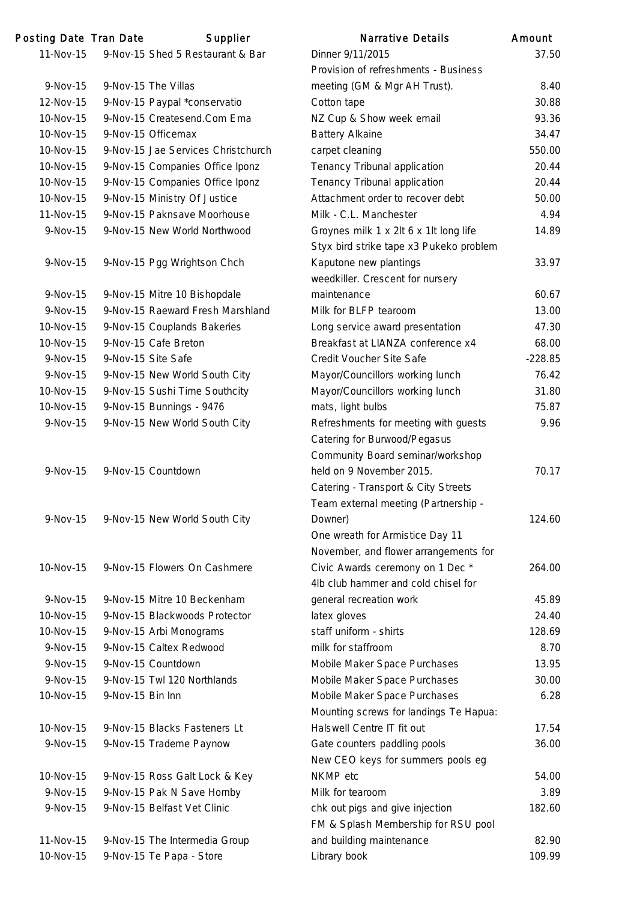| Posting Date Tran Date |                  | Supplier                                                         | <b>Narrative Details</b>                | Amount    |
|------------------------|------------------|------------------------------------------------------------------|-----------------------------------------|-----------|
| 11-Nov-15              |                  | 9-Nov-15 Shed 5 Restaurant & Bar                                 | Dinner 9/11/2015                        | 37.50     |
|                        |                  |                                                                  | Provision of refreshments - Business    |           |
| 9-Nov-15               |                  | 9-Nov-15 The Villas                                              | meeting (GM & Mgr AH Trust).            | 8.40      |
| 12-Nov-15              |                  | 9-Nov-15 Paypal *conservatio                                     | Cotton tape                             | 30.88     |
| 10-Nov-15              |                  | 9-Nov-15 Createsend.Com Ema                                      | NZ Cup & Show week email                | 93.36     |
| 10-Nov-15              |                  | 9-Nov-15 Officemax                                               | <b>Battery Alkaine</b>                  | 34.47     |
| 10-Nov-15              |                  | 9-Nov-15 Jae Services Christchurch                               | carpet cleaning                         | 550.00    |
| 10-Nov-15              |                  | 9-Nov-15 Companies Office Iponz                                  | Tenancy Tribunal application            | 20.44     |
| 10-Nov-15              |                  | 9-Nov-15 Companies Office Iponz                                  | Tenancy Tribunal application            | 20.44     |
| 10-Nov-15              |                  | 9-Nov-15 Ministry Of Justice                                     | Attachment order to recover debt        | 50.00     |
| 11-Nov-15              |                  | 9-Nov-15 Paknsave Moorhouse                                      | Milk - C.L. Manchester                  | 4.94      |
| 9-Nov-15               |                  | 9-Nov-15 New World Northwood                                     | Groynes milk 1 x 2lt 6 x 1lt long life  | 14.89     |
|                        |                  |                                                                  | Styx bird strike tape x3 Pukeko problem |           |
| 9-Nov-15               |                  | 9-Nov-15 Pgg Wrightson Chch                                      | Kaputone new plantings                  | 33.97     |
|                        |                  |                                                                  | weedkiller. Crescent for nursery        |           |
|                        |                  |                                                                  | maintenance                             |           |
| 9-Nov-15               |                  | 9-Nov-15 Mitre 10 Bishopdale<br>9-Nov-15 Raeward Fresh Marshland |                                         | 60.67     |
| 9-Nov-15               |                  |                                                                  | Milk for BLFP tearoom                   | 13.00     |
| 10-Nov-15              |                  | 9-Nov-15 Couplands Bakeries                                      | Long service award presentation         | 47.30     |
| 10-Nov-15              |                  | 9-Nov-15 Cafe Breton                                             | Breakfast at LIANZA conference x4       | 68.00     |
| 9-Nov-15               |                  | 9-Nov-15 Site Safe                                               | Credit Voucher Site Safe                | $-228.85$ |
| 9-Nov-15               |                  | 9-Nov-15 New World South City                                    | Mayor/Councillors working lunch         | 76.42     |
| 10-Nov-15              |                  | 9-Nov-15 Sushi Time Southcity                                    | Mayor/Councillors working lunch         | 31.80     |
| 10-Nov-15              |                  | 9-Nov-15 Bunnings - 9476                                         | mats, light bulbs                       | 75.87     |
| 9-Nov-15               |                  | 9-Nov-15 New World South City                                    | Refreshments for meeting with guests    | 9.96      |
|                        |                  |                                                                  | Catering for Burwood/Pegasus            |           |
|                        |                  |                                                                  | Community Board seminar/workshop        |           |
| 9-Nov-15               |                  | 9-Nov-15 Countdown                                               | held on 9 November 2015.                | 70.17     |
|                        |                  |                                                                  | Catering - Transport & City Streets     |           |
|                        |                  |                                                                  | Team external meeting (Partnership -    |           |
| 9-Nov-15               |                  | 9-Nov-15 New World South City                                    | Downer)                                 | 124.60    |
|                        |                  |                                                                  | One wreath for Armistice Day 11         |           |
|                        |                  |                                                                  | November, and flower arrangements for   |           |
| 10-Nov-15              |                  | 9-Nov-15 Flowers On Cashmere                                     | Civic Awards ceremony on 1 Dec *        | 264.00    |
|                        |                  |                                                                  | 4lb club hammer and cold chisel for     |           |
| $9-Nov-15$             |                  | 9-Nov-15 Mitre 10 Beckenham                                      | general recreation work                 | 45.89     |
| 10-Nov-15              |                  | 9-Nov-15 Blackwoods Protector                                    | latex gloves                            | 24.40     |
| 10-Nov-15              |                  | 9-Nov-15 Arbi Monograms                                          | staff uniform - shirts                  | 128.69    |
| $9-Nov-15$             |                  | 9-Nov-15 Caltex Redwood                                          | milk for staffroom                      | 8.70      |
| 9-Nov-15               |                  | 9-Nov-15 Countdown                                               | Mobile Maker Space Purchases            | 13.95     |
| 9-Nov-15               |                  | 9-Nov-15 Twl 120 Northlands                                      | Mobile Maker Space Purchases            | 30.00     |
| 10-Nov-15              | 9-Nov-15 Bin Inn |                                                                  | Mobile Maker Space Purchases            | 6.28      |
|                        |                  |                                                                  | Mounting screws for landings Te Hapua:  |           |
| 10-Nov-15              |                  | 9-Nov-15 Blacks Fasteners Lt                                     | Halswell Centre IT fit out              | 17.54     |
| 9-Nov-15               |                  | 9-Nov-15 Trademe Paynow                                          | Gate counters paddling pools            | 36.00     |
|                        |                  |                                                                  | New CEO keys for summers pools eg       |           |
| 10-Nov-15              |                  | 9-Nov-15 Ross Galt Lock & Key                                    | NKMP etc                                | 54.00     |
|                        |                  |                                                                  |                                         |           |
| 9-Nov-15               |                  | 9-Nov-15 Pak N Save Hornby                                       | Milk for tearoom                        | 3.89      |
| 9-Nov-15               |                  | 9-Nov-15 Belfast Vet Clinic                                      | chk out pigs and give injection         | 182.60    |
|                        |                  |                                                                  | FM & Splash Membership for RSU pool     |           |
| 11-Nov-15              |                  | 9-Nov-15 The Intermedia Group                                    | and building maintenance                | 82.90     |
| 10-Nov-15              |                  | 9-Nov-15 Te Papa - Store                                         | Library book                            | 109.99    |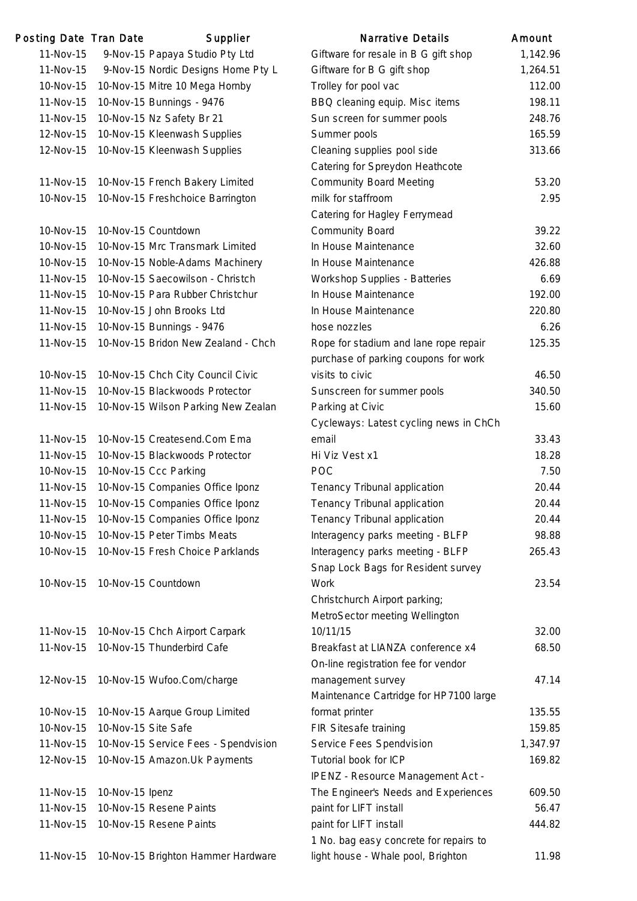| Posting Date Tran Date |                     | Supplier                             | <b>Narrative Details</b>               | Amount   |
|------------------------|---------------------|--------------------------------------|----------------------------------------|----------|
| 11-Nov-15              |                     | 9-Nov-15 Papaya Studio Pty Ltd       | Giftware for resale in B G gift shop   | 1,142.96 |
| 11-Nov-15              |                     | 9-Nov-15 Nordic Designs Home Pty L   | Giftware for B G gift shop             | 1,264.51 |
| 10-Nov-15              |                     | 10-Nov-15 Mitre 10 Mega Hornby       | Trolley for pool vac                   | 112.00   |
| 11-Nov-15              |                     | 10-Nov-15 Bunnings - 9476            | BBQ cleaning equip. Misc items         | 198.11   |
| 11-Nov-15              |                     | 10-Nov-15 Nz Safety Br 21            | Sun screen for summer pools            | 248.76   |
| 12-Nov-15              |                     | 10-Nov-15 Kleenwash Supplies         | Summer pools                           | 165.59   |
| 12-Nov-15              |                     | 10-Nov-15 Kleenwash Supplies         | Cleaning supplies pool side            | 313.66   |
|                        |                     |                                      | Catering for Spreydon Heathcote        |          |
| 11-Nov-15              |                     | 10-Nov-15 French Bakery Limited      | <b>Community Board Meeting</b>         | 53.20    |
| 10-Nov-15              |                     | 10-Nov-15 Freshchoice Barrington     | milk for staffroom                     | 2.95     |
|                        |                     |                                      | Catering for Hagley Ferrymead          |          |
| 10-Nov-15              |                     | 10-Nov-15 Countdown                  | <b>Community Board</b>                 | 39.22    |
| 10-Nov-15              |                     | 10-Nov-15 Mrc Transmark Limited      | In House Maintenance                   | 32.60    |
| 10-Nov-15              |                     | 10-Nov-15 Noble-Adams Machinery      | In House Maintenance                   | 426.88   |
| 11-Nov-15              |                     | 10-Nov-15 Saecowilson - Christch     | Workshop Supplies - Batteries          | 6.69     |
| 11-Nov-15              |                     | 10-Nov-15 Para Rubber Christchur     | In House Maintenance                   | 192.00   |
| 11-Nov-15              |                     | 10-Nov-15 John Brooks Ltd            | In House Maintenance                   | 220.80   |
| 11-Nov-15              |                     | 10-Nov-15 Bunnings - 9476            | hose nozzles                           | 6.26     |
| 11-Nov-15              |                     | 10-Nov-15 Bridon New Zealand - Chch  | Rope for stadium and lane rope repair  | 125.35   |
|                        |                     |                                      | purchase of parking coupons for work   |          |
| 10-Nov-15              |                     | 10-Nov-15 Chch City Council Civic    | visits to civic                        | 46.50    |
| 11-Nov-15              |                     | 10-Nov-15 Blackwoods Protector       | Sunscreen for summer pools             | 340.50   |
| 11-Nov-15              |                     | 10-Nov-15 Wilson Parking New Zealan  | Parking at Civic                       | 15.60    |
|                        |                     |                                      | Cycleways: Latest cycling news in ChCh |          |
| 11-Nov-15              |                     | 10-Nov-15 Createsend.Com Ema         | email                                  | 33.43    |
| 11-Nov-15              |                     | 10-Nov-15 Blackwoods Protector       | Hi Viz Vest x1                         | 18.28    |
| 10-Nov-15              |                     | 10-Nov-15 Ccc Parking                | <b>POC</b>                             | 7.50     |
| 11-Nov-15              |                     | 10-Nov-15 Companies Office Iponz     | Tenancy Tribunal application           | 20.44    |
| 11-Nov-15              |                     | 10-Nov-15 Companies Office Iponz     | Tenancy Tribunal application           | 20.44    |
| 11-Nov-15              |                     | 10-Nov-15 Companies Office Iponz     | Tenancy Tribunal application           | 20.44    |
| 10-Nov-15              |                     | 10-Nov-15 Peter Timbs Meats          | Interagency parks meeting - BLFP       | 98.88    |
| 10-Nov-15              |                     | 10-Nov-15 Fresh Choice Parklands     | Interagency parks meeting - BLFP       | 265.43   |
|                        |                     |                                      | Snap Lock Bags for Resident survey     |          |
| 10-Nov-15              |                     | 10-Nov-15 Countdown                  | <b>Work</b>                            | 23.54    |
|                        |                     |                                      | Christchurch Airport parking;          |          |
|                        |                     |                                      | MetroSector meeting Wellington         |          |
| 11-Nov-15              |                     | 10-Nov-15 Chch Airport Carpark       | 10/11/15                               | 32.00    |
| 11-Nov-15              |                     | 10-Nov-15 Thunderbird Cafe           | Breakfast at LIANZA conference x4      | 68.50    |
|                        |                     |                                      | On-line registration fee for vendor    |          |
| 12-Nov-15              |                     | 10-Nov-15 Wufoo.Com/charge           | management survey                      | 47.14    |
|                        |                     |                                      | Maintenance Cartridge for HP7100 large |          |
| 10-Nov-15              |                     | 10-Nov-15 Aarque Group Limited       | format printer                         | 135.55   |
| 10-Nov-15              | 10-Nov-15 Site Safe |                                      | FIR Sitesafe training                  | 159.85   |
| 11-Nov-15              |                     | 10-Nov-15 Service Fees - Spendvision | Service Fees Spendvision               | 1,347.97 |
| 12-Nov-15              |                     | 10-Nov-15 Amazon. Uk Payments        | Tutorial book for ICP                  | 169.82   |
|                        |                     |                                      | IPENZ - Resource Management Act -      |          |
| 11-Nov-15              | 10-Nov-15 Ipenz     |                                      | The Engineer's Needs and Experiences   | 609.50   |
| 11-Nov-15              |                     | 10-Nov-15 Resene Paints              | paint for LIFT install                 | 56.47    |
| 11-Nov-15              |                     | 10-Nov-15 Resene Paints              | paint for LIFT install                 | 444.82   |
|                        |                     |                                      | 1 No. bag easy concrete for repairs to |          |
| 11-Nov-15              |                     | 10-Nov-15 Brighton Hammer Hardware   | light house - Whale pool, Brighton     | 11.98    |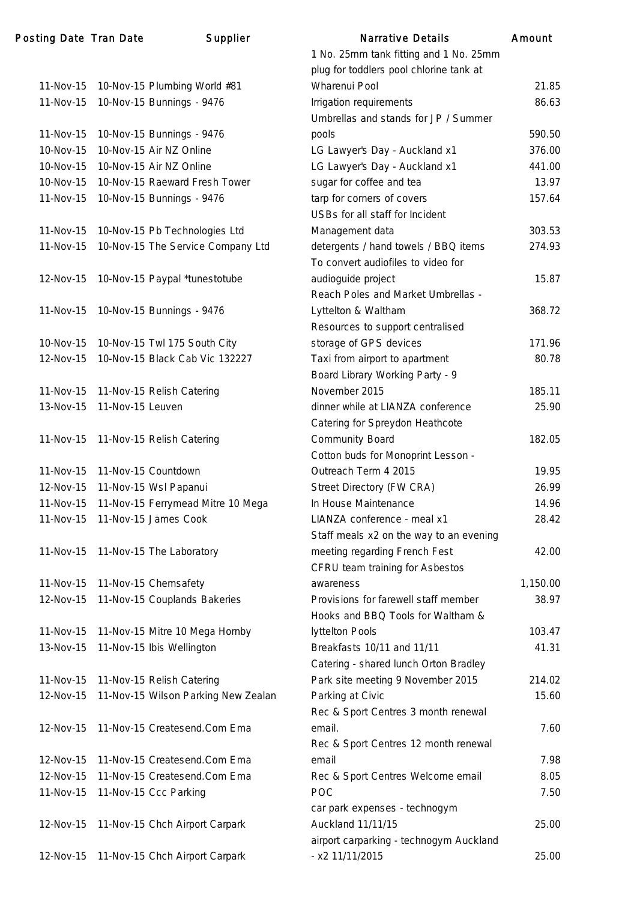| Posting Date Tran Date |                  | <b>Supplier</b>                     | <b>Narrative Details</b>                | Amount   |
|------------------------|------------------|-------------------------------------|-----------------------------------------|----------|
|                        |                  |                                     | 1 No. 25mm tank fitting and 1 No. 25mm  |          |
|                        |                  |                                     | plug for toddlers pool chlorine tank at |          |
| 11-Nov-15              |                  | 10-Nov-15 Plumbing World #81        | Wharenui Pool                           | 21.85    |
| 11-Nov-15              |                  | 10-Nov-15 Bunnings - 9476           | Irrigation requirements                 | 86.63    |
|                        |                  |                                     | Umbrellas and stands for JP / Summer    |          |
| 11-Nov-15              |                  | 10-Nov-15 Bunnings - 9476           | pools                                   | 590.50   |
| 10-Nov-15              |                  | 10-Nov-15 Air NZ Online             | LG Lawyer's Day - Auckland x1           | 376.00   |
| 10-Nov-15              |                  | 10-Nov-15 Air NZ Online             | LG Lawyer's Day - Auckland x1           | 441.00   |
| 10-Nov-15              |                  | 10-Nov-15 Raeward Fresh Tower       | sugar for coffee and tea                | 13.97    |
| 11-Nov-15              |                  | 10-Nov-15 Bunnings - 9476           | tarp for corners of covers              | 157.64   |
|                        |                  |                                     | USBs for all staff for Incident         |          |
| 11-Nov-15              |                  | 10-Nov-15 Pb Technologies Ltd       | Management data                         | 303.53   |
| 11-Nov-15              |                  | 10-Nov-15 The Service Company Ltd   | detergents / hand towels / BBQ items    | 274.93   |
|                        |                  |                                     | To convert audiofiles to video for      |          |
| 12-Nov-15              |                  | 10-Nov-15 Paypal *tunestotube       | audioguide project                      | 15.87    |
|                        |                  |                                     | Reach Poles and Market Umbrellas -      |          |
| 11-Nov-15              |                  | 10-Nov-15 Bunnings - 9476           | Lyttelton & Waltham                     | 368.72   |
|                        |                  |                                     | Resources to support centralised        |          |
| 10-Nov-15              |                  | 10-Nov-15 Twl 175 South City        | storage of GPS devices                  | 171.96   |
| 12-Nov-15              |                  | 10-Nov-15 Black Cab Vic 132227      | Taxi from airport to apartment          | 80.78    |
|                        |                  |                                     | Board Library Working Party - 9         |          |
| 11-Nov-15              |                  | 11-Nov-15 Relish Catering           | November 2015                           | 185.11   |
| 13-Nov-15              | 11-Nov-15 Leuven |                                     | dinner while at LIANZA conference       | 25.90    |
|                        |                  |                                     | Catering for Spreydon Heathcote         |          |
| 11-Nov-15              |                  | 11-Nov-15 Relish Catering           | <b>Community Board</b>                  | 182.05   |
|                        |                  |                                     | Cotton buds for Monoprint Lesson -      |          |
| 11-Nov-15              |                  | 11-Nov-15 Countdown                 | Outreach Term 4 2015                    | 19.95    |
| 12-Nov-15              |                  | 11-Nov-15 Wsl Papanui               | Street Directory (FW CRA)               | 26.99    |
| 11-Nov-15              |                  | 11-Nov-15 Ferrymead Mitre 10 Mega   | In House Maintenance                    | 14.96    |
| 11-Nov-15              |                  | 11-Nov-15 James Cook                | LIANZA conference - meal x1             | 28.42    |
|                        |                  |                                     | Staff meals x2 on the way to an evening |          |
| 11-Nov-15              |                  | 11-Nov-15 The Laboratory            | meeting regarding French Fest           | 42.00    |
|                        |                  |                                     | CFRU team training for Asbestos         |          |
| 11-Nov-15              |                  | 11-Nov-15 Chemsafety                | awareness                               | 1,150.00 |
| 12-Nov-15              |                  | 11-Nov-15 Couplands Bakeries        | Provisions for farewell staff member    | 38.97    |
|                        |                  |                                     | Hooks and BBQ Tools for Waltham &       |          |
| 11-Nov-15              |                  | 11-Nov-15 Mitre 10 Mega Hornby      | lyttelton Pools                         | 103.47   |
| 13-Nov-15              |                  | 11-Nov-15 Ibis Wellington           | Breakfasts 10/11 and 11/11              | 41.31    |
|                        |                  |                                     | Catering - shared lunch Orton Bradley   |          |
| 11-Nov-15              |                  | 11-Nov-15 Relish Catering           | Park site meeting 9 November 2015       | 214.02   |
| 12-Nov-15              |                  | 11-Nov-15 Wilson Parking New Zealan | Parking at Civic                        | 15.60    |
|                        |                  |                                     | Rec & Sport Centres 3 month renewal     |          |
| 12-Nov-15              |                  | 11-Nov-15 Createsend.Com Ema        | email.                                  | 7.60     |
|                        |                  |                                     | Rec & Sport Centres 12 month renewal    |          |
| 12-Nov-15              |                  | 11-Nov-15 Createsend.Com Ema        | email                                   | 7.98     |
| 12-Nov-15              |                  | 11-Nov-15 Createsend.Com Ema        | Rec & Sport Centres Welcome email       | 8.05     |
| 11-Nov-15              |                  | 11-Nov-15 Ccc Parking               | <b>POC</b>                              | 7.50     |
|                        |                  |                                     | car park expenses - technogym           |          |
| 12-Nov-15              |                  | 11-Nov-15 Chch Airport Carpark      | Auckland 11/11/15                       | 25.00    |
|                        |                  |                                     | airport carparking - technogym Auckland |          |
| 12-Nov-15              |                  | 11-Nov-15 Chch Airport Carpark      | - x2 11/11/2015                         | 25.00    |
|                        |                  |                                     |                                         |          |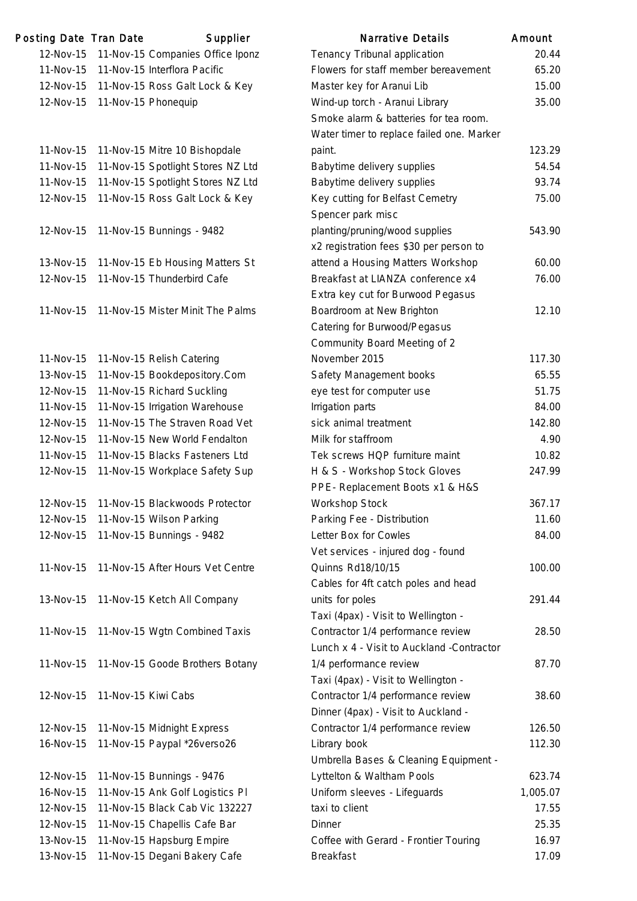| Posting Date Tran Date |                     | Supplier                          | <b>Narrative Details</b>                                                       | Amount   |
|------------------------|---------------------|-----------------------------------|--------------------------------------------------------------------------------|----------|
| 12-Nov-15              |                     | 11-Nov-15 Companies Office Iponz  | Tenancy Tribunal application                                                   | 20.44    |
| 11-Nov-15              |                     | 11-Nov-15 Interflora Pacific      | Flowers for staff member bereavement                                           | 65.20    |
| 12-Nov-15              |                     | 11-Nov-15 Ross Galt Lock & Key    | Master key for Aranui Lib                                                      | 15.00    |
| 12-Nov-15              |                     | 11-Nov-15 Phonequip               | Wind-up torch - Aranui Library                                                 | 35.00    |
|                        |                     |                                   | Smoke alarm & batteries for tea room.                                          |          |
|                        |                     |                                   | Water timer to replace failed one. Marker                                      |          |
| 11-Nov-15              |                     | 11-Nov-15 Mitre 10 Bishopdale     | paint.                                                                         | 123.29   |
| 11-Nov-15              |                     | 11-Nov-15 Spotlight Stores NZ Ltd | Babytime delivery supplies                                                     | 54.54    |
| 11-Nov-15              |                     | 11-Nov-15 Spotlight Stores NZ Ltd | Babytime delivery supplies                                                     | 93.74    |
| 12-Nov-15              |                     | 11-Nov-15 Ross Galt Lock & Key    | Key cutting for Belfast Cemetry                                                | 75.00    |
|                        |                     |                                   | Spencer park misc                                                              |          |
| 12-Nov-15              |                     | 11-Nov-15 Bunnings - 9482         | planting/pruning/wood supplies                                                 | 543.90   |
|                        |                     |                                   | x2 registration fees \$30 per person to                                        |          |
| 13-Nov-15              |                     | 11-Nov-15 Eb Housing Matters St   | attend a Housing Matters Workshop                                              | 60.00    |
| 12-Nov-15              |                     | 11-Nov-15 Thunderbird Cafe        | Breakfast at LIANZA conference x4                                              | 76.00    |
|                        |                     |                                   | Extra key cut for Burwood Pegasus                                              |          |
| 11-Nov-15              |                     | 11-Nov-15 Mister Minit The Palms  | Boardroom at New Brighton                                                      | 12.10    |
|                        |                     |                                   | Catering for Burwood/Pegasus                                                   |          |
|                        |                     |                                   | Community Board Meeting of 2                                                   |          |
| 11-Nov-15              |                     | 11-Nov-15 Relish Catering         | November 2015                                                                  | 117.30   |
| 13-Nov-15              |                     | 11-Nov-15 Bookdepository.Com      | Safety Management books                                                        | 65.55    |
| 12-Nov-15              |                     | 11-Nov-15 Richard Suckling        | eye test for computer use                                                      | 51.75    |
| 11-Nov-15              |                     | 11-Nov-15 Irrigation Warehouse    | Irrigation parts                                                               | 84.00    |
| 12-Nov-15              |                     | 11-Nov-15 The Straven Road Vet    | sick animal treatment                                                          | 142.80   |
| 12-Nov-15              |                     | 11-Nov-15 New World Fendalton     | Milk for staffroom                                                             | 4.90     |
| 11-Nov-15              |                     | 11-Nov-15 Blacks Fasteners Ltd    | Tek screws HQP furniture maint                                                 | 10.82    |
| 12-Nov-15              |                     | 11-Nov-15 Workplace Safety Sup    | H & S - Workshop Stock Gloves                                                  | 247.99   |
|                        |                     |                                   | PPE- Replacement Boots x1 & H&S                                                |          |
| 12-Nov-15              |                     | 11-Nov-15 Blackwoods Protector    | Workshop Stock                                                                 | 367.17   |
| 12-Nov-15              |                     | 11-Nov-15 Wilson Parking          | Parking Fee - Distribution                                                     | 11.60    |
| 12-Nov-15              |                     | 11-Nov-15 Bunnings - 9482         | Letter Box for Cowles                                                          | 84.00    |
|                        |                     |                                   | Vet services - injured dog - found                                             |          |
| 11-Nov-15              |                     | 11-Nov-15 After Hours Vet Centre  | Quinns Rd18/10/15                                                              | 100.00   |
|                        |                     |                                   | Cables for 4ft catch poles and head                                            |          |
|                        |                     |                                   |                                                                                |          |
| 13-Nov-15              |                     | 11-Nov-15 Ketch All Company       | units for poles                                                                | 291.44   |
| 11-Nov-15              |                     | 11-Nov-15 Wgtn Combined Taxis     | Taxi (4pax) - Visit to Wellington -                                            |          |
|                        |                     |                                   | Contractor 1/4 performance review<br>Lunch x 4 - Visit to Auckland -Contractor | 28.50    |
|                        |                     |                                   |                                                                                |          |
| 11-Nov-15              |                     | 11-Nov-15 Goode Brothers Botany   | 1/4 performance review                                                         | 87.70    |
|                        |                     |                                   | Taxi (4pax) - Visit to Wellington -                                            |          |
| 12-Nov-15              | 11-Nov-15 Kiwi Cabs |                                   | Contractor 1/4 performance review                                              | 38.60    |
|                        |                     |                                   | Dinner (4pax) - Visit to Auckland -                                            |          |
| 12-Nov-15              |                     | 11-Nov-15 Midnight Express        | Contractor 1/4 performance review                                              | 126.50   |
| 16-Nov-15              |                     | 11-Nov-15 Paypal *26verso26       | Library book                                                                   | 112.30   |
|                        |                     |                                   | Umbrella Bases & Cleaning Equipment -                                          |          |
| 12-Nov-15              |                     | 11-Nov-15 Bunnings - 9476         | Lyttelton & Waltham Pools                                                      | 623.74   |
| 16-Nov-15              |                     | 11-Nov-15 Ank Golf Logistics PI   | Uniform sleeves - Lifeguards                                                   | 1,005.07 |
| 12-Nov-15              |                     | 11-Nov-15 Black Cab Vic 132227    | taxi to client                                                                 | 17.55    |
| 12-Nov-15              |                     | 11-Nov-15 Chapellis Cafe Bar      | Dinner                                                                         | 25.35    |
| 13-Nov-15              |                     | 11-Nov-15 Hapsburg Empire         | Coffee with Gerard - Frontier Touring                                          | 16.97    |
| 13-Nov-15              |                     | 11-Nov-15 Degani Bakery Cafe      | <b>Breakfast</b>                                                               | 17.09    |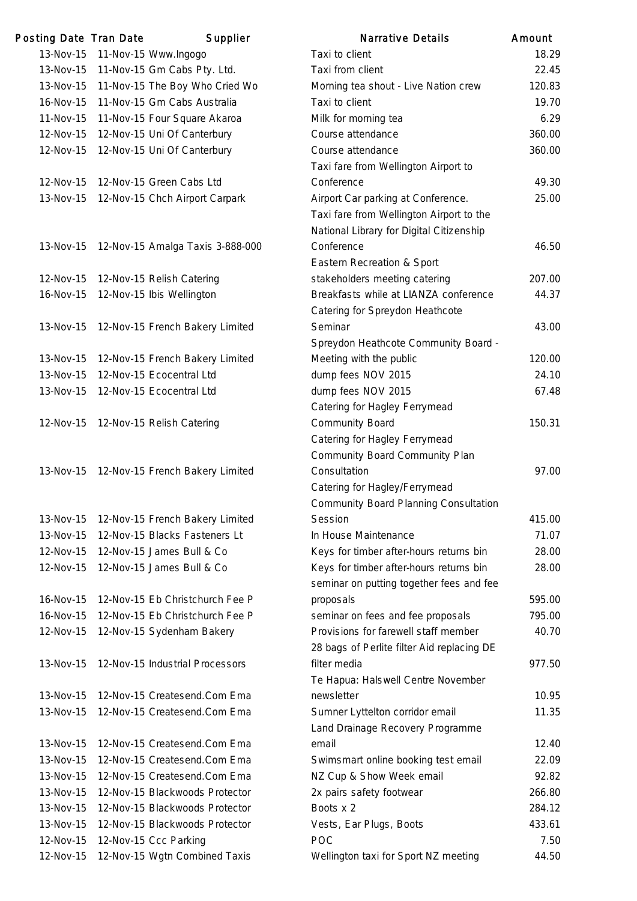| Posting Date Tran Date | Supplier                                    | <b>Narrative Details</b>                     | Amount |
|------------------------|---------------------------------------------|----------------------------------------------|--------|
| 13-Nov-15              | 11-Nov-15 Www.Ingogo                        | Taxi to client                               | 18.29  |
| 13-Nov-15              | 11-Nov-15 Gm Cabs Pty. Ltd.                 | Taxi from client                             | 22.45  |
| 13-Nov-15              | 11-Nov-15 The Boy Who Cried Wo              | Morning tea shout - Live Nation crew         | 120.83 |
| 16-Nov-15              | 11-Nov-15 Gm Cabs Australia                 | Taxi to client                               | 19.70  |
| 11-Nov-15              | 11-Nov-15 Four Square Akaroa                | Milk for morning tea                         | 6.29   |
| 12-Nov-15              | 12-Nov-15 Uni Of Canterbury                 | Course attendance                            | 360.00 |
| 12-Nov-15              | 12-Nov-15 Uni Of Canterbury                 | Course attendance                            | 360.00 |
|                        |                                             | Taxi fare from Wellington Airport to         |        |
| 12-Nov-15              | 12-Nov-15 Green Cabs Ltd                    | Conference                                   | 49.30  |
| 13-Nov-15              | 12-Nov-15 Chch Airport Carpark              | Airport Car parking at Conference.           | 25.00  |
|                        |                                             | Taxi fare from Wellington Airport to the     |        |
|                        |                                             | National Library for Digital Citizenship     |        |
|                        | 13-Nov-15  12-Nov-15 Amalga Taxis 3-888-000 | Conference                                   | 46.50  |
|                        |                                             | Eastern Recreation & Sport                   |        |
| 12-Nov-15              | 12-Nov-15 Relish Catering                   | stakeholders meeting catering                | 207.00 |
| 16-Nov-15              | 12-Nov-15 Ibis Wellington                   | Breakfasts while at LIANZA conference        | 44.37  |
|                        |                                             | Catering for Spreydon Heathcote              |        |
| 13-Nov-15              | 12-Nov-15 French Bakery Limited             | Seminar                                      | 43.00  |
|                        |                                             | Spreydon Heathcote Community Board -         |        |
| 13-Nov-15              | 12-Nov-15 French Bakery Limited             | Meeting with the public                      | 120.00 |
| 13-Nov-15              | 12-Nov-15 Ecocentral Ltd                    | dump fees NOV 2015                           | 24.10  |
| 13-Nov-15              | 12-Nov-15 Ecocentral Ltd                    | dump fees NOV 2015                           | 67.48  |
|                        |                                             | Catering for Hagley Ferrymead                |        |
| 12-Nov-15              | 12-Nov-15 Relish Catering                   | <b>Community Board</b>                       | 150.31 |
|                        |                                             | Catering for Hagley Ferrymead                |        |
|                        |                                             | Community Board Community Plan               |        |
|                        | 13-Nov-15 12-Nov-15 French Bakery Limited   | Consultation                                 | 97.00  |
|                        |                                             | Catering for Hagley/Ferrymead                |        |
|                        |                                             | <b>Community Board Planning Consultation</b> |        |
| 13-Nov-15              | 12-Nov-15 French Bakery Limited             | Session                                      | 415.00 |
| 13-Nov-15              | 12-Nov-15 Blacks Fasteners Lt               | In House Maintenance                         | 71.07  |
| 12-Nov-15              | 12-Nov-15 James Bull & Co                   | Keys for timber after-hours returns bin      | 28.00  |
| 12-Nov-15              | 12-Nov-15 James Bull & Co                   | Keys for timber after-hours returns bin      | 28.00  |
|                        |                                             | seminar on putting together fees and fee     |        |
| 16-Nov-15              | 12-Nov-15 Eb Christchurch Fee P             | proposals                                    | 595.00 |
| 16-Nov-15              | 12-Nov-15 Eb Christchurch Fee P             | seminar on fees and fee proposals            | 795.00 |
| 12-Nov-15              | 12-Nov-15 Sydenham Bakery                   | Provisions for farewell staff member         | 40.70  |
|                        |                                             | 28 bags of Perlite filter Aid replacing DE   |        |
| 13-Nov-15              | 12-Nov-15 Industrial Processors             | filter media                                 | 977.50 |
|                        |                                             | Te Hapua: Halswell Centre November           |        |
| 13-Nov-15              | 12-Nov-15 Createsend.Com Ema                | newsletter                                   | 10.95  |
| 13-Nov-15              | 12-Nov-15 Createsend.Com Ema                | Sumner Lyttelton corridor email              | 11.35  |
|                        |                                             | Land Drainage Recovery Programme             |        |
| 13-Nov-15              | 12-Nov-15 Createsend.Com Ema                | email                                        | 12.40  |
| 13-Nov-15              | 12-Nov-15 Createsend.Com Ema                | Swimsmart online booking test email          | 22.09  |
| 13-Nov-15              | 12-Nov-15 Createsend.Com Ema                | NZ Cup & Show Week email                     | 92.82  |
| 13-Nov-15              | 12-Nov-15 Blackwoods Protector              | 2x pairs safety footwear                     | 266.80 |
| 13-Nov-15              | 12-Nov-15 Blackwoods Protector              | Boots x 2                                    | 284.12 |
| 13-Nov-15              | 12-Nov-15 Blackwoods Protector              | Vests, Ear Plugs, Boots                      | 433.61 |
| 12-Nov-15              | 12-Nov-15 Ccc Parking                       | POC                                          | 7.50   |
|                        |                                             |                                              |        |
| 12-Nov-15              | 12-Nov-15 Wgtn Combined Taxis               | Wellington taxi for Sport NZ meeting         | 44.50  |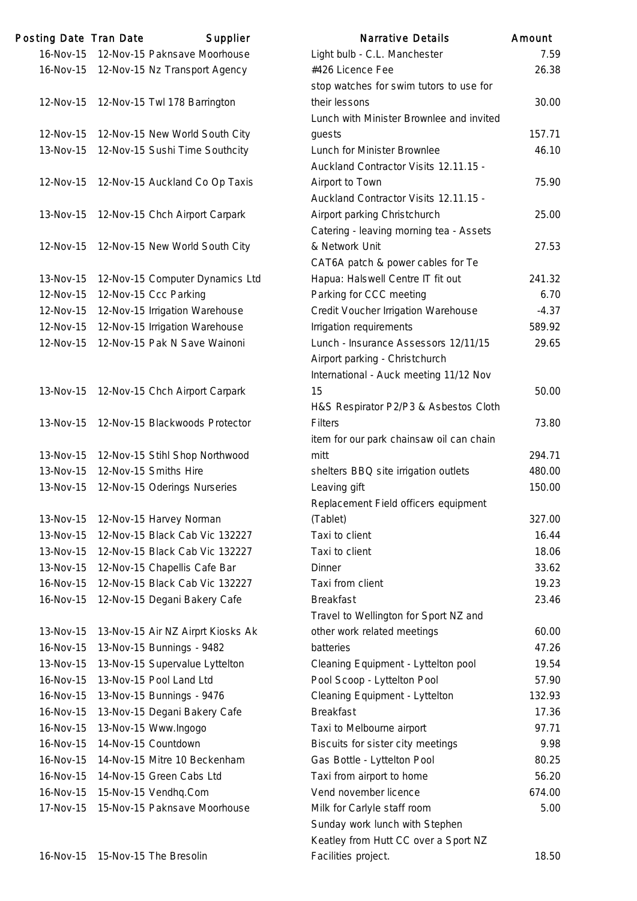| Posting Date Tran Date | Supplier                                 | <b>Narrative Details</b>                 | Amount |
|------------------------|------------------------------------------|------------------------------------------|--------|
| 16-Nov-15              | 12-Nov-15 Paknsave Moorhouse             | Light bulb - C.L. Manchester             | 7.1    |
|                        | 16-Nov-15 12-Nov-15 Nz Transport Agency  | #426 Licence Fee                         | 26.    |
|                        |                                          | stop watches for swim tutors to use for  |        |
|                        | 12-Nov-15 12-Nov-15 Twl 178 Barrington   | their lessons                            | 30.0   |
|                        |                                          | Lunch with Minister Brownlee and invited |        |
|                        | 12-Nov-15 12-Nov-15 New World South City | guests                                   | 157.   |
|                        | 13-Nov-15 12-Nov-15 Sushi Time Southcity | Lunch for Minister Brownlee              | 46.    |
|                        |                                          | Auckland Contractor Visits 12.11.15 -    |        |
|                        | 12-Nov-15 12-Nov-15 Auckland Co Op Taxis | Airport to Town                          | 75.    |
|                        |                                          | Auckland Contractor Visits 12.11.15 -    |        |
|                        | 13-Nov-15 12-Nov-15 Chch Airport Carpark | Airport parking Christchurch             | 25.1   |
|                        |                                          | Catering - leaving morning tea - Assets  |        |
|                        | 12-Nov-15 12-Nov-15 New World South City | & Network Unit                           | 27.    |
|                        |                                          | CAT6A patch & power cables for Te        |        |
| 13-Nov-15              | 12-Nov-15 Computer Dynamics Ltd          | Hapua: Halswell Centre IT fit out        | 241.   |
| 12-Nov-15              | 12-Nov-15 Ccc Parking                    | Parking for CCC meeting                  | 6.     |
| 12-Nov-15              | 12-Nov-15 Irrigation Warehouse           | Credit Voucher Irrigation Warehouse      | $-4.1$ |
| 12-Nov-15              | 12-Nov-15 Irrigation Warehouse           | Irrigation requirements                  | 589.   |
| 12-Nov-15              | 12-Nov-15 Pak N Save Wainoni             | Lunch - Insurance Assessors 12/11/15     | 29.    |
|                        |                                          | Airport parking - Christchurch           |        |
|                        |                                          | International - Auck meeting 11/12 Nov   |        |
| 13-Nov-15              | 12-Nov-15 Chch Airport Carpark           | 15                                       | 50.0   |
|                        |                                          | H&S Respirator P2/P3 & Asbestos Cloth    |        |
| 13-Nov-15              | 12-Nov-15 Blackwoods Protector           | <b>Filters</b>                           | 73.    |
|                        |                                          | item for our park chainsaw oil can chain |        |
| 13-Nov-15              | 12-Nov-15 Stihl Shop Northwood           | mitt                                     | 294.   |
| 13-Nov-15              | 12-Nov-15 Smiths Hire                    | shelters BBQ site irrigation outlets     | 480.   |
| 13-Nov-15              | 12-Nov-15 Oderings Nurseries             | Leaving gift                             | 150.   |
|                        |                                          | Replacement Field officers equipment     |        |
| 13-Nov-15              | 12-Nov-15 Harvey Norman                  | (Tablet)                                 | 327.   |
| 13-Nov-15              | 12-Nov-15 Black Cab Vic 132227           | Taxi to client                           | 16.    |
| 13-Nov-15              | 12-Nov-15 Black Cab Vic 132227           | Taxi to client                           | 18.0   |
| 13-Nov-15              | 12-Nov-15 Chapellis Cafe Bar             | <b>Dinner</b>                            | 33.    |
| 16-Nov-15              | 12-Nov-15 Black Cab Vic 132227           | Taxi from client                         | 19.1   |
| 16-Nov-15              | 12-Nov-15 Degani Bakery Cafe             | <b>Breakfast</b>                         | 23.4   |
|                        |                                          | Travel to Wellington for Sport NZ and    |        |
| 13-Nov-15              | 13-Nov-15 Air NZ Airprt Kiosks Ak        | other work related meetings              | 60.1   |
| 16-Nov-15              | 13-Nov-15 Bunnings - 9482                | batteries                                | 47.    |
| 13-Nov-15              | 13-Nov-15 Supervalue Lyttelton           | Cleaning Equipment - Lyttelton pool      | 19.1   |
| 16-Nov-15              | 13-Nov-15 Pool Land Ltd                  | Pool Scoop - Lyttelton Pool              | 57.5   |
| 16-Nov-15              | 13-Nov-15 Bunnings - 9476                | Cleaning Equipment - Lyttelton           | 132.   |
| 16-Nov-15              | 13-Nov-15 Degani Bakery Cafe             | <b>Breakfast</b>                         | 17.    |
| 16-Nov-15              | 13-Nov-15 Www.Ingogo                     | Taxi to Melbourne airport                | 97.    |
| 16-Nov-15              | 14-Nov-15 Countdown                      | Biscuits for sister city meetings        | 9.5    |
| 16-Nov-15              | 14-Nov-15 Mitre 10 Beckenham             | Gas Bottle - Lyttelton Pool              | 80.1   |
| 16-Nov-15              | 14-Nov-15 Green Cabs Ltd                 | Taxi from airport to home                | 56.5   |
| 16-Nov-15              | 15-Nov-15 Vendhq.Com                     | Vend november licence                    | 674.   |
| 17-Nov-15              | 15-Nov-15 Paknsave Moorhouse             | Milk for Carlyle staff room              | 5.1    |
|                        |                                          | Sunday work lunch with Stephen           |        |
|                        |                                          |                                          |        |

|           | ing Date Tran Date | Supplier                          | <b>Narrative Details</b>                 | Amount  |
|-----------|--------------------|-----------------------------------|------------------------------------------|---------|
| 16-Nov-15 |                    | 12-Nov-15 Paknsave Moorhouse      | Light bulb - C.L. Manchester             | 7.59    |
| 16-Nov-15 |                    | 12-Nov-15 Nz Transport Agency     | #426 Licence Fee                         | 26.38   |
|           |                    |                                   | stop watches for swim tutors to use for  |         |
| 12-Nov-15 |                    | 12-Nov-15 Twl 178 Barrington      | their lessons                            | 30.00   |
|           |                    |                                   | Lunch with Minister Brownlee and invited |         |
| 12-Nov-15 |                    | 12-Nov-15 New World South City    | guests                                   | 157.71  |
| 13-Nov-15 |                    | 12-Nov-15 Sushi Time Southcity    | Lunch for Minister Brownlee              | 46.10   |
|           |                    |                                   | Auckland Contractor Visits 12.11.15 -    |         |
| 12-Nov-15 |                    | 12-Nov-15 Auckland Co Op Taxis    | Airport to Town                          | 75.90   |
|           |                    |                                   | Auckland Contractor Visits 12.11.15 -    |         |
| 13-Nov-15 |                    | 12-Nov-15 Chch Airport Carpark    | Airport parking Christchurch             | 25.00   |
|           |                    |                                   | Catering - leaving morning tea - Assets  |         |
| 12-Nov-15 |                    | 12-Nov-15 New World South City    | & Network Unit                           | 27.53   |
|           |                    |                                   | CAT6A patch & power cables for Te        |         |
| 13-Nov-15 |                    | 12-Nov-15 Computer Dynamics Ltd   | Hapua: Halswell Centre IT fit out        | 241.32  |
| 12-Nov-15 |                    | 12-Nov-15 Ccc Parking             | Parking for CCC meeting                  | 6.70    |
| 12-Nov-15 |                    | 12-Nov-15 Irrigation Warehouse    | Credit Voucher Irrigation Warehouse      | $-4.37$ |
| 12-Nov-15 |                    | 12-Nov-15 Irrigation Warehouse    | Irrigation requirements                  | 589.92  |
| 12-Nov-15 |                    | 12-Nov-15 Pak N Save Wainoni      | Lunch - Insurance Assessors 12/11/15     | 29.65   |
|           |                    |                                   | Airport parking - Christchurch           |         |
|           |                    |                                   | International - Auck meeting 11/12 Nov   |         |
| 13-Nov-15 |                    | 12-Nov-15 Chch Airport Carpark    | 15                                       | 50.00   |
|           |                    |                                   | H&S Respirator P2/P3 & Asbestos Cloth    |         |
| 13-Nov-15 |                    | 12-Nov-15 Blackwoods Protector    | <b>Filters</b>                           | 73.80   |
|           |                    |                                   | item for our park chainsaw oil can chain |         |
| 13-Nov-15 |                    | 12-Nov-15 Stihl Shop Northwood    | mitt                                     | 294.71  |
| 13-Nov-15 |                    | 12-Nov-15 Smiths Hire             | shelters BBQ site irrigation outlets     | 480.00  |
| 13-Nov-15 |                    | 12-Nov-15 Oderings Nurseries      | Leaving gift                             | 150.00  |
|           |                    |                                   | Replacement Field officers equipment     |         |
| 13-Nov-15 |                    | 12-Nov-15 Harvey Norman           | (Tablet)                                 | 327.00  |
| 13-Nov-15 |                    | 12-Nov-15 Black Cab Vic 132227    | Taxi to client                           | 16.44   |
| 13-Nov-15 |                    | 12-Nov-15 Black Cab Vic 132227    | Taxi to client                           | 18.06   |
| 13-Nov-15 |                    | 12-Nov-15 Chapellis Cafe Bar      | <b>Dinner</b>                            | 33.62   |
| 16-Nov-15 |                    | 12-Nov-15 Black Cab Vic 132227    | Taxi from client                         | 19.23   |
| 16-Nov-15 |                    | 12-Nov-15 Degani Bakery Cafe      | <b>Breakfast</b>                         | 23.46   |
|           |                    |                                   | Travel to Wellington for Sport NZ and    |         |
| 13-Nov-15 |                    | 13-Nov-15 Air NZ Airprt Kiosks Ak | other work related meetings              | 60.00   |
| 16-Nov-15 |                    | 13-Nov-15 Bunnings - 9482         | batteries                                | 47.26   |
| 13-Nov-15 |                    | 13-Nov-15 Supervalue Lyttelton    | Cleaning Equipment - Lyttelton pool      | 19.54   |
| 16-Nov-15 |                    | 13-Nov-15 Pool Land Ltd           | Pool Scoop - Lyttelton Pool              | 57.90   |
| 16-Nov-15 |                    | 13-Nov-15 Bunnings - 9476         | Cleaning Equipment - Lyttelton           | 132.93  |
| 16-Nov-15 |                    | 13-Nov-15 Degani Bakery Cafe      | <b>Breakfast</b>                         | 17.36   |
| 16-Nov-15 |                    | 13-Nov-15 Www.Ingogo              | Taxi to Melbourne airport                | 97.71   |
| 16-Nov-15 |                    | 14-Nov-15 Countdown               | Biscuits for sister city meetings        | 9.98    |
| 16-Nov-15 |                    | 14-Nov-15 Mitre 10 Beckenham      | Gas Bottle - Lyttelton Pool              | 80.25   |
| 16-Nov-15 |                    | 14-Nov-15 Green Cabs Ltd          | Taxi from airport to home                | 56.20   |
| 16-Nov-15 |                    | 15-Nov-15 Vendhq.Com              | Vend november licence                    | 674.00  |
| 17-Nov-15 |                    | 15-Nov-15 Paknsave Moorhouse      | Milk for Carlyle staff room              | 5.00    |
|           |                    |                                   | Sunday work lunch with Stephen           |         |
|           |                    |                                   | Keatley from Hutt CC over a Sport NZ     |         |
| 16-Nov-15 |                    | 15-Nov-15 The Bresolin            | Facilities project.                      | 18.50   |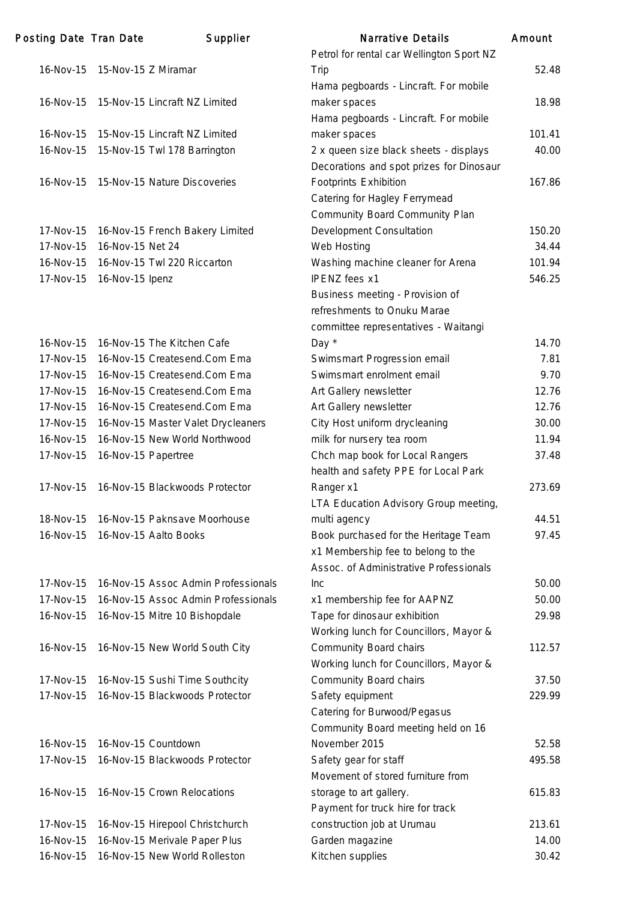| Posting Date Tran Date |                     | Supplier                            | <b>Narrative Details</b>                  | Amount |
|------------------------|---------------------|-------------------------------------|-------------------------------------------|--------|
|                        |                     |                                     | Petrol for rental car Wellington Sport NZ |        |
| 16-Nov-15              | 15-Nov-15 Z Miramar |                                     | Trip                                      | 52.48  |
|                        |                     |                                     | Hama pegboards - Lincraft. For mobile     |        |
| 16-Nov-15              |                     | 15-Nov-15 Lincraft NZ Limited       | maker spaces                              | 18.98  |
|                        |                     |                                     | Hama pegboards - Lincraft. For mobile     |        |
| 16-Nov-15              |                     | 15-Nov-15 Lincraft NZ Limited       | maker spaces                              | 101.41 |
| 16-Nov-15              |                     | 15-Nov-15 Twl 178 Barrington        | 2 x queen size black sheets - displays    | 40.00  |
|                        |                     |                                     | Decorations and spot prizes for Dinosaur  |        |
| 16-Nov-15              |                     | 15-Nov-15 Nature Discoveries        | <b>Footprints Exhibition</b>              | 167.86 |
|                        |                     |                                     | Catering for Hagley Ferrymead             |        |
|                        |                     |                                     | Community Board Community Plan            |        |
| 17-Nov-15              |                     | 16-Nov-15 French Bakery Limited     | Development Consultation                  | 150.20 |
| 17-Nov-15              | 16-Nov-15 Net 24    |                                     | Web Hosting                               | 34.44  |
| 16-Nov-15              |                     | 16-Nov-15 Twl 220 Riccarton         | Washing machine cleaner for Arena         | 101.94 |
| 17-Nov-15              | 16-Nov-15 Ipenz     |                                     | <b>IPENZ</b> fees x1                      | 546.25 |
|                        |                     |                                     | Business meeting - Provision of           |        |
|                        |                     |                                     | refreshments to Onuku Marae               |        |
|                        |                     |                                     | committee representatives - Waitangi      |        |
| 16-Nov-15              |                     | 16-Nov-15 The Kitchen Cafe          | Day *                                     | 14.70  |
| 17-Nov-15              |                     | 16-Nov-15 Createsend.Com Ema        | Swimsmart Progression email               | 7.81   |
| 17-Nov-15              |                     | 16-Nov-15 Createsend.Com Ema        | Swimsmart enrolment email                 | 9.70   |
| 17-Nov-15              |                     | 16-Nov-15 Createsend.Com Ema        | Art Gallery newsletter                    | 12.76  |
| 17-Nov-15              |                     | 16-Nov-15 Createsend.Com Ema        | Art Gallery newsletter                    | 12.76  |
| 17-Nov-15              |                     | 16-Nov-15 Master Valet Drycleaners  | City Host uniform drycleaning             | 30.00  |
| 16-Nov-15              |                     | 16-Nov-15 New World Northwood       | milk for nursery tea room                 | 11.94  |
| 17-Nov-15              |                     | 16-Nov-15 Papertree                 | Chch map book for Local Rangers           | 37.48  |
|                        |                     |                                     | health and safety PPE for Local Park      |        |
| 17-Nov-15              |                     | 16-Nov-15 Blackwoods Protector      | Ranger x1                                 | 273.69 |
|                        |                     |                                     | LTA Education Advisory Group meeting,     |        |
| 18-Nov-15              |                     | 16-Nov-15 Paknsave Moorhouse        | multi agency                              | 44.51  |
| 16-Nov-15              |                     | 16-Nov-15 Aalto Books               | Book purchased for the Heritage Team      | 97.45  |
|                        |                     |                                     | x1 Membership fee to belong to the        |        |
|                        |                     |                                     | Assoc. of Administrative Professionals    |        |
| 17-Nov-15              |                     | 16-Nov-15 Assoc Admin Professionals | <b>Inc</b>                                | 50.00  |
| 17-Nov-15              |                     | 16-Nov-15 Assoc Admin Professionals | x1 membership fee for AAPNZ               | 50.00  |
| 16-Nov-15              |                     | 16-Nov-15 Mitre 10 Bishopdale       | Tape for dinosaur exhibition              | 29.98  |
|                        |                     |                                     | Working lunch for Councillors, Mayor &    |        |
| 16-Nov-15              |                     | 16-Nov-15 New World South City      | Community Board chairs                    | 112.57 |
|                        |                     |                                     | Working lunch for Councillors, Mayor &    |        |
| 17-Nov-15              |                     | 16-Nov-15 Sushi Time Southcity      | Community Board chairs                    | 37.50  |
| 17-Nov-15              |                     | 16-Nov-15 Blackwoods Protector      | Safety equipment                          | 229.99 |
|                        |                     |                                     | Catering for Burwood/Pegasus              |        |
|                        |                     |                                     | Community Board meeting held on 16        |        |
| 16-Nov-15              |                     | 16-Nov-15 Countdown                 | November 2015                             | 52.58  |
| 17-Nov-15              |                     | 16-Nov-15 Blackwoods Protector      | Safety gear for staff                     | 495.58 |
|                        |                     |                                     | Movement of stored furniture from         |        |
| 16-Nov-15              |                     | 16-Nov-15 Crown Relocations         | storage to art gallery.                   | 615.83 |
|                        |                     |                                     | Payment for truck hire for track          |        |
| 17-Nov-15              |                     | 16-Nov-15 Hirepool Christchurch     | construction job at Urumau                | 213.61 |
| 16-Nov-15              |                     | 16-Nov-15 Merivale Paper Plus       | Garden magazine                           | 14.00  |
| 16-Nov-15              |                     | 16-Nov-15 New World Rolleston       | Kitchen supplies                          | 30.42  |
|                        |                     |                                     |                                           |        |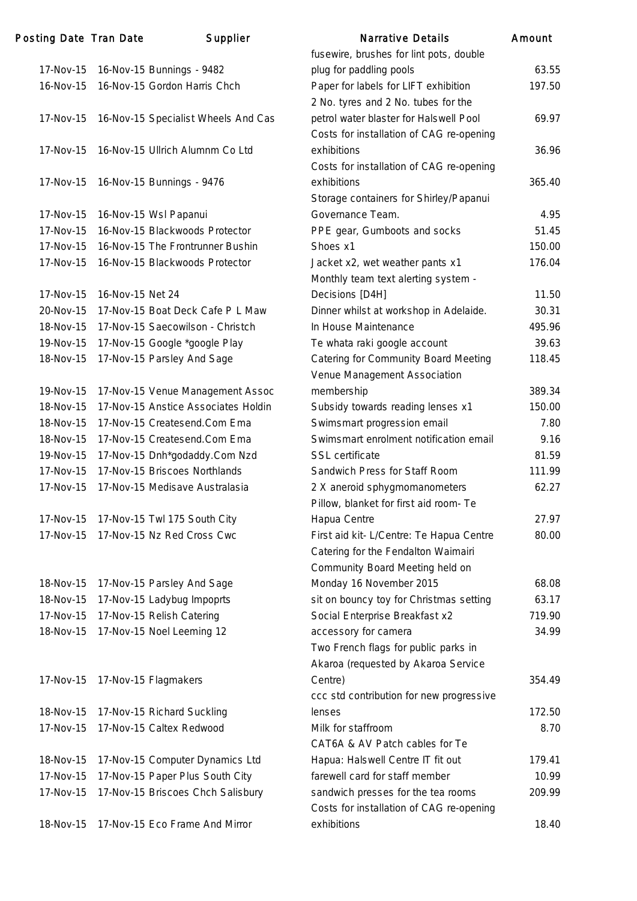| Posting Date Tran Date |                  | Supplier                            | <b>Narrative Details</b>                                | Amount |
|------------------------|------------------|-------------------------------------|---------------------------------------------------------|--------|
|                        |                  |                                     | fusewire, brushes for lint pots, double                 |        |
| 17-Nov-15              |                  | 16-Nov-15 Bunnings - 9482           | plug for paddling pools                                 | 63.55  |
| 16-Nov-15              |                  | 16-Nov-15 Gordon Harris Chch        | Paper for labels for LIFT exhibition                    | 197.50 |
|                        |                  |                                     | 2 No. tyres and 2 No. tubes for the                     |        |
| 17-Nov-15              |                  | 16-Nov-15 Specialist Wheels And Cas | petrol water blaster for Halswell Pool                  | 69.97  |
|                        |                  |                                     | Costs for installation of CAG re-opening                |        |
| 17-Nov-15              |                  | 16-Nov-15 Ullrich Alumnm Co Ltd     | exhibitions                                             | 36.96  |
|                        |                  |                                     | Costs for installation of CAG re-opening                |        |
| 17-Nov-15              |                  | 16-Nov-15 Bunnings - 9476           | exhibitions                                             | 365.40 |
|                        |                  |                                     | Storage containers for Shirley/Papanui                  |        |
| 17-Nov-15              |                  | 16-Nov-15 Wsl Papanui               | Governance Team.                                        | 4.95   |
| 17-Nov-15              |                  | 16-Nov-15 Blackwoods Protector      | PPE gear, Gumboots and socks                            | 51.45  |
| 17-Nov-15              |                  | 16-Nov-15 The Frontrunner Bushin    | Shoes x1                                                | 150.00 |
| 17-Nov-15              |                  | 16-Nov-15 Blackwoods Protector      | Jacket x2, wet weather pants x1                         | 176.04 |
|                        |                  |                                     | Monthly team text alerting system -                     |        |
| 17-Nov-15              | 16-Nov-15 Net 24 |                                     | Decisions [D4H]                                         | 11.50  |
| 20-Nov-15              |                  | 17-Nov-15 Boat Deck Cafe P L Maw    | Dinner whilst at workshop in Adelaide.                  | 30.31  |
| 18-Nov-15              |                  | 17-Nov-15 Saecowilson - Christch    | In House Maintenance                                    | 495.96 |
| 19-Nov-15              |                  | 17-Nov-15 Google *google Play       | Te whata raki google account                            | 39.63  |
| 18-Nov-15              |                  | 17-Nov-15 Parsley And Sage          | Catering for Community Board Meeting                    | 118.45 |
|                        |                  |                                     | Venue Management Association                            |        |
| 19-Nov-15              |                  | 17-Nov-15 Venue Management Assoc    | membership                                              | 389.34 |
| 18-Nov-15              |                  | 17-Nov-15 Anstice Associates Holdin | Subsidy towards reading lenses x1                       | 150.00 |
| 18-Nov-15              |                  | 17-Nov-15 Createsend.Com Ema        | Swimsmart progression email                             | 7.80   |
| 18-Nov-15              |                  | 17-Nov-15 Createsend.Com Ema        | Swimsmart enrolment notification email                  | 9.16   |
| 19-Nov-15              |                  | 17-Nov-15 Dnh*godaddy.Com Nzd       | <b>SSL</b> certificate                                  | 81.59  |
| 17-Nov-15              |                  | 17-Nov-15 Briscoes Northlands       | Sandwich Press for Staff Room                           | 111.99 |
| 17-Nov-15              |                  | 17-Nov-15 Medisave Australasia      | 2 X aneroid sphygmomanometers                           | 62.27  |
|                        |                  |                                     | Pillow, blanket for first aid room- Te                  |        |
| 17-Nov-15              |                  | 17-Nov-15 Twl 175 South City        | Hapua Centre                                            | 27.97  |
| 17-Nov-15              |                  | 17-Nov-15 Nz Red Cross Cwc          | First aid kit- L/Centre: Te Hapua Centre                | 80.00  |
|                        |                  |                                     | Catering for the Fendalton Waimairi                     |        |
|                        |                  |                                     | Community Board Meeting held on                         |        |
| 18-Nov-15              |                  | 17-Nov-15 Parsley And Sage          | Monday 16 November 2015                                 | 68.08  |
| 18-Nov-15              |                  | 17-Nov-15 Ladybug Impoprts          | sit on bouncy toy for Christmas setting                 | 63.17  |
| 17-Nov-15              |                  | 17-Nov-15 Relish Catering           | Social Enterprise Breakfast x2                          | 719.90 |
| 18-Nov-15              |                  | 17-Nov-15 Noel Leeming 12           | accessory for camera                                    | 34.99  |
|                        |                  |                                     | Two French flags for public parks in                    |        |
|                        |                  |                                     | Akaroa (requested by Akaroa Service                     |        |
| 17-Nov-15              |                  | 17-Nov-15 Flagmakers                | Centre)                                                 | 354.49 |
|                        |                  |                                     | ccc std contribution for new progressive                |        |
| 18-Nov-15              |                  | 17-Nov-15 Richard Suckling          | lenses                                                  | 172.50 |
| 17-Nov-15              |                  | 17-Nov-15 Caltex Redwood            | Milk for staffroom                                      | 8.70   |
|                        |                  |                                     | CAT6A & AV Patch cables for Te                          |        |
| 18-Nov-15              |                  | 17-Nov-15 Computer Dynamics Ltd     | Hapua: Halswell Centre IT fit out                       | 179.41 |
| 17-Nov-15              |                  | 17-Nov-15 Paper Plus South City     | farewell card for staff member                          | 10.99  |
| 17-Nov-15              |                  | 17-Nov-15 Briscoes Chch Salisbury   | sandwich presses for the tea rooms                      | 209.99 |
|                        |                  |                                     |                                                         |        |
| 18-Nov-15              |                  | 17-Nov-15 Eco Frame And Mirror      | Costs for installation of CAG re-opening<br>exhibitions | 18.40  |
|                        |                  |                                     |                                                         |        |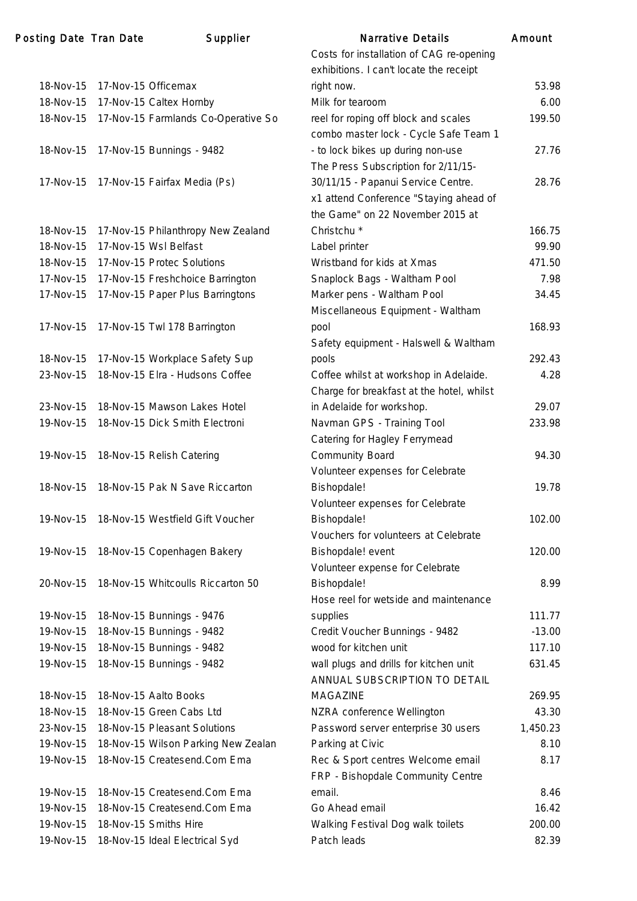## Posting Date Tran Date Supplier 18-Nov-15 17-Nov-15 Officemax 18-Nov-15 17-Nov-15 Caltex Hornby Milk 6.000 18-Nov-15 17-Nov-15 Farmlands Co-Operative So re 18-Nov-15 17-Nov-15 Bunnings - 9482 17-Nov-15 17-Nov-15 Fairfax Media (Ps)

| 18-Nov-15       | 17-Nov-15 Philanthropy New Zealand |
|-----------------|------------------------------------|
| 18-Nov-15       | 17-Nov-15 Wsl Belfast              |
| 18-Nov-15       | 17-Nov-15 Protec Solutions         |
| 17-Nov-15       | 17-Nov-15 Freshchoice Barrington   |
| 17-Nov-15       | 17-Nov-15 Paper Plus Barringtons   |
| 17-Nov-15       | 17-Nov-15 Twl 178 Barrington       |
| 18-Nov-15       | 17-Nov-15 Workplace Safety Sup     |
| $23 - Nov - 15$ | 18-Nov-15 Elra - Hudsons Coffee    |
|                 |                                    |
| $23 - Nov - 15$ | 18-Nov-15 Mawson Lakes Hotel       |
| 19-Nov-15       | 18-Nov-15 Dick Smith Electroni     |
| 19-Nov-15       | 18-Nov-15 Relish Catering          |
| $18-Nov-15$     | 18-Nov-15 Pak N Save Riccarton     |

- 19-Nov-15 18-Nov-15 Westfield Gift Voucher
- 19-Nov-15 18-Nov-15 Copenhagen Bakery
- 20-Nov-15 18-Nov-15 Whitcoulls Riccarton 50

| 19-Nov-15   18-Nov-15 Bunnings - 9476 | sι |
|---------------------------------------|----|
| 19-Nov-15   18-Nov-15 Bunnings - 9482 | С  |
| 19-Nov-15   18-Nov-15 Bunnings - 9482 | w  |
| 19-Nov-15   18-Nov-15 Bunnings - 9482 | w  |

|           | ing Date Tran Date | Supplier                            | <b>Narrative Details</b>                  | Amount   |
|-----------|--------------------|-------------------------------------|-------------------------------------------|----------|
|           |                    |                                     | Costs for installation of CAG re-opening  |          |
|           |                    |                                     | exhibitions. I can't locate the receipt   |          |
| 18-Nov-15 |                    | 17-Nov-15 Officemax                 | right now.                                | 53.98    |
| 18-Nov-15 |                    | 17-Nov-15 Caltex Hornby             | Milk for tearoom                          | 6.00     |
| 18-Nov-15 |                    | 17-Nov-15 Farmlands Co-Operative So | reel for roping off block and scales      | 199.50   |
|           |                    |                                     | combo master lock - Cycle Safe Team 1     |          |
| 18-Nov-15 |                    | 17-Nov-15 Bunnings - 9482           | - to lock bikes up during non-use         | 27.76    |
|           |                    |                                     | The Press Subscription for 2/11/15-       |          |
| 17-Nov-15 |                    | 17-Nov-15 Fairfax Media (Ps)        | 30/11/15 - Papanui Service Centre.        | 28.76    |
|           |                    |                                     | x1 attend Conference "Staying ahead of    |          |
|           |                    |                                     | the Game" on 22 November 2015 at          |          |
| 18-Nov-15 |                    | 17-Nov-15 Philanthropy New Zealand  | Christchu <sup>*</sup>                    | 166.75   |
| 18-Nov-15 |                    | 17-Nov-15 Wsl Belfast               | Label printer                             | 99.90    |
| 18-Nov-15 |                    | 17-Nov-15 Protec Solutions          | Wristband for kids at Xmas                | 471.50   |
| 17-Nov-15 |                    | 17-Nov-15 Freshchoice Barrington    | Snaplock Bags - Waltham Pool              | 7.98     |
| 17-Nov-15 |                    | 17-Nov-15 Paper Plus Barringtons    | Marker pens - Waltham Pool                | 34.45    |
|           |                    |                                     | Miscellaneous Equipment - Waltham         |          |
| 17-Nov-15 |                    | 17-Nov-15 Twl 178 Barrington        | pool                                      | 168.93   |
|           |                    |                                     | Safety equipment - Halswell & Waltham     |          |
| 18-Nov-15 |                    | 17-Nov-15 Workplace Safety Sup      | pools                                     | 292.43   |
| 23-Nov-15 |                    | 18-Nov-15 Elra - Hudsons Coffee     | Coffee whilst at workshop in Adelaide.    | 4.28     |
|           |                    |                                     | Charge for breakfast at the hotel, whilst |          |
| 23-Nov-15 |                    | 18-Nov-15 Mawson Lakes Hotel        | in Adelaide for workshop.                 | 29.07    |
| 19-Nov-15 |                    | 18-Nov-15 Dick Smith Electroni      | Navman GPS - Training Tool                | 233.98   |
|           |                    |                                     | Catering for Hagley Ferrymead             |          |
| 19-Nov-15 |                    | 18-Nov-15 Relish Catering           | <b>Community Board</b>                    | 94.30    |
|           |                    |                                     | Volunteer expenses for Celebrate          |          |
| 18-Nov-15 |                    | 18-Nov-15 Pak N Save Riccarton      | Bishopdale!                               | 19.78    |
|           |                    |                                     | Volunteer expenses for Celebrate          |          |
| 19-Nov-15 |                    | 18-Nov-15 Westfield Gift Voucher    | Bishopdale!                               | 102.00   |
|           |                    |                                     | Vouchers for volunteers at Celebrate      |          |
| 19-Nov-15 |                    | 18-Nov-15 Copenhagen Bakery         | Bishopdale! event                         | 120.00   |
|           |                    |                                     | Volunteer expense for Celebrate           |          |
| 20-Nov-15 |                    | 18-Nov-15 Whitcoulls Riccarton 50   | Bishopdale!                               | 8.99     |
|           |                    |                                     | Hose reel for wetside and maintenance     |          |
| 19-Nov-15 |                    | 18-Nov-15 Bunnings - 9476           | supplies                                  | 111.77   |
| 19-Nov-15 |                    | 18-Nov-15 Bunnings - 9482           | Credit Voucher Bunnings - 9482            | $-13.00$ |
| 19-Nov-15 |                    | 18-Nov-15 Bunnings - 9482           | wood for kitchen unit                     | 117.10   |
| 19-Nov-15 |                    | 18-Nov-15 Bunnings - 9482           | wall plugs and drills for kitchen unit    | 631.45   |
|           |                    |                                     | ANNUAL SUBSCRIPTION TO DETAIL             |          |
| 18-Nov-15 |                    | 18-Nov-15 Aalto Books               | <b>MAGAZINE</b>                           | 269.95   |
| 18-Nov-15 |                    | 18-Nov-15 Green Cabs Ltd            | NZRA conference Wellington                | 43.30    |
| 23-Nov-15 |                    | 18-Nov-15 Pleasant Solutions        | Password server enterprise 30 users       | 1,450.23 |
| 19-Nov-15 |                    | 18-Nov-15 Wilson Parking New Zealan | Parking at Civic                          | 8.10     |
| 19-Nov-15 |                    | 18-Nov-15 Createsend.Com Ema        | Rec & Sport centres Welcome email         | 8.17     |
|           |                    |                                     | FRP - Bishopdale Community Centre         |          |
| 19-Nov-15 |                    | 18-Nov-15 Createsend.Com Ema        | email.                                    | 8.46     |
| 19-Nov-15 |                    | 18-Nov-15 Createsend.Com Ema        | Go Ahead email                            | 16.42    |
| 19-Nov-15 |                    | 18-Nov-15 Smiths Hire               | Walking Festival Dog walk toilets         | 200.00   |
| 19-Nov-15 |                    | 18-Nov-15 Ideal Electrical Syd      | Patch leads                               | 82.39    |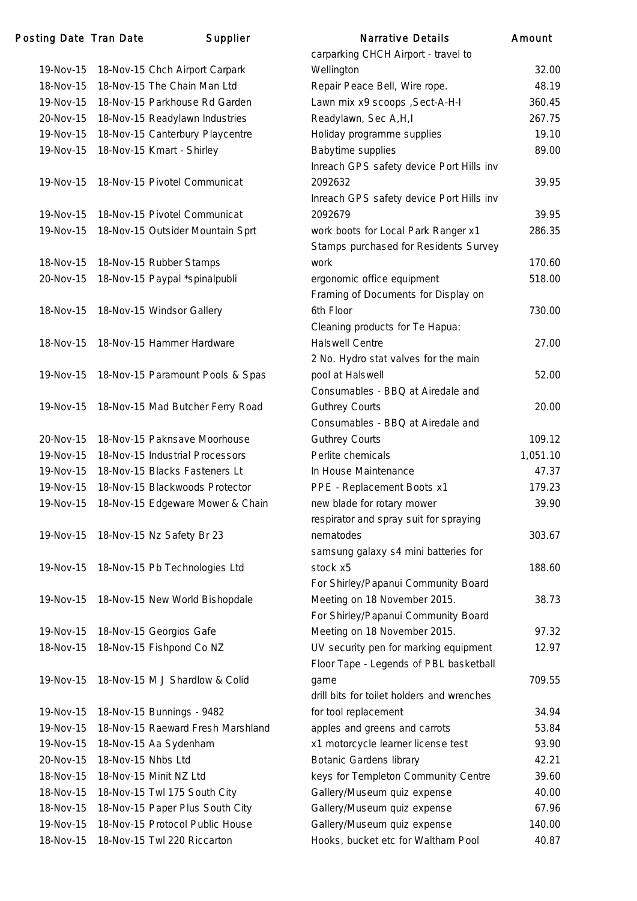## Posting Date Tran Date Supplier

|           |                    |                                   | carpark              |
|-----------|--------------------|-----------------------------------|----------------------|
| 19-Nov-15 |                    | 18-Nov-15 Chch Airport Carpark    | Wellingt             |
| 18-Nov-15 |                    | 18-Nov-15 The Chain Man Ltd       | Repair I             |
| 19-Nov-15 |                    | 18-Nov-15 Parkhouse Rd Garden     | Lawn m               |
| 20-Nov-15 |                    | 18-Nov-15 Readylawn Industries    | Readyla              |
| 19-Nov-15 |                    | 18-Nov-15 Canterbury Playcentre   | Holiday              |
| 19-Nov-15 |                    | 18-Nov-15 Kmart - Shirley         | Babytin              |
|           |                    |                                   | Inreach              |
| 19-Nov-15 |                    | 18-Nov-15 Pivotel Communicat      | 209263               |
|           |                    |                                   | Inreach              |
| 19-Nov-15 |                    | 18-Nov-15 Pivotel Communicat      | 209267               |
| 19-Nov-15 |                    | 18-Nov-15 Outsider Mountain Sprt  | work bo              |
|           |                    |                                   | Stamps               |
| 18-Nov-15 |                    | 18-Nov-15 Rubber Stamps           | work                 |
| 20-Nov-15 |                    | 18-Nov-15 Paypal *spinalpubli     | ergonor              |
|           |                    |                                   | Framing              |
| 18-Nov-15 |                    | 18-Nov-15 Windsor Gallery         | 6th Floc             |
|           |                    |                                   | Cleanin              |
| 18-Nov-15 |                    | 18-Nov-15 Hammer Hardware         | Halswel              |
|           |                    |                                   | 2 No. H              |
| 19-Nov-15 |                    | 18-Nov-15 Paramount Pools & Spas  | pool at              |
|           |                    |                                   | Consun               |
| 19-Nov-15 |                    | 18-Nov-15 Mad Butcher Ferry Road  | Guthrey              |
|           |                    |                                   | Consun               |
| 20-Nov-15 |                    | 18-Nov-15 Paknsave Moorhouse      | Guthrey              |
| 19-Nov-15 |                    | 18-Nov-15 Industrial Processors   | Perlite o            |
| 19-Nov-15 |                    | 18-Nov-15 Blacks Fasteners Lt     | In Hous              |
| 19-Nov-15 |                    | 18-Nov-15 Blackwoods Protector    | PPE - F              |
| 19-Nov-15 |                    | 18-Nov-15 Edgeware Mower & Chain  | new bla              |
|           |                    |                                   | respirat             |
| 19-Nov-15 |                    | 18-Nov-15 Nz Safety Br 23         | nemato               |
|           |                    |                                   | samsur               |
| 19-Nov-15 |                    | 18-Nov-15 Pb Technologies Ltd     | stock x              |
|           |                    |                                   | For Shir             |
| 19-Nov-15 |                    | 18-Nov-15 New World Bishopdale    | Meeting              |
|           |                    |                                   | For Shir             |
| 19-Nov-15 |                    | 18-Nov-15 Georgios Gafe           | Meeting              |
| 18-Nov-15 |                    | 18-Nov-15 Fishpond Co NZ          | UV sec               |
|           |                    |                                   | Floor Ta             |
| 19-Nov-15 |                    | 18-Nov-15 M J Shardlow & Colid    | game                 |
|           |                    |                                   | drill bits           |
| 19-Nov-15 |                    | 18-Nov-15 Bunnings - 9482         | for tool             |
| 19-Nov-15 |                    | 18-Nov-15 Raeward Fresh Marshland | apples a             |
| 19-Nov-15 |                    | 18-Nov-15 Aa Sydenham             | x1 moto              |
| 20-Nov-15 | 18-Nov-15 Nhbs Ltd |                                   | <b>Botanic</b>       |
| 18-Nov-15 |                    | 18-Nov-15 Minit NZ Ltd            |                      |
| 18-Nov-15 |                    | 18-Nov-15 Twl 175 South City      | keys fo              |
| 18-Nov-15 |                    | 18-Nov-15 Paper Plus South City   | Gallery/<br>Gallery/ |
| 19-Nov-15 |                    | 18-Nov-15 Protocol Public House   |                      |
|           |                    |                                   | Gallery/<br>Hooks,   |
| 18-Nov-15 |                    | 18-Nov-15 Twl 220 Riccarton       |                      |

|           | ing Date Tran Date | Supplier                          | <b>Narrative Details</b>                                          | Amount   |
|-----------|--------------------|-----------------------------------|-------------------------------------------------------------------|----------|
|           |                    |                                   | carparking CHCH Airport - travel to                               |          |
| 19-Nov-15 |                    | 18-Nov-15 Chch Airport Carpark    | Wellington                                                        | 32.00    |
| 18-Nov-15 |                    | 18-Nov-15 The Chain Man Ltd       | Repair Peace Bell, Wire rope.                                     | 48.19    |
| 19-Nov-15 |                    | 18-Nov-15 Parkhouse Rd Garden     | Lawn mix x9 scoops , Sect-A-H-I                                   | 360.45   |
| 20-Nov-15 |                    | 18-Nov-15 Readylawn Industries    | Readylawn, Sec A, H, I                                            | 267.75   |
| 19-Nov-15 |                    | 18-Nov-15 Canterbury Playcentre   | Holiday programme supplies                                        | 19.10    |
| 19-Nov-15 |                    | 18-Nov-15 Kmart - Shirley         | <b>Babytime supplies</b>                                          | 89.00    |
|           |                    |                                   | Inreach GPS safety device Port Hills inv                          |          |
| 19-Nov-15 |                    | 18-Nov-15 Pivotel Communicat      | 2092632                                                           | 39.95    |
|           |                    |                                   | Inreach GPS safety device Port Hills inv                          |          |
| 19-Nov-15 |                    | 18-Nov-15 Pivotel Communicat      | 2092679                                                           | 39.95    |
| 19-Nov-15 |                    | 18-Nov-15 Outsider Mountain Sprt  | work boots for Local Park Ranger x1                               | 286.35   |
|           |                    |                                   | Stamps purchased for Residents Survey                             |          |
| 18-Nov-15 |                    | 18-Nov-15 Rubber Stamps           | work                                                              | 170.60   |
| 20-Nov-15 |                    | 18-Nov-15 Paypal *spinalpubli     | ergonomic office equipment                                        | 518.00   |
|           |                    |                                   | Framing of Documents for Display on                               |          |
| 18-Nov-15 |                    | 18-Nov-15 Windsor Gallery         | 6th Floor                                                         | 730.00   |
|           |                    |                                   | Cleaning products for Te Hapua:                                   |          |
| 18-Nov-15 |                    | 18-Nov-15 Hammer Hardware         | <b>Halswell Centre</b>                                            | 27.00    |
|           |                    |                                   | 2 No. Hydro stat valves for the main                              |          |
| 19-Nov-15 |                    | 18-Nov-15 Paramount Pools & Spas  | pool at Halswell                                                  | 52.00    |
|           |                    |                                   | Consumables - BBQ at Airedale and                                 |          |
| 19-Nov-15 |                    | 18-Nov-15 Mad Butcher Ferry Road  | <b>Guthrey Courts</b>                                             | 20.00    |
|           |                    |                                   | Consumables - BBQ at Airedale and                                 |          |
| 20-Nov-15 |                    | 18-Nov-15 Paknsave Moorhouse      | <b>Guthrey Courts</b>                                             | 109.12   |
| 19-Nov-15 |                    | 18-Nov-15 Industrial Processors   | Perlite chemicals                                                 | 1,051.10 |
| 19-Nov-15 |                    | 18-Nov-15 Blacks Fasteners Lt     | In House Maintenance                                              | 47.37    |
| 19-Nov-15 |                    | 18-Nov-15 Blackwoods Protector    | PPE - Replacement Boots x1                                        | 179.23   |
| 19-Nov-15 |                    | 18-Nov-15 Edgeware Mower & Chain  | new blade for rotary mower                                        | 39.90    |
|           |                    |                                   | respirator and spray suit for spraying                            |          |
| 19-Nov-15 |                    | 18-Nov-15 Nz Safety Br 23         | nematodes                                                         | 303.67   |
|           |                    |                                   | samsung galaxy s4 mini batteries for                              |          |
| 19-Nov-15 |                    | 18-Nov-15 Pb Technologies Ltd     | stock x5                                                          | 188.60   |
|           |                    |                                   | For Shirley/Papanui Community Board                               |          |
| 19-Nov-15 |                    | 18-Nov-15 New World Bishopdale    | Meeting on 18 November 2015.                                      | 38.73    |
|           |                    |                                   | For Shirley/Papanui Community Board                               |          |
| 19-Nov-15 |                    | 18-Nov-15 Georgios Gafe           | Meeting on 18 November 2015.                                      | 97.32    |
| 18-Nov-15 |                    | 18-Nov-15 Fishpond Co NZ          | UV security pen for marking equipment                             | 12.97    |
|           |                    |                                   | Floor Tape - Legends of PBL basketball                            |          |
| 19-Nov-15 |                    | 18-Nov-15 M J Shardlow & Colid    | game                                                              | 709.55   |
|           |                    |                                   | drill bits for toilet holders and wrenches                        |          |
| 19-Nov-15 |                    | 18-Nov-15 Bunnings - 9482         | for tool replacement                                              | 34.94    |
| 19-Nov-15 |                    | 18-Nov-15 Raeward Fresh Marshland | apples and greens and carrots                                     | 53.84    |
| 19-Nov-15 |                    | 18-Nov-15 Aa Sydenham             | x1 motorcycle learner license test                                | 93.90    |
| 20-Nov-15 | 18-Nov-15 Nhbs Ltd |                                   | <b>Botanic Gardens library</b>                                    | 42.21    |
| 18-Nov-15 |                    | 18-Nov-15 Minit NZ Ltd            | keys for Templeton Community Centre                               | 39.60    |
| 18-Nov-15 |                    | 18-Nov-15 Twl 175 South City      | Gallery/Museum quiz expense                                       | 40.00    |
| 18-Nov-15 |                    | 18-Nov-15 Paper Plus South City   | Gallery/Museum quiz expense                                       | 67.96    |
| 19-Nov-15 |                    | 18-Nov-15 Protocol Public House   |                                                                   | 140.00   |
| 18-Nov-15 |                    | 18-Nov-15 Twl 220 Riccarton       | Gallery/Museum quiz expense<br>Hooks, bucket etc for Waltham Pool | 40.87    |
|           |                    |                                   |                                                                   |          |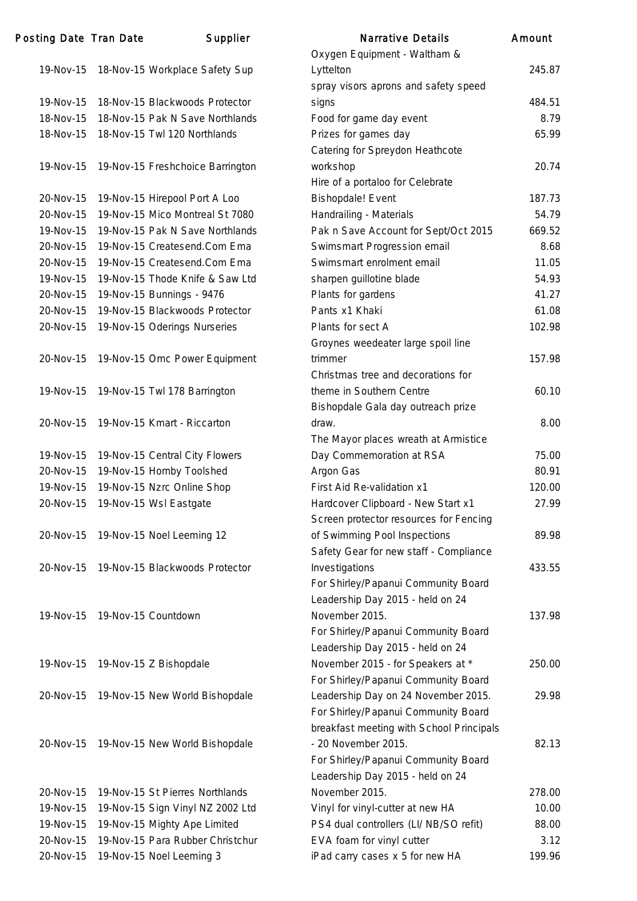| Posting Date Tran Date |                     | Supplier                                 | <b>Narrative Details</b>                 | Amount |
|------------------------|---------------------|------------------------------------------|------------------------------------------|--------|
|                        |                     |                                          | Oxygen Equipment - Waltham &             |        |
|                        |                     | 19-Nov-15 18-Nov-15 Workplace Safety Sup | Lyttelton                                | 245.87 |
|                        |                     |                                          | spray visors aprons and safety speed     |        |
| 19-Nov-15              |                     | 18-Nov-15 Blackwoods Protector           | signs                                    | 484.51 |
| 18-Nov-15              |                     | 18-Nov-15 Pak N Save Northlands          | Food for game day event                  | 8.79   |
| 18-Nov-15              |                     | 18-Nov-15 Twl 120 Northlands             | Prizes for games day                     | 65.99  |
|                        |                     |                                          | Catering for Spreydon Heathcote          |        |
| 19-Nov-15              |                     | 19-Nov-15 Freshchoice Barrington         | workshop                                 | 20.74  |
|                        |                     |                                          | Hire of a portaloo for Celebrate         |        |
| 20-Nov-15              |                     | 19-Nov-15 Hirepool Port A Loo            | <b>Bishopdale!</b> Event                 | 187.73 |
| 20-Nov-15              |                     | 19-Nov-15 Mico Montreal St 7080          | Handrailing - Materials                  | 54.79  |
| 19-Nov-15              |                     | 19-Nov-15 Pak N Save Northlands          | Pak n Save Account for Sept/Oct 2015     | 669.52 |
| 20-Nov-15              |                     | 19-Nov-15 Createsend.Com Ema             | Swimsmart Progression email              | 8.68   |
| 20-Nov-15              |                     | 19-Nov-15 Createsend.Com Ema             | Swimsmart enrolment email                | 11.05  |
| 19-Nov-15              |                     | 19-Nov-15 Thode Knife & Saw Ltd          | sharpen guillotine blade                 | 54.93  |
| 20-Nov-15              |                     | 19-Nov-15 Bunnings - 9476                | Plants for gardens                       | 41.27  |
| 20-Nov-15              |                     | 19-Nov-15 Blackwoods Protector           | Pants x1 Khaki                           | 61.08  |
| 20-Nov-15              |                     | 19-Nov-15 Oderings Nurseries             | Plants for sect A                        | 102.98 |
|                        |                     |                                          | Groynes weedeater large spoil line       |        |
| 20-Nov-15              |                     | 19-Nov-15 Omc Power Equipment            | trimmer                                  | 157.98 |
|                        |                     |                                          | Christmas tree and decorations for       |        |
| 19-Nov-15              |                     | 19-Nov-15 Twl 178 Barrington             | theme in Southern Centre                 | 60.10  |
|                        |                     |                                          |                                          |        |
|                        |                     |                                          | Bishopdale Gala day outreach prize       |        |
| 20-Nov-15              |                     | 19-Nov-15 Kmart - Riccarton              | draw.                                    | 8.00   |
|                        |                     |                                          | The Mayor places wreath at Armistice     |        |
| 19-Nov-15              |                     | 19-Nov-15 Central City Flowers           | Day Commemoration at RSA                 | 75.00  |
| 20-Nov-15              |                     | 19-Nov-15 Hornby Toolshed                | Argon Gas                                | 80.91  |
| 19-Nov-15              |                     | 19-Nov-15 Nzrc Online Shop               | First Aid Re-validation x1               | 120.00 |
| 20-Nov-15              |                     | 19-Nov-15 Wsl Eastgate                   | Hardcover Clipboard - New Start x1       | 27.99  |
|                        |                     |                                          | Screen protector resources for Fencing   |        |
| 20-Nov-15              |                     | 19-Nov-15 Noel Leeming 12                | of Swimming Pool Inspections             | 89.98  |
|                        |                     |                                          | Safety Gear for new staff - Compliance   |        |
| 20-Nov-15              |                     | 19-Nov-15 Blackwoods Protector           | Investigations                           | 433.55 |
|                        |                     |                                          | For Shirley/Papanui Community Board      |        |
|                        |                     |                                          | Leadership Day 2015 - held on 24         |        |
| 19-Nov-15              | 19-Nov-15 Countdown |                                          | November 2015.                           | 137.98 |
|                        |                     |                                          | For Shirley/Papanui Community Board      |        |
|                        |                     |                                          | Leadership Day 2015 - held on 24         |        |
| 19-Nov-15              |                     | 19-Nov-15 Z Bishopdale                   | November 2015 - for Speakers at *        | 250.00 |
|                        |                     |                                          | For Shirley/Papanui Community Board      |        |
| 20-Nov-15              |                     | 19-Nov-15 New World Bishopdale           | Leadership Day on 24 November 2015.      | 29.98  |
|                        |                     |                                          | For Shirley/Papanui Community Board      |        |
|                        |                     |                                          | breakfast meeting with School Principals |        |
| 20-Nov-15              |                     | 19-Nov-15 New World Bishopdale           | - 20 November 2015.                      | 82.13  |
|                        |                     |                                          | For Shirley/Papanui Community Board      |        |
|                        |                     |                                          | Leadership Day 2015 - held on 24         |        |
| 20-Nov-15              |                     | 19-Nov-15 St Pierres Northlands          | November 2015.                           | 278.00 |
| 19-Nov-15              |                     | 19-Nov-15 Sign Vinyl NZ 2002 Ltd         | Vinyl for vinyl-cutter at new HA         | 10.00  |
| 19-Nov-15              |                     | 19-Nov-15 Mighty Ape Limited             | PS4 dual controllers (LI/ NB/SO refit)   | 88.00  |
| 20-Nov-15              |                     | 19-Nov-15 Para Rubber Christchur         | EVA foam for vinyl cutter                | 3.12   |
| 20-Nov-15              |                     | 19-Nov-15 Noel Leeming 3                 | iPad carry cases x 5 for new HA          | 199.96 |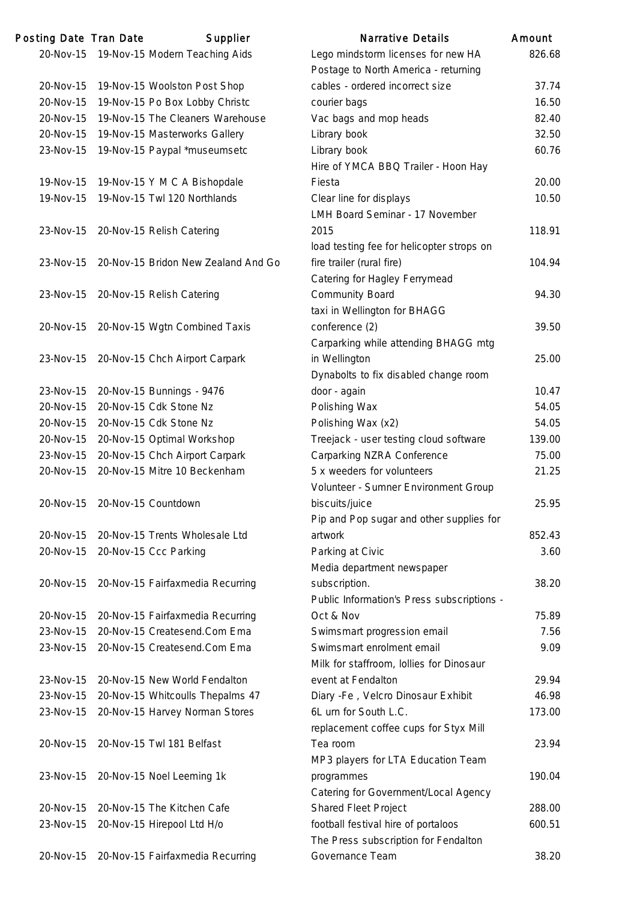| Posting Date Tran Date | Supplier                            | <b>Narrative Details</b>                   | Amount |
|------------------------|-------------------------------------|--------------------------------------------|--------|
| 20-Nov-15              | 19-Nov-15 Modern Teaching Aids      | Lego mindstorm licenses for new HA         | 826.68 |
|                        |                                     | Postage to North America - returning       |        |
| 20-Nov-15              | 19-Nov-15 Woolston Post Shop        | cables - ordered incorrect size            | 37.74  |
| 20-Nov-15              | 19-Nov-15 Po Box Lobby Christc      | courier bags                               | 16.50  |
| 20-Nov-15              | 19-Nov-15 The Cleaners Warehouse    | Vac bags and mop heads                     | 82.40  |
| 20-Nov-15              | 19-Nov-15 Masterworks Gallery       | Library book                               | 32.50  |
| 23-Nov-15              | 19-Nov-15 Paypal *museumsetc        | Library book                               | 60.76  |
|                        |                                     | Hire of YMCA BBQ Trailer - Hoon Hay        |        |
| 19-Nov-15              | 19-Nov-15 Y M C A Bishopdale        | Fiesta                                     | 20.00  |
| 19-Nov-15              | 19-Nov-15 Twl 120 Northlands        | Clear line for displays                    | 10.50  |
|                        |                                     | LMH Board Seminar - 17 November            |        |
| 23-Nov-15              | 20-Nov-15 Relish Catering           | 2015                                       | 118.91 |
|                        |                                     | load testing fee for helicopter strops on  |        |
| 23-Nov-15              | 20-Nov-15 Bridon New Zealand And Go | fire trailer (rural fire)                  | 104.94 |
|                        |                                     | Catering for Hagley Ferrymead              |        |
| 23-Nov-15              | 20-Nov-15 Relish Catering           | Community Board                            | 94.30  |
|                        |                                     | taxi in Wellington for BHAGG               |        |
| 20-Nov-15              | 20-Nov-15 Wgtn Combined Taxis       | conference (2)                             | 39.50  |
|                        |                                     | Carparking while attending BHAGG mtg       |        |
| 23-Nov-15              | 20-Nov-15 Chch Airport Carpark      | in Wellington                              | 25.00  |
|                        |                                     | Dynabolts to fix disabled change room      |        |
| 23-Nov-15              | 20-Nov-15 Bunnings - 9476           | door - again                               | 10.47  |
| 20-Nov-15              | 20-Nov-15 Cdk Stone Nz              | Polishing Wax                              | 54.05  |
| 20-Nov-15              | 20-Nov-15 Cdk Stone Nz              | Polishing Wax (x2)                         | 54.05  |
| 20-Nov-15              | 20-Nov-15 Optimal Workshop          | Treejack - user testing cloud software     | 139.00 |
| 23-Nov-15              | 20-Nov-15 Chch Airport Carpark      | Carparking NZRA Conference                 | 75.00  |
| 20-Nov-15              | 20-Nov-15 Mitre 10 Beckenham        | 5 x weeders for volunteers                 | 21.25  |
|                        |                                     | Volunteer - Sumner Environment Group       |        |
| 20-Nov-15              | 20-Nov-15 Countdown                 | biscuits/juice                             | 25.95  |
|                        |                                     | Pip and Pop sugar and other supplies for   |        |
| 20-Nov-15              | 20-Nov-15 Trents Wholesale Ltd      | artwork                                    | 852.43 |
|                        |                                     |                                            | 3.60   |
| 20-Nov-15              | 20-Nov-15 Ccc Parking               | Parking at Civic                           |        |
|                        |                                     | Media department newspaper                 | 38.20  |
| 20-Nov-15              | 20-Nov-15 Fairfaxmedia Recurring    | subscription.                              |        |
|                        |                                     | Public Information's Press subscriptions - | 75.89  |
| 20-Nov-15              | 20-Nov-15 Fairfaxmedia Recurring    | Oct & Nov                                  |        |
| 23-Nov-15              | 20-Nov-15 Createsend.Com Ema        | Swimsmart progression email                | 7.56   |
| 23-Nov-15              | 20-Nov-15 Createsend.Com Ema        | Swimsmart enrolment email                  | 9.09   |
|                        |                                     | Milk for staffroom, Iollies for Dinosaur   |        |
| 23-Nov-15              | 20-Nov-15 New World Fendalton       | event at Fendalton                         | 29.94  |
| 23-Nov-15              | 20-Nov-15 Whitcoulls Thepalms 47    | Diary -Fe, Velcro Dinosaur Exhibit         | 46.98  |
| 23-Nov-15              | 20-Nov-15 Harvey Norman Stores      | 6L urn for South L.C.                      | 173.00 |
|                        |                                     | replacement coffee cups for Styx Mill      |        |
| 20-Nov-15              | 20-Nov-15 Twl 181 Belfast           | Tea room                                   | 23.94  |
|                        |                                     | MP3 players for LTA Education Team         |        |
| 23-Nov-15              | 20-Nov-15 Noel Leeming 1k           | programmes                                 | 190.04 |
|                        |                                     | Catering for Government/Local Agency       |        |
| 20-Nov-15              | 20-Nov-15 The Kitchen Cafe          | <b>Shared Fleet Project</b>                | 288.00 |
| 23-Nov-15              | 20-Nov-15 Hirepool Ltd H/o          | football festival hire of portaloos        | 600.51 |
|                        |                                     | The Press subscription for Fendalton       |        |
| 20-Nov-15              | 20-Nov-15 Fairfaxmedia Recurring    | Governance Team                            | 38.20  |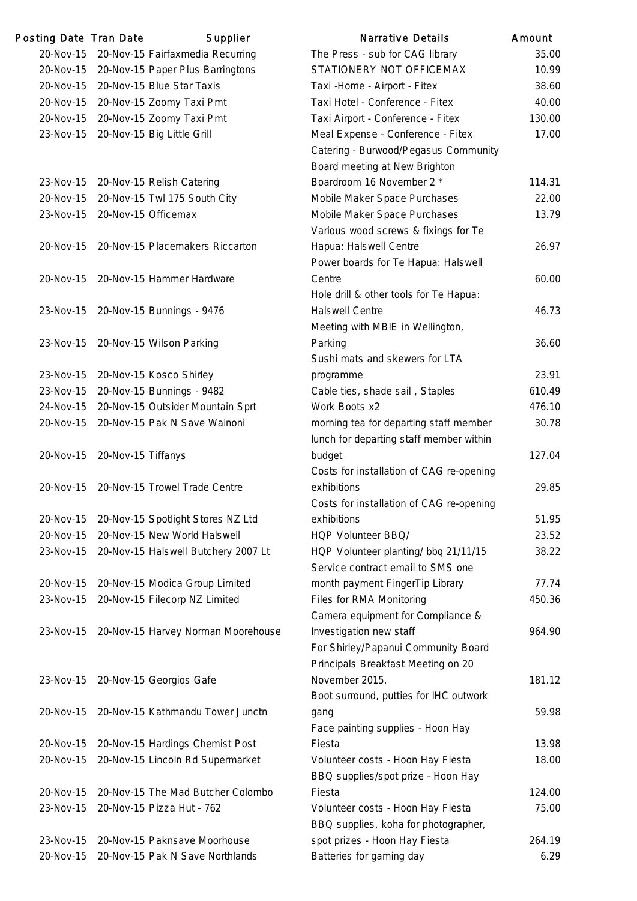| Posting Date Tran Date |                     | Supplier                            | <b>Narrative Details</b>                 | Amount |
|------------------------|---------------------|-------------------------------------|------------------------------------------|--------|
| 20-Nov-15              |                     | 20-Nov-15 Fairfaxmedia Recurring    | The Press - sub for CAG library          | 35.00  |
| 20-Nov-15              |                     | 20-Nov-15 Paper Plus Barringtons    | STATIONERY NOT OFFICEMAX                 | 10.99  |
| 20-Nov-15              |                     | 20-Nov-15 Blue Star Taxis           | Taxi - Home - Airport - Fitex            | 38.60  |
| 20-Nov-15              |                     | 20-Nov-15 Zoomy Taxi Pmt            | Taxi Hotel - Conference - Fitex          | 40.00  |
| 20-Nov-15              |                     | 20-Nov-15 Zoomy Taxi Pmt            | Taxi Airport - Conference - Fitex        | 130.00 |
| 23-Nov-15              |                     | 20-Nov-15 Big Little Grill          | Meal Expense - Conference - Fitex        | 17.00  |
|                        |                     |                                     | Catering - Burwood/Pegasus Community     |        |
|                        |                     |                                     | Board meeting at New Brighton            |        |
| 23-Nov-15              |                     | 20-Nov-15 Relish Catering           | Boardroom 16 November 2 *                | 114.31 |
| 20-Nov-15              |                     | 20-Nov-15 Twl 175 South City        | Mobile Maker Space Purchases             | 22.00  |
| 23-Nov-15              | 20-Nov-15 Officemax |                                     | Mobile Maker Space Purchases             | 13.79  |
|                        |                     |                                     | Various wood screws & fixings for Te     |        |
| 20-Nov-15              |                     | 20-Nov-15 Placemakers Riccarton     | Hapua: Halswell Centre                   | 26.97  |
|                        |                     |                                     | Power boards for Te Hapua: Halswell      |        |
| 20-Nov-15              |                     | 20-Nov-15 Hammer Hardware           | Centre                                   | 60.00  |
|                        |                     |                                     | Hole drill & other tools for Te Hapua:   |        |
| 23-Nov-15              |                     | 20-Nov-15 Bunnings - 9476           | <b>Halswell Centre</b>                   | 46.73  |
|                        |                     |                                     | Meeting with MBIE in Wellington,         |        |
| 23-Nov-15              |                     | 20-Nov-15 Wilson Parking            | Parking                                  | 36.60  |
|                        |                     |                                     | Sushi mats and skewers for LTA           |        |
| 23-Nov-15              |                     | 20-Nov-15 Kosco Shirley             | programme                                | 23.91  |
| 23-Nov-15              |                     | 20-Nov-15 Bunnings - 9482           | Cable ties, shade sail, Staples          | 610.49 |
| 24-Nov-15              |                     | 20-Nov-15 Outsider Mountain Sprt    | Work Boots x2                            | 476.10 |
| 20-Nov-15              |                     | 20-Nov-15 Pak N Save Wainoni        | morning tea for departing staff member   | 30.78  |
|                        |                     |                                     | lunch for departing staff member within  |        |
| 20-Nov-15              | 20-Nov-15 Tiffanys  |                                     | budget                                   | 127.04 |
|                        |                     |                                     | Costs for installation of CAG re-opening |        |
| 20-Nov-15              |                     | 20-Nov-15 Trowel Trade Centre       | exhibitions                              | 29.85  |
|                        |                     |                                     | Costs for installation of CAG re-opening |        |
| 20-Nov-15              |                     | 20-Nov-15 Spotlight Stores NZ Ltd   | exhibitions                              | 51.95  |
| 20-Nov-15              |                     | 20-Nov-15 New World Halswell        | HQP Volunteer BBQ/                       | 23.52  |
| 23-Nov-15              |                     | 20-Nov-15 Halswell Butchery 2007 Lt | HQP Volunteer planting/ bbq 21/11/15     | 38.22  |
|                        |                     |                                     | Service contract email to SMS one        |        |
| 20-Nov-15              |                     | 20-Nov-15 Modica Group Limited      | month payment FingerTip Library          | 77.74  |
| 23-Nov-15              |                     | 20-Nov-15 Filecorp NZ Limited       | Files for RMA Monitoring                 | 450.36 |
|                        |                     |                                     | Camera equipment for Compliance &        |        |
| 23-Nov-15              |                     | 20-Nov-15 Harvey Norman Moorehouse  | Investigation new staff                  | 964.90 |
|                        |                     |                                     | For Shirley/Papanui Community Board      |        |
|                        |                     |                                     | Principals Breakfast Meeting on 20       |        |
| 23-Nov-15              |                     | 20-Nov-15 Georgios Gafe             | November 2015.                           | 181.12 |
|                        |                     |                                     | Boot surround, putties for IHC outwork   |        |
| 20-Nov-15              |                     | 20-Nov-15 Kathmandu Tower Junctn    | gang                                     | 59.98  |
|                        |                     |                                     | Face painting supplies - Hoon Hay        |        |
| 20-Nov-15              |                     | 20-Nov-15 Hardings Chemist Post     | Fiesta                                   | 13.98  |
| 20-Nov-15              |                     | 20-Nov-15 Lincoln Rd Supermarket    | Volunteer costs - Hoon Hay Fiesta        | 18.00  |
|                        |                     |                                     | BBQ supplies/spot prize - Hoon Hay       |        |
| 20-Nov-15              |                     | 20-Nov-15 The Mad Butcher Colombo   | Fiesta                                   | 124.00 |
| 23-Nov-15              |                     | 20-Nov-15 Pizza Hut - 762           | Volunteer costs - Hoon Hay Fiesta        | 75.00  |
|                        |                     |                                     | BBQ supplies, koha for photographer,     |        |
| 23-Nov-15              |                     | 20-Nov-15 Paknsave Moorhouse        | spot prizes - Hoon Hay Fiesta            | 264.19 |
| 20-Nov-15              |                     | 20-Nov-15 Pak N Save Northlands     | Batteries for gaming day                 | 6.29   |
|                        |                     |                                     |                                          |        |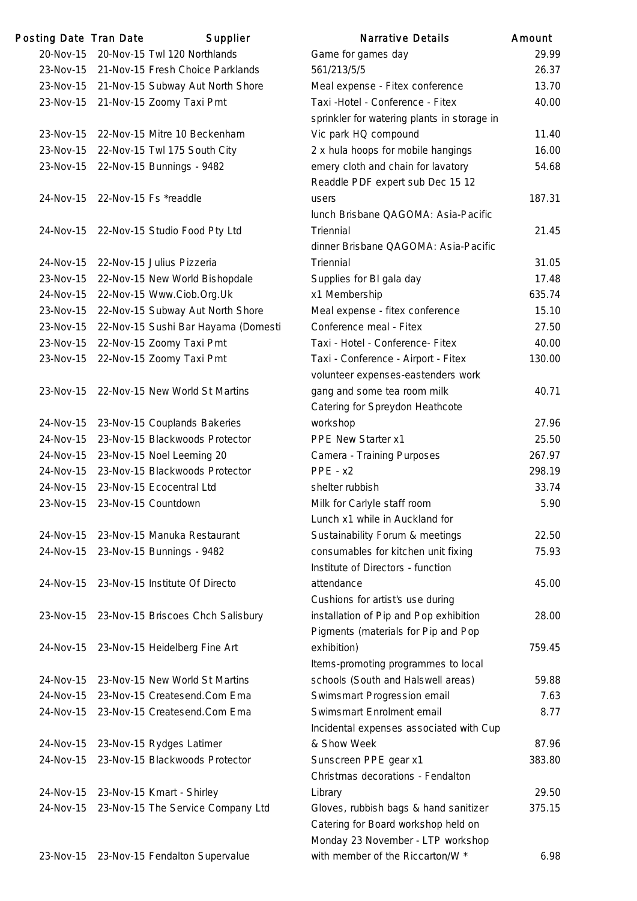| Posting Date Tran Date | Supplier                                   | <b>Narrative Details</b>                    | Amount |
|------------------------|--------------------------------------------|---------------------------------------------|--------|
|                        | 20-Nov-15 20-Nov-15 Twl 120 Northlands     | Game for games day                          | 29.99  |
|                        | 23-Nov-15 21-Nov-15 Fresh Choice Parklands | 561/213/5/5                                 | 26.37  |
|                        | 23-Nov-15 21-Nov-15 Subway Aut North Shore | Meal expense - Fitex conference             | 13.70  |
|                        | 23-Nov-15 21-Nov-15 Zoomy Taxi Pmt         | Taxi - Hotel - Conference - Fitex           | 40.00  |
|                        |                                            | sprinkler for watering plants in storage in |        |
| 23-Nov-15              | 22-Nov-15 Mitre 10 Beckenham               | Vic park HQ compound                        | 11.40  |
| 23-Nov-15              | 22-Nov-15 Twl 175 South City               | 2 x hula hoops for mobile hangings          | 16.00  |
|                        | 23-Nov-15 22-Nov-15 Bunnings - 9482        | emery cloth and chain for lavatory          | 54.68  |
|                        |                                            | Readdle PDF expert sub Dec 15 12            |        |
| 24-Nov-15              | 22-Nov-15 Fs *readdle                      | users                                       | 187.31 |
|                        |                                            | lunch Brisbane QAGOMA: Asia-Pacific         |        |
| 24-Nov-15              | 22-Nov-15 Studio Food Pty Ltd              | Triennial                                   | 21.45  |
|                        |                                            | dinner Brisbane QAGOMA: Asia-Pacific        |        |
| 24-Nov-15              | 22-Nov-15 Julius Pizzeria                  | Triennial                                   | 31.05  |
| 23-Nov-15              | 22-Nov-15 New World Bishopdale             | Supplies for BI gala day                    | 17.48  |
| 24-Nov-15              | 22-Nov-15 Www.Ciob.Org.Uk                  | x1 Membership                               | 635.74 |
| 23-Nov-15              | 22-Nov-15 Subway Aut North Shore           | Meal expense - fitex conference             | 15.10  |
| 23-Nov-15              | 22-Nov-15 Sushi Bar Hayama (Domesti        | Conference meal - Fitex                     | 27.50  |
| 23-Nov-15              | 22-Nov-15 Zoomy Taxi Pmt                   | Taxi - Hotel - Conference- Fitex            | 40.00  |
| 23-Nov-15              | 22-Nov-15 Zoomy Taxi Pmt                   | Taxi - Conference - Airport - Fitex         | 130.00 |
|                        |                                            | volunteer expenses-eastenders work          |        |
| 23-Nov-15              | 22-Nov-15 New World St Martins             | gang and some tea room milk                 | 40.71  |
|                        |                                            | Catering for Spreydon Heathcote             |        |
| 24-Nov-15              | 23-Nov-15 Couplands Bakeries               | workshop                                    | 27.96  |
| 24-Nov-15              | 23-Nov-15 Blackwoods Protector             | PPE New Starter x1                          | 25.50  |
| 24-Nov-15              | 23-Nov-15 Noel Leeming 20                  | Camera - Training Purposes                  | 267.97 |
| 24-Nov-15              | 23-Nov-15 Blackwoods Protector             | PPE - x2                                    | 298.19 |
| 24-Nov-15              | 23-Nov-15 Ecocentral Ltd                   | shelter rubbish                             | 33.74  |
| 23-Nov-15              | 23-Nov-15 Countdown                        | Milk for Carlyle staff room                 | 5.90   |
|                        |                                            | Lunch x1 while in Auckland for              |        |
| 24-Nov-15              | 23-Nov-15 Manuka Restaurant                | Sustainability Forum & meetings             | 22.50  |
| 24-Nov-15              | 23-Nov-15 Bunnings - 9482                  | consumables for kitchen unit fixing         | 75.93  |
|                        |                                            | Institute of Directors - function           |        |
| 24-Nov-15              | 23-Nov-15 Institute Of Directo             | attendance                                  | 45.00  |
|                        |                                            | Cushions for artist's use during            |        |
| 23-Nov-15              | 23-Nov-15 Briscoes Chch Salisbury          | installation of Pip and Pop exhibition      | 28.00  |
|                        |                                            | Pigments (materials for Pip and Pop         |        |
| 24-Nov-15              | 23-Nov-15 Heidelberg Fine Art              | exhibition)                                 | 759.45 |
|                        |                                            | Items-promoting programmes to local         |        |
| 24-Nov-15              | 23-Nov-15 New World St Martins             | schools (South and Halswell areas)          | 59.88  |
| 24-Nov-15              | 23-Nov-15 Createsend.Com Ema               | Swimsmart Progression email                 | 7.63   |
| 24-Nov-15              | 23-Nov-15 Createsend.Com Ema               | Swimsmart Enrolment email                   | 8.77   |
|                        |                                            | Incidental expenses associated with Cup     |        |
| 24-Nov-15              | 23-Nov-15 Rydges Latimer                   | & Show Week                                 | 87.96  |
| 24-Nov-15              | 23-Nov-15 Blackwoods Protector             | Sunscreen PPE gear x1                       | 383.80 |
|                        |                                            | Christmas decorations - Fendalton           |        |
| 24-Nov-15              | 23-Nov-15 Kmart - Shirley                  | Library                                     | 29.50  |
| 24-Nov-15              | 23-Nov-15 The Service Company Ltd          | Gloves, rubbish bags & hand sanitizer       | 375.15 |
|                        |                                            | Catering for Board workshop held on         |        |
|                        |                                            | Monday 23 November - LTP workshop           |        |

| <b>Narrative Details</b>                    | Amount        |
|---------------------------------------------|---------------|
| Game for games day                          | 29.99         |
| 561/213/5/5                                 | 26.37         |
| Meal expense - Fitex conference             | 13.70         |
| Taxi - Hotel - Conference - Fitex           | 40.00         |
| sprinkler for watering plants in storage in |               |
| Vic park HQ compound                        | 11.40         |
| 2 x hula hoops for mobile hangings          | 16.00         |
| emery cloth and chain for lavatory          | 54.68         |
| Readdle PDF expert sub Dec 15 12            |               |
| users                                       | 187.31        |
| lunch Brisbane QAGOMA: Asia-Pacific         |               |
| <b>Triennial</b>                            | 21.45         |
| dinner Brisbane QAGOMA: Asia-Pacific        |               |
| <b>Triennial</b>                            | 31.05         |
| Supplies for BI gala day                    | 17.48         |
| x1 Membership                               | 635.74        |
| Meal expense - fitex conference             | 15.10         |
| Conference meal - Fitex                     | 27.50         |
| Taxi - Hotel - Conference- Fitex            | 40.00         |
| Taxi - Conference - Airport - Fitex         | 130.00        |
| volunteer expenses-eastenders work          |               |
| gang and some tea room milk                 | 40.71         |
| Catering for Spreydon Heathcote             |               |
| workshop                                    | 27.96         |
| PPE New Starter x1                          | 25.50         |
| Camera - Training Purposes                  | 267.97        |
| $PPE - x2$                                  | 298.19        |
| shelter rubbish                             | 33.74         |
| Milk for Carlyle staff room                 | 5.90          |
| Lunch x1 while in Auckland for              |               |
| Sustainability Forum & meetings             | 22.50         |
| consumables for kitchen unit fixing         | 75.93         |
| Institute of Directors - function           |               |
| attendance                                  | 45.00         |
| Cushions for artist's use during            |               |
| installation of Pip and Pop exhibition      | 28.00         |
| Pigments (materials for Pip and Pop         |               |
| exhibition)                                 | 759.45        |
|                                             |               |
| Items-promoting programmes to local         |               |
| schools (South and Halswell areas)          | 59.88<br>7.63 |
| Swimsmart Progression email                 |               |
| Swimsmart Enrolment email                   | 8.77          |
| Incidental expenses associated with Cup     |               |
| & Show Week                                 | 87.96         |
| Sunscreen PPE gear x1                       | 383.80        |
| Christmas decorations - Fendalton           |               |
| Library                                     | 29.50         |
| Gloves, rubbish bags & hand sanitizer       | 375.15        |
| Catering for Board workshop held on         |               |
| Monday 23 November - LTP workshop           |               |
| with member of the Riccarton/W *            | 6.98          |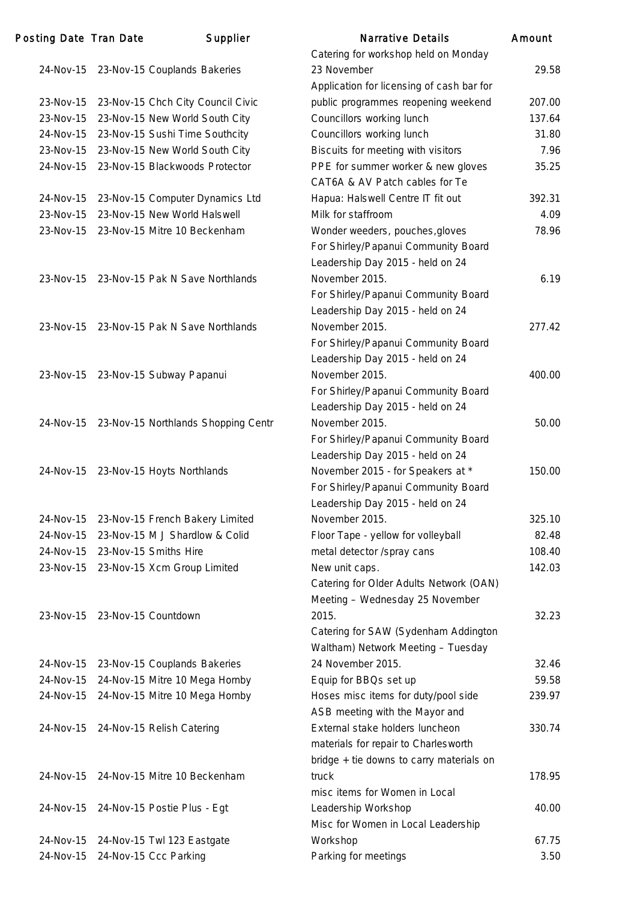| Posting Date Tran Date |                               | Supplier                                      | <b>Narrative Details</b>                  | Amount |
|------------------------|-------------------------------|-----------------------------------------------|-------------------------------------------|--------|
|                        |                               |                                               | Catering for workshop held on Monday      |        |
|                        |                               | 24-Nov-15 23-Nov-15 Couplands Bakeries        | 23 November                               | 29.58  |
|                        |                               |                                               | Application for licensing of cash bar for |        |
| 23-Nov-15              |                               | 23-Nov-15 Chch City Council Civic             | public programmes reopening weekend       | 207.00 |
| 23-Nov-15              |                               | 23-Nov-15 New World South City                | Councillors working lunch                 | 137.64 |
| 24-Nov-15              |                               | 23-Nov-15 Sushi Time Southcity                | Councillors working lunch                 | 31.80  |
|                        |                               | 23-Nov-15 23-Nov-15 New World South City      | Biscuits for meeting with visitors        | 7.96   |
|                        |                               | 24-Nov-15 23-Nov-15 Blackwoods Protector      | PPE for summer worker & new gloves        | 35.25  |
|                        |                               |                                               | CAT6A & AV Patch cables for Te            |        |
| 24-Nov-15              |                               | 23-Nov-15 Computer Dynamics Ltd               | Hapua: Halswell Centre IT fit out         | 392.31 |
| 23-Nov-15              |                               | 23-Nov-15 New World Halswell                  | Milk for staffroom                        | 4.09   |
|                        |                               | 23-Nov-15 23-Nov-15 Mitre 10 Beckenham        | Wonder weeders, pouches, gloves           | 78.96  |
|                        |                               |                                               | For Shirley/Papanui Community Board       |        |
|                        |                               |                                               | Leadership Day 2015 - held on 24          |        |
|                        |                               | 23-Nov-15 23-Nov-15 Pak N Save Northlands     | November 2015.                            | 6.19   |
|                        |                               |                                               | For Shirley/Papanui Community Board       |        |
|                        |                               |                                               | Leadership Day 2015 - held on 24          |        |
|                        |                               | 23-Nov-15 23-Nov-15 Pak N Save Northlands     | November 2015.                            | 277.42 |
|                        |                               |                                               | For Shirley/Papanui Community Board       |        |
|                        |                               |                                               | Leadership Day 2015 - held on 24          |        |
|                        |                               | 23-Nov-15 23-Nov-15 Subway Papanui            | November 2015.                            | 400.00 |
|                        |                               |                                               | For Shirley/Papanui Community Board       |        |
|                        |                               |                                               | Leadership Day 2015 - held on 24          |        |
|                        |                               | 24-Nov-15 23-Nov-15 Northlands Shopping Centr | November 2015.                            | 50.00  |
|                        |                               |                                               | For Shirley/Papanui Community Board       |        |
|                        |                               |                                               | Leadership Day 2015 - held on 24          |        |
|                        |                               | 24-Nov-15 23-Nov-15 Hoyts Northlands          | November 2015 - for Speakers at *         | 150.00 |
|                        |                               |                                               | For Shirley/Papanui Community Board       |        |
|                        |                               |                                               | Leadership Day 2015 - held on 24          |        |
| 24-Nov-15              |                               | 23-Nov-15 French Bakery Limited               | November 2015.                            | 325.10 |
| 24-Nov-15              |                               | 23-Nov-15 M J Shardlow & Colid                | Floor Tape - yellow for volleyball        | 82.48  |
| 24-Nov-15              |                               | 23-Nov-15 Smiths Hire                         | metal detector /spray cans                | 108.40 |
|                        |                               | 23-Nov-15 23-Nov-15 Xcm Group Limited         | New unit caps.                            | 142.03 |
|                        |                               |                                               | Catering for Older Adults Network (OAN)   |        |
|                        |                               |                                               | Meeting - Wednesday 25 November           |        |
|                        | 23-Nov-15 23-Nov-15 Countdown |                                               | 2015.                                     | 32.23  |
|                        |                               |                                               | Catering for SAW (Sydenham Addington      |        |
|                        |                               |                                               | Waltham) Network Meeting - Tuesday        |        |
|                        |                               | 24-Nov-15 23-Nov-15 Couplands Bakeries        | 24 November 2015.                         | 32.46  |
| 24-Nov-15              |                               | 24-Nov-15 Mitre 10 Mega Hornby                | Equip for BBQs set up                     | 59.58  |
| 24-Nov-15              |                               | 24-Nov-15 Mitre 10 Mega Hornby                | Hoses misc items for duty/pool side       | 239.97 |
|                        |                               |                                               | ASB meeting with the Mayor and            |        |
|                        |                               | 24-Nov-15 24-Nov-15 Relish Catering           | External stake holders luncheon           | 330.74 |
|                        |                               |                                               | materials for repair to Charlesworth      |        |
|                        |                               |                                               | bridge + tie downs to carry materials on  |        |
| 24-Nov-15              |                               | 24-Nov-15 Mitre 10 Beckenham                  | truck                                     | 178.95 |
|                        |                               |                                               | misc items for Women in Local             |        |
|                        |                               |                                               |                                           | 40.00  |
|                        |                               | 24-Nov-15 24-Nov-15 Postie Plus - Egt         | Leadership Workshop                       |        |
|                        |                               |                                               | Misc for Women in Local Leadership        |        |
| 24-Nov-15              |                               | 24-Nov-15 Twl 123 Eastgate                    | Workshop                                  | 67.75  |
| 24-Nov-15              |                               | 24-Nov-15 Ccc Parking                         | Parking for meetings                      | 3.50   |